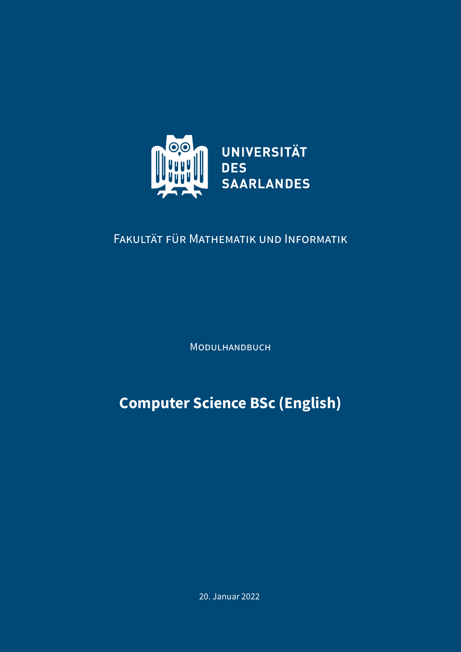

# FAKULTÄT FÜR MATHEMATIK UND INFORMATIK

MODULHANDBUCH

**Computer Science BSc (English)**

20. Januar 2022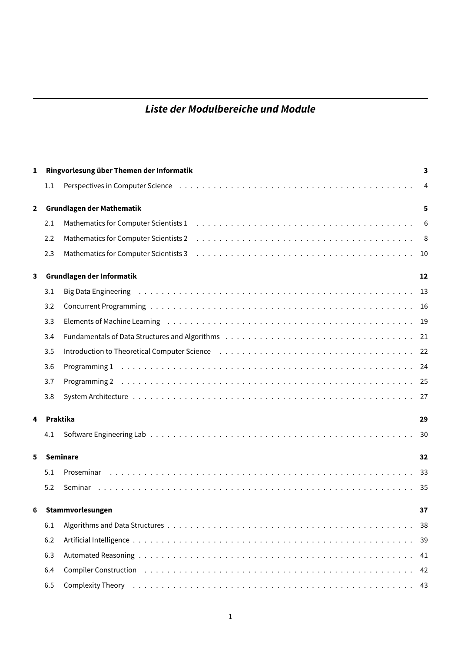# **Liste der Modulbereiche und Module**

| 1              |     | Ringvorlesung über Themen der Informatik                                                                                                                                                                                       | 3              |
|----------------|-----|--------------------------------------------------------------------------------------------------------------------------------------------------------------------------------------------------------------------------------|----------------|
|                | 1.1 |                                                                                                                                                                                                                                | $\overline{4}$ |
| $\overline{2}$ |     | <b>Grundlagen der Mathematik</b>                                                                                                                                                                                               | 5              |
|                | 2.1 |                                                                                                                                                                                                                                | 6              |
|                | 2.2 |                                                                                                                                                                                                                                |                |
|                | 2.3 |                                                                                                                                                                                                                                |                |
| 3              |     | Grundlagen der Informatik                                                                                                                                                                                                      | 12             |
|                | 3.1 |                                                                                                                                                                                                                                |                |
|                | 3.2 |                                                                                                                                                                                                                                |                |
|                | 3.3 |                                                                                                                                                                                                                                |                |
|                | 3.4 |                                                                                                                                                                                                                                |                |
|                | 3.5 |                                                                                                                                                                                                                                |                |
|                | 3.6 |                                                                                                                                                                                                                                |                |
|                | 3.7 |                                                                                                                                                                                                                                |                |
|                | 3.8 |                                                                                                                                                                                                                                |                |
| 4              |     | Praktika                                                                                                                                                                                                                       | 29             |
|                | 4.1 |                                                                                                                                                                                                                                | 30             |
| 5              |     | <b>Seminare</b>                                                                                                                                                                                                                | 32             |
|                | 5.1 |                                                                                                                                                                                                                                |                |
|                | 5.2 |                                                                                                                                                                                                                                |                |
| 6              |     | Stammvorlesungen                                                                                                                                                                                                               | 37             |
|                | 6.1 |                                                                                                                                                                                                                                |                |
|                | 6.2 |                                                                                                                                                                                                                                | 39             |
|                | 6.3 |                                                                                                                                                                                                                                | 41             |
|                | 6.4 | Compiler Construction (a), and a subset of the control of the control of the control of the control of the control of the control of the control of the control of the control of the control of the control of the control of |                |
|                | 6.5 | Complexity Theory (also contained a series of the control of the complexity Theory (also contained a series of the contact of the contact $\sim$ 43                                                                            |                |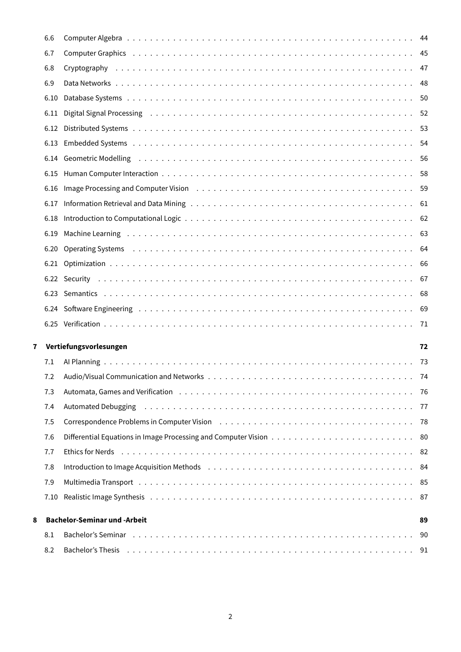|   | 6.6        |                                                                                                                                                                                                                                |      |
|---|------------|--------------------------------------------------------------------------------------------------------------------------------------------------------------------------------------------------------------------------------|------|
|   | 6.7        | Computer Graphics (also assessment of the set of the set of the set of the set of the set of the set of the set of the set of the set of the set of the set of the set of the set of the set of the set of the set of the set  |      |
|   | 6.8        |                                                                                                                                                                                                                                |      |
|   | 6.9        |                                                                                                                                                                                                                                |      |
|   | 6.10       |                                                                                                                                                                                                                                |      |
|   | 6.11       |                                                                                                                                                                                                                                |      |
|   | 6.12       |                                                                                                                                                                                                                                |      |
|   | 6.13       |                                                                                                                                                                                                                                |      |
|   |            | 6.14 Geometric Modelling (and all and all and all and all and all and all and all and all and all and all and s                                                                                                                |      |
|   | 6.15       |                                                                                                                                                                                                                                |      |
|   | 6.16       | Image Processing and Computer Vision (a) contained a series and computer Vision (a) contained a series and computer Vision (b) and contained a series and computer vision of the series of the series of the series of the ser |      |
|   | 6.17       |                                                                                                                                                                                                                                |      |
|   | 6.18       |                                                                                                                                                                                                                                |      |
|   | 6.19       |                                                                                                                                                                                                                                |      |
|   | 6.20       | Operating Systems (all contacts) and the contract of the contact of the contact of the contact of the contact of the contact of the contact of the contact of the contact of the contact of the contact of the contact of the  |      |
|   |            |                                                                                                                                                                                                                                |      |
|   |            |                                                                                                                                                                                                                                |      |
|   |            |                                                                                                                                                                                                                                |      |
|   |            |                                                                                                                                                                                                                                |      |
|   |            |                                                                                                                                                                                                                                |      |
|   |            |                                                                                                                                                                                                                                |      |
| 7 |            | Vertiefungsvorlesungen                                                                                                                                                                                                         | 72   |
|   | 7.1        |                                                                                                                                                                                                                                |      |
|   | 7.2        |                                                                                                                                                                                                                                |      |
|   | 7.3        |                                                                                                                                                                                                                                | - 76 |
|   | 7.4        |                                                                                                                                                                                                                                | - 77 |
|   | 7.5        | Correspondence Problems in Computer Vision (all contained all correspondence Problems in Computer Vision (all contained all correspondence Problems in Computer Vision (all contained all correspondence Problems in Computer  | - 78 |
|   | 7.6        |                                                                                                                                                                                                                                |      |
|   | 7.7        |                                                                                                                                                                                                                                |      |
|   | 7.8        |                                                                                                                                                                                                                                |      |
|   | 7.9        | Multimedia Transport (alternational contract of the contract of the contract of the contract of the contract of                                                                                                                | 85   |
|   | 7.10       |                                                                                                                                                                                                                                |      |
|   |            |                                                                                                                                                                                                                                |      |
| 8 |            | <b>Bachelor-Seminar und -Arbeit</b>                                                                                                                                                                                            | 89   |
|   | 8.1<br>8.2 | Bachelor's Thesis (all contacts) and the state of the state of the state of the state of the state of the state of the state of the state of the state of the state of the state of the state of the state of the state of the | 90   |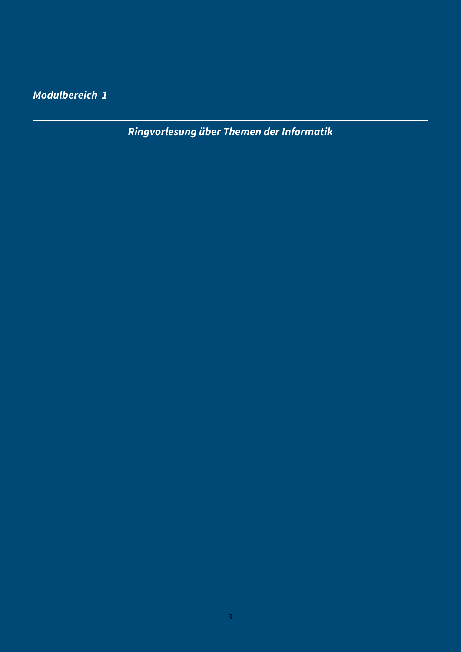<span id="page-3-0"></span>**Modulbereich 1**

**Ringvorlesung über Themen der Informatik**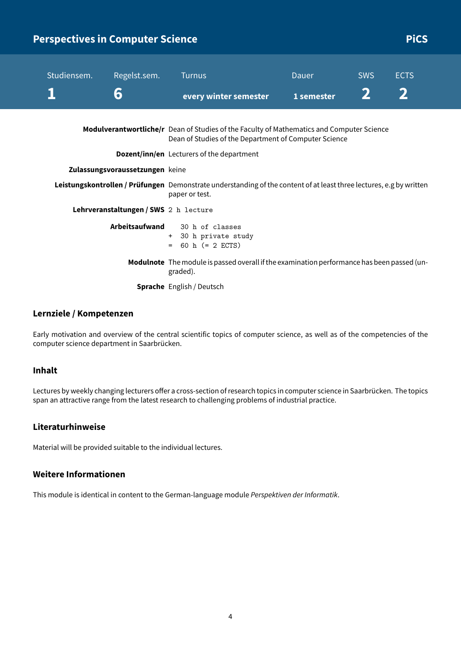| Studiensem. | Regelst.sem.                          | <b>Turnus</b>                                                                                                                                             | Dauer      | <b>SWS</b> | <b>ECTS</b> |
|-------------|---------------------------------------|-----------------------------------------------------------------------------------------------------------------------------------------------------------|------------|------------|-------------|
|             | 6                                     | every winter semester                                                                                                                                     | 1 semester |            |             |
|             |                                       | <b>Modulverantwortliche/r</b> Dean of Studies of the Faculty of Mathematics and Computer Science<br>Dean of Studies of the Department of Computer Science |            |            |             |
|             |                                       | <b>Dozent/inn/en</b> Lecturers of the department                                                                                                          |            |            |             |
|             | Zulassungsvoraussetzungen keine       |                                                                                                                                                           |            |            |             |
|             |                                       | Leistungskontrollen / Prüfungen Demonstrate understanding of the content of at least three lectures, e.g by written<br>paper or test.                     |            |            |             |
|             | Lehrveranstaltungen / SWS 2 h lecture |                                                                                                                                                           |            |            |             |
|             | Arbeitsaufwand                        | 30 h of classes<br>+ 30 h private study<br>$= 60$ h $(= 2$ ECTS)                                                                                          |            |            |             |
|             |                                       | Modulnote The module is passed overall if the examination performance has been passed (un-<br>graded).                                                    |            |            |             |
|             |                                       | <b>Sprache</b> English / Deutsch                                                                                                                          |            |            |             |

<span id="page-4-0"></span>**Perspectives in Computer Science Picce Picce Picce Picce Picce Picce Picce Picce Picce Picce Picce Picce Picce** 

#### **Lernziele / Kompetenzen**

Early motivation and overview of the central scientific topics of computer science, as well as of the competencies of the computer science department in Saarbrücken.

## **Inhalt**

Lectures by weekly changing lecturers offer a cross-section of research topics in computer science in Saarbrücken. The topics span an attractive range from the latest research to challenging problems of industrial practice.

#### **Literaturhinweise**

Material will be provided suitable to the individual lectures.

#### **Weitere Informationen**

This module is identical in content to the German-language module Perspektiven der Informatik.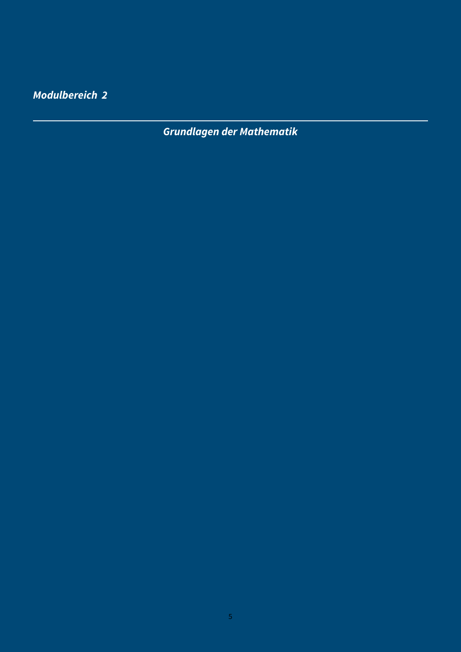<span id="page-5-0"></span>**Modulbereich 2**

**Grundlagen der Mathematik**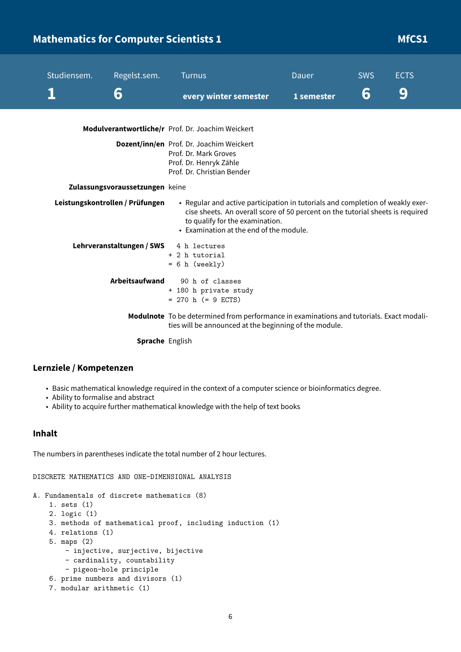# <span id="page-6-0"></span>**Mathematics for Computer Scientists 1 Mathematics for Computer Scientists 1 Microsoft Computer 1 Microsoft Computer 1 Microsoft Computer 1 Microsoft Computer 1 Microsoft Computer 1 Microsoft Computer 1 Microsoft Computer**

| Studiensem. | Regelst.sem.                    | <b>Turnus</b>                                                                                                                                                                                                                                  | <b>Dauer</b> | <b>SWS</b> | <b>ECTS</b> |
|-------------|---------------------------------|------------------------------------------------------------------------------------------------------------------------------------------------------------------------------------------------------------------------------------------------|--------------|------------|-------------|
|             | 6                               | every winter semester                                                                                                                                                                                                                          | 1 semester   | 6          | 9           |
|             |                                 | Modulverantwortliche/r Prof. Dr. Joachim Weickert                                                                                                                                                                                              |              |            |             |
|             |                                 | Dozent/inn/en Prof. Dr. Joachim Weickert<br>Prof. Dr. Mark Groves<br>Prof. Dr. Henryk Zähle<br>Prof. Dr. Christian Bender                                                                                                                      |              |            |             |
|             | Zulassungsvoraussetzungen keine |                                                                                                                                                                                                                                                |              |            |             |
|             | Leistungskontrollen / Prüfungen | • Regular and active participation in tutorials and completion of weakly exer-<br>cise sheets. An overall score of 50 percent on the tutorial sheets is required<br>to qualify for the examination.<br>• Examination at the end of the module. |              |            |             |
|             | Lehrveranstaltungen / SWS       | 4 h lectures<br>+ 2 h tutorial<br>$= 6 h$ (weekly)                                                                                                                                                                                             |              |            |             |
|             | <b>Arbeitsaufwand</b>           | 90 h of classes<br>+ 180 h private study<br>$= 270$ h (= 9 ECTS)                                                                                                                                                                               |              |            |             |
|             |                                 | Modulnote To be determined from performance in examinations and tutorials. Exact modali-<br>ties will be announced at the beginning of the module.                                                                                             |              |            |             |
|             | Sprache English                 |                                                                                                                                                                                                                                                |              |            |             |

#### **Lernziele / Kompetenzen**

- Basic mathematical knowledge required in the context of a computer science or bioinformatics degree.
- Ability to formalise and abstract
- Ability to acquire further mathematical knowledge with the help of text books

#### **Inhalt**

The numbers in parentheses indicate the total number of 2 hour lectures.

DISCRETE MATHEMATICS AND ONE-DIMENSIONAL ANALYSIS

```
A. Fundamentals of discrete mathematics (8)
```

```
1. sets (1)
```

```
2. logic (1)
```

```
3. methods of mathematical proof, including induction (1)
```
- 4. relations (1)
- 5. maps (2)

```
- injective, surjective, bijective
```

```
- cardinality, countability
```

```
- pigeon-hole principle
```

```
6. prime numbers and divisors (1)
```

```
7. modular arithmetic (1)
```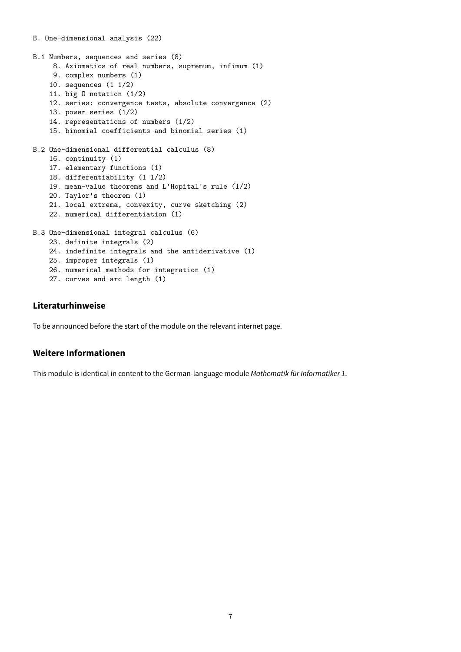```
B. One-dimensional analysis (22)
B.1 Numbers, sequences and series (8)
    8. Axiomatics of real numbers, supremum, infimum (1)
    9. complex numbers (1)
    10. sequences (1 1/2)
    11. big O notation (1/2)
    12. series: convergence tests, absolute convergence (2)
    13. power series (1/2)
    14. representations of numbers (1/2)
    15. binomial coefficients and binomial series (1)
B.2 One-dimensional differential calculus (8)
    16. continuity (1)
    17. elementary functions (1)
    18. differentiability (1 1/2)
    19. mean-value theorems and L'Hopital's rule (1/2)
    20. Taylor's theorem (1)
    21. local extrema, convexity, curve sketching (2)
    22. numerical differentiation (1)
B.3 One-dimensional integral calculus (6)
    23. definite integrals (2)
    24. indefinite integrals and the antiderivative (1)
    25. improper integrals (1)
    26. numerical methods for integration (1)
```

```
27. curves and arc length (1)
```
To be announced before the start of the module on the relevant internet page.

#### **Weitere Informationen**

This module is identical in content to the German-language module Mathematik für Informatiker 1.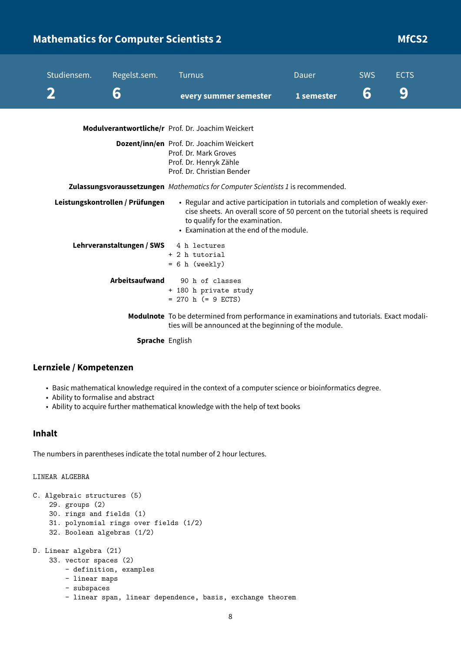# <span id="page-8-0"></span>**Mathematics for Computer Scientists 2 Mathematics for Computer Scientists 2 MfCS2**

| Studiensem. | Regelst.sem.                    | <b>Turnus</b>                                                                                                                                                                                                                                  | <b>Dauer</b> | <b>SWS</b> | <b>ECTS</b> |
|-------------|---------------------------------|------------------------------------------------------------------------------------------------------------------------------------------------------------------------------------------------------------------------------------------------|--------------|------------|-------------|
|             | 6                               | every summer semester                                                                                                                                                                                                                          | 1 semester   | 6          | 9           |
|             |                                 | Modulverantwortliche/r Prof. Dr. Joachim Weickert                                                                                                                                                                                              |              |            |             |
|             |                                 | Dozent/inn/en Prof. Dr. Joachim Weickert<br>Prof. Dr. Mark Groves<br>Prof. Dr. Henryk Zähle<br>Prof. Dr. Christian Bender                                                                                                                      |              |            |             |
|             |                                 | <b>Zulassungsvoraussetzungen</b> Mathematics for Computer Scientists 1 is recommended.                                                                                                                                                         |              |            |             |
|             | Leistungskontrollen / Prüfungen | • Regular and active participation in tutorials and completion of weakly exer-<br>cise sheets. An overall score of 50 percent on the tutorial sheets is required<br>to qualify for the examination.<br>• Examination at the end of the module. |              |            |             |
|             | Lehrveranstaltungen / SWS       | 4 h lectures<br>+ 2 h tutorial<br>$= 6 h$ (weekly)                                                                                                                                                                                             |              |            |             |
|             | Arbeitsaufwand                  | 90 h of classes<br>+ 180 h private study<br>$= 270$ h $(= 9$ ECTS)                                                                                                                                                                             |              |            |             |
|             |                                 | Modulnote To be determined from performance in examinations and tutorials. Exact modali-<br>ties will be announced at the beginning of the module.                                                                                             |              |            |             |
|             | Sprache English                 |                                                                                                                                                                                                                                                |              |            |             |

#### **Lernziele / Kompetenzen**

- Basic mathematical knowledge required in the context of a computer science or bioinformatics degree.
- Ability to formalise and abstract
- Ability to acquire further mathematical knowledge with the help of text books

#### **Inhalt**

The numbers in parentheses indicate the total number of 2 hour lectures.

LINEAR ALGEBRA

```
C. Algebraic structures (5)
    29. groups (2)
    30. rings and fields (1)
    31. polynomial rings over fields (1/2)
    32. Boolean algebras (1/2)
D. Linear algebra (21)
    33. vector spaces (2)
        - definition, examples
        - linear maps
        - subspaces
        - linear span, linear dependence, basis, exchange theorem
```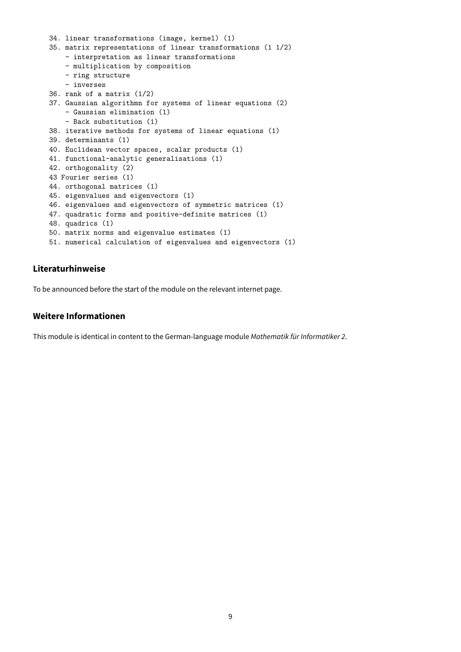```
34. linear transformations (image, kernel) (1)
35. matrix representations of linear transformations (1 1/2)
    - interpretation as linear transformations
    - multiplication by composition
    - ring structure
    - inverses
36. rank of a matrix (1/2)
37. Gaussian algorithmn for systems of linear equations (2)
    - Gaussian elimination (1)
    - Back substitution (1)
38. iterative methods for systems of linear equations (1)
39. determinants (1)
40. Euclidean vector spaces, scalar products (1)
41. functional-analytic generalisations (1)
42. orthogonality (2)
43 Fourier series (1)
44. orthogonal matrices (1)
45. eigenvalues and eigenvectors (1)
46. eigenvalues and eigenvectors of symmetric matrices (1)
47. quadratic forms and positive-definite matrices (1)
48. quadrics (1)
50. matrix norms and eigenvalue estimates (1)
51. numerical calculation of eigenvalues and eigenvectors (1)
```
To be announced before the start of the module on the relevant internet page.

#### **Weitere Informationen**

This module is identical in content to the German-language module Mathematik für Informatiker 2.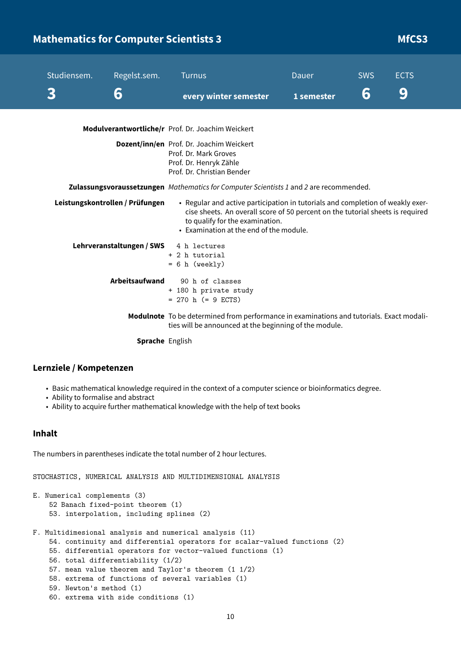# <span id="page-10-0"></span>**Mathematics for Computer Scientists 3 Mathematics for Computer Scientists 3 Mathematics for Computer Scientists 3**

| Studiensem. | Regelst.sem.<br>6               | <b>Turnus</b>                                                                                                                                                                                                                                  | Dauer<br>1 semester | <b>SWS</b><br>6 | <b>ECTS</b><br>9 |
|-------------|---------------------------------|------------------------------------------------------------------------------------------------------------------------------------------------------------------------------------------------------------------------------------------------|---------------------|-----------------|------------------|
|             |                                 | every winter semester                                                                                                                                                                                                                          |                     |                 |                  |
|             |                                 | Modulverantwortliche/r Prof. Dr. Joachim Weickert                                                                                                                                                                                              |                     |                 |                  |
|             |                                 | Dozent/inn/en Prof. Dr. Joachim Weickert<br>Prof. Dr. Mark Groves<br>Prof. Dr. Henryk Zähle<br>Prof. Dr. Christian Bender                                                                                                                      |                     |                 |                  |
|             |                                 | Zulassungsvoraussetzungen Mathematics for Computer Scientists 1 and 2 are recommended.                                                                                                                                                         |                     |                 |                  |
|             | Leistungskontrollen / Prüfungen | • Regular and active participation in tutorials and completion of weakly exer-<br>cise sheets. An overall score of 50 percent on the tutorial sheets is required<br>to qualify for the examination.<br>• Examination at the end of the module. |                     |                 |                  |
|             | Lehrveranstaltungen / SWS       | 4 h lectures<br>+ 2 h tutorial<br>$= 6 h$ (weekly)                                                                                                                                                                                             |                     |                 |                  |
|             | Arbeitsaufwand                  | 90 h of classes<br>+ 180 h private study<br>$= 270$ h (= 9 ECTS)                                                                                                                                                                               |                     |                 |                  |
|             |                                 | Modulnote To be determined from performance in examinations and tutorials. Exact modali-<br>ties will be announced at the beginning of the module.                                                                                             |                     |                 |                  |
|             | Sprache English                 |                                                                                                                                                                                                                                                |                     |                 |                  |

#### **Lernziele / Kompetenzen**

- Basic mathematical knowledge required in the context of a computer science or bioinformatics degree.
- Ability to formalise and abstract
- Ability to acquire further mathematical knowledge with the help of text books

## **Inhalt**

The numbers in parentheses indicate the total number of 2 hour lectures.

STOCHASTICS, NUMERICAL ANALYSIS AND MULTIDIMENSIONAL ANALYSIS

```
E. Numerical complements (3)
    52 Banach fixed-point theorem (1)
    53. interpolation, including splines (2)
F. Multidimesional analysis and numerical analysis (11)
    54. continuity and differential operators for scalar-valued functions (2)
    55. differential operators for vector-valued functions (1)
    56. total differentiability (1/2)
    57. mean value theorem and Taylor's theorem (1 1/2)
    58. extrema of functions of several variables (1)
    59. Newton's method (1)
    60. extrema with side conditions (1)
```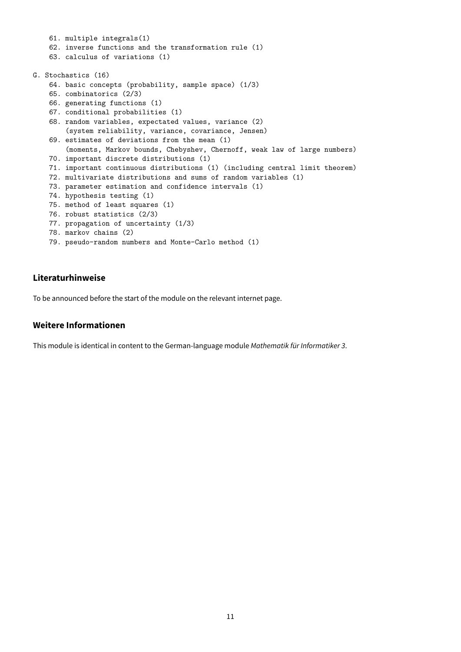```
61. multiple integrals(1)
    62. inverse functions and the transformation rule (1)
    63. calculus of variations (1)
G. Stochastics (16)
    64. basic concepts (probability, sample space) (1/3)
    65. combinatorics (2/3)
    66. generating functions (1)
    67. conditional probabilities (1)
    68. random variables, expectated values, variance (2)
        (system reliability, variance, covariance, Jensen)
    69. estimates of deviations from the mean (1)
        (moments, Markov bounds, Chebyshev, Chernoff, weak law of large numbers)
    70. important discrete distributions (1)
    71. important continuous distributions (1) (including central limit theorem)
    72. multivariate distributions and sums of random variables (1)
    73. parameter estimation and confidence intervals (1)
    74. hypothesis testing (1)
    75. method of least squares (1)
    76. robust statistics (2/3)
    77. propagation of uncertainty (1/3)
    78. markov chains (2)
```
79. pseudo-random numbers and Monte-Carlo method (1)

#### **Literaturhinweise**

To be announced before the start of the module on the relevant internet page.

#### **Weitere Informationen**

This module is identical in content to the German-language module Mathematik für Informatiker 3.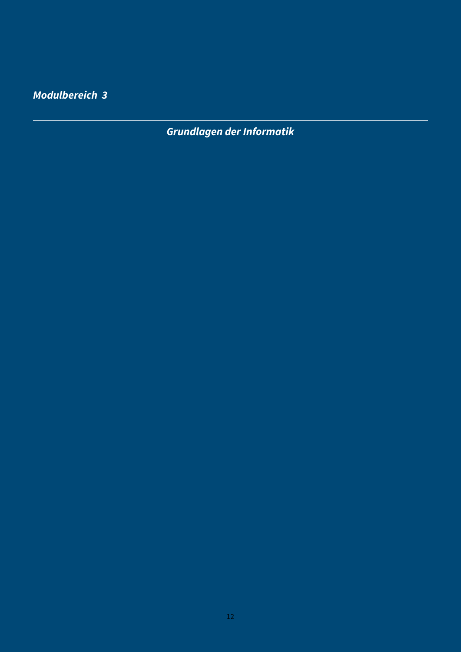<span id="page-12-0"></span>**Modulbereich 3**

**Grundlagen der Informatik**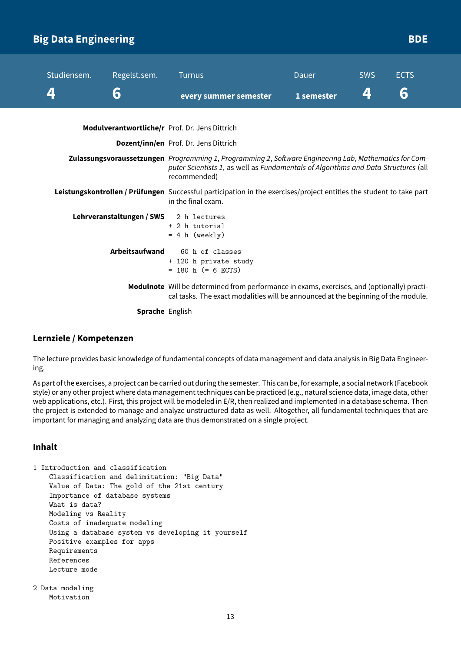# <span id="page-13-0"></span>**Big Data Engineering BDE**

| Studiensem. | Regelst.sem.          | <b>Turnus</b>                                                                                                                                                                                                | Dauer      | <b>SWS</b> | <b>ECTS</b> |
|-------------|-----------------------|--------------------------------------------------------------------------------------------------------------------------------------------------------------------------------------------------------------|------------|------------|-------------|
|             | 6                     | every summer semester                                                                                                                                                                                        | 1 semester | 4          | 6           |
|             |                       | Modulverantwortliche/r Prof. Dr. Jens Dittrich                                                                                                                                                               |            |            |             |
|             |                       | Dozent/inn/en Prof. Dr. Jens Dittrich                                                                                                                                                                        |            |            |             |
|             |                       | Zulassungsvoraussetzungen Programming 1, Programming 2, Software Engineering Lab, Mathematics for Com-<br>puter Scientists 1, as well as Fundamentals of Algorithms and Data Structures (all<br>recommended) |            |            |             |
|             |                       | Leistungskontrollen / Prüfungen Successful participation in the exercises/project entitles the student to take part<br>in the final exam.                                                                    |            |            |             |
|             |                       | Lehrveranstaltungen / SWS 2 h lectures<br>+ 2 h tutorial<br>$= 4 h (weakly)$                                                                                                                                 |            |            |             |
|             | <b>Arbeitsaufwand</b> | 60 h of classes<br>+ 120 h private study<br>$= 180$ h (= 6 ECTS)                                                                                                                                             |            |            |             |
|             |                       | Modulnote Will be determined from performance in exams, exercises, and (optionally) practi-<br>cal tasks. The exact modalities will be announced at the beginning of the module.                             |            |            |             |
|             | .                     |                                                                                                                                                                                                              |            |            |             |

**Sprache** English

#### **Lernziele / Kompetenzen**

The lecture provides basic knowledge of fundamental concepts of data management and data analysis in Big Data Engineering.

As part of the exercises, a project can be carried out during the semester. This can be, for example, a social network (Facebook style) or any other project where data management techniques can be practiced (e.g., natural science data, image data, other web applications, etc.). First, this project will be modeled in E/R, then realized and implemented in a database schema. Then the project is extended to manage and analyze unstructured data as well. Altogether, all fundamental techniques that are important for managing and analyzing data are thus demonstrated on a single project.

#### **Inhalt**

```
1 Introduction and classification
   Classification and delimitation: "Big Data"
   Value of Data: The gold of the 21st century
    Importance of database systems
   What is data?
   Modeling vs Reality
   Costs of inadequate modeling
   Using a database system vs developing it yourself
   Positive examples for apps
   Requirements
   References
   Lecture mode
```

```
2 Data modeling
   Motivation
```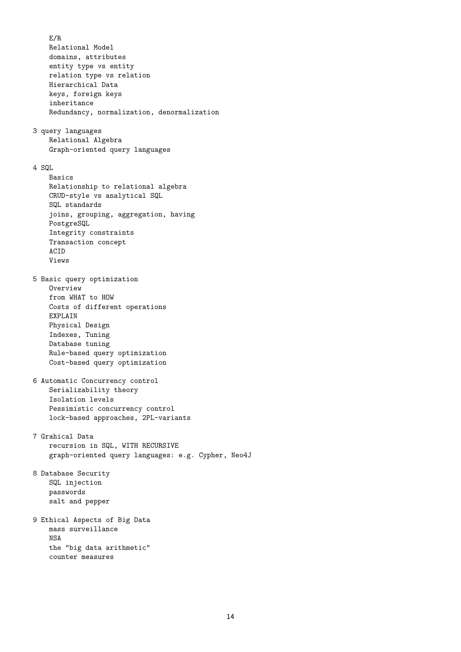E/R Relational Model domains, attributes entity type vs entity relation type vs relation Hierarchical Data keys, foreign keys inheritance Redundancy, normalization, denormalization 3 query languages Relational Algebra Graph-oriented query languages  $4$  SQL. Basics Relationship to relational algebra CRUD-style vs analytical SQL SQL standards joins, grouping, aggregation, having PostgreSQL Integrity constraints Transaction concept ACID Views 5 Basic query optimization **Overview** from WHAT to HOW Costs of different operations EXPLAIN Physical Design Indexes, Tuning Database tuning Rule-based query optimization Cost-based query optimization 6 Automatic Concurrency control Serializability theory Isolation levels Pessimistic concurrency control lock-based approaches, 2PL-variants 7 Grahical Data recursion in SQL, WITH RECURSIVE graph-oriented query languages: e.g. Cypher, Neo4J 8 Database Security SQL injection passwords salt and pepper 9 Ethical Aspects of Big Data mass surveillance NSA the "big data arithmetic" counter measures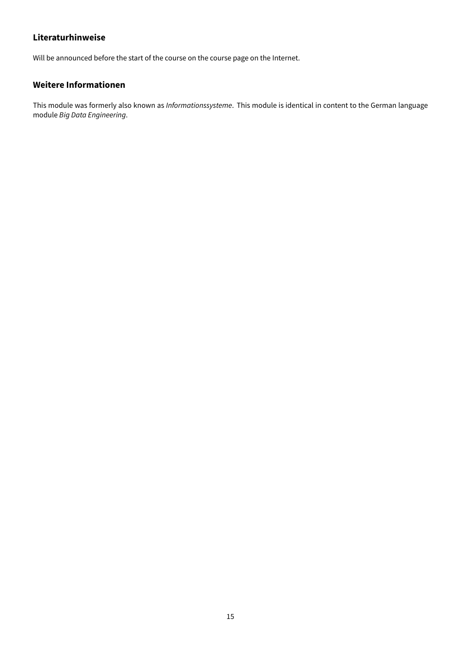Will be announced before the start of the course on the course page on the Internet.

## **Weitere Informationen**

This module was formerly also known as Informationssysteme. This module is identical in content to the German language module Big Data Engineering.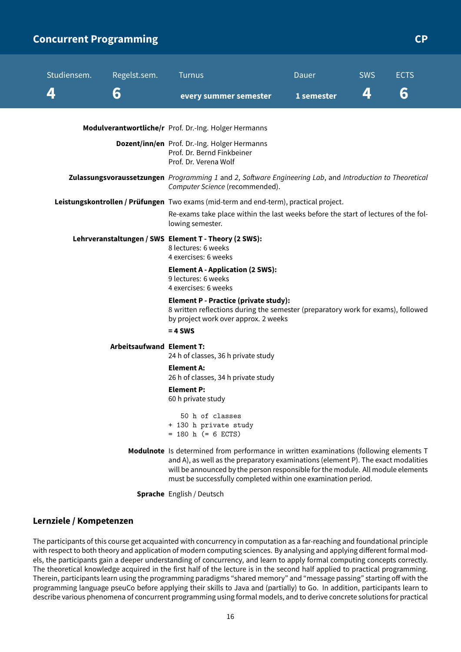## <span id="page-16-0"></span>**Concurrent Programming CP CP**

| Studiensem. | Regelst.sem.                                                                                                                                | <b>Turnus</b>                                                                                                                                                                                                                                                                                                                   | Dauer |            | <b>SWS</b> | <b>ECTS</b> |  |
|-------------|---------------------------------------------------------------------------------------------------------------------------------------------|---------------------------------------------------------------------------------------------------------------------------------------------------------------------------------------------------------------------------------------------------------------------------------------------------------------------------------|-------|------------|------------|-------------|--|
| 4           | 6                                                                                                                                           | every summer semester                                                                                                                                                                                                                                                                                                           |       | 1 semester | 4          | 6           |  |
|             |                                                                                                                                             |                                                                                                                                                                                                                                                                                                                                 |       |            |            |             |  |
|             |                                                                                                                                             | Modulverantwortliche/r Prof. Dr.-Ing. Holger Hermanns                                                                                                                                                                                                                                                                           |       |            |            |             |  |
|             |                                                                                                                                             | Dozent/inn/en Prof. Dr.-Ing. Holger Hermanns<br>Prof. Dr. Bernd Finkbeiner<br>Prof. Dr. Verena Wolf                                                                                                                                                                                                                             |       |            |            |             |  |
|             | Zulassungsvoraussetzungen Programming 1 and 2, Software Engineering Lab, and Introduction to Theoretical<br>Computer Science (recommended). |                                                                                                                                                                                                                                                                                                                                 |       |            |            |             |  |
|             |                                                                                                                                             | Leistungskontrollen / Prüfungen Two exams (mid-term and end-term), practical project.                                                                                                                                                                                                                                           |       |            |            |             |  |
|             |                                                                                                                                             | Re-exams take place within the last weeks before the start of lectures of the fol-<br>lowing semester.                                                                                                                                                                                                                          |       |            |            |             |  |
|             |                                                                                                                                             | Lehrveranstaltungen / SWS Element T - Theory (2 SWS):<br>8 lectures: 6 weeks<br>4 exercises: 6 weeks                                                                                                                                                                                                                            |       |            |            |             |  |
|             |                                                                                                                                             | <b>Element A - Application (2 SWS):</b><br>9 lectures: 6 weeks<br>4 exercises: 6 weeks                                                                                                                                                                                                                                          |       |            |            |             |  |
|             |                                                                                                                                             | <b>Element P - Practice (private study):</b><br>8 written reflections during the semester (preparatory work for exams), followed<br>by project work over approx. 2 weeks                                                                                                                                                        |       |            |            |             |  |
|             |                                                                                                                                             | $= 4$ SWS                                                                                                                                                                                                                                                                                                                       |       |            |            |             |  |
|             | <b>Arbeitsaufwand Element T:</b>                                                                                                            | 24 h of classes, 36 h private study                                                                                                                                                                                                                                                                                             |       |            |            |             |  |
|             |                                                                                                                                             | Element A:<br>26 h of classes, 34 h private study                                                                                                                                                                                                                                                                               |       |            |            |             |  |
|             |                                                                                                                                             | <b>Element P:</b><br>60 h private study                                                                                                                                                                                                                                                                                         |       |            |            |             |  |
|             |                                                                                                                                             | 50 h of classes<br>+ 130 h private study<br>$= 180$ h (= 6 ECTS)                                                                                                                                                                                                                                                                |       |            |            |             |  |
|             |                                                                                                                                             | Modulnote Is determined from performance in written examinations (following elements T<br>and A), as well as the preparatory examinations (element P). The exact modalities<br>will be announced by the person responsible for the module. All module elements<br>must be successfully completed within one examination period. |       |            |            |             |  |
|             |                                                                                                                                             | Sprache English / Deutsch                                                                                                                                                                                                                                                                                                       |       |            |            |             |  |

#### **Lernziele / Kompetenzen**

The participants of this course get acquainted with concurrency in computation as a far-reaching and foundational principle with respect to both theory and application of modern computing sciences. By analysing and applying different formal models, the participants gain a deeper understanding of concurrency, and learn to apply formal computing concepts correctly. The theoretical knowledge acquired in the first half of the lecture is in the second half applied to practical programming. Therein, participants learn using the programming paradigms "shared memory" and "message passing" starting off with the programming language pseuCo before applying their skills to Java and (partially) to Go. In addition, participants learn to describe various phenomena of concurrent programming using formal models, and to derive concrete solutions for practical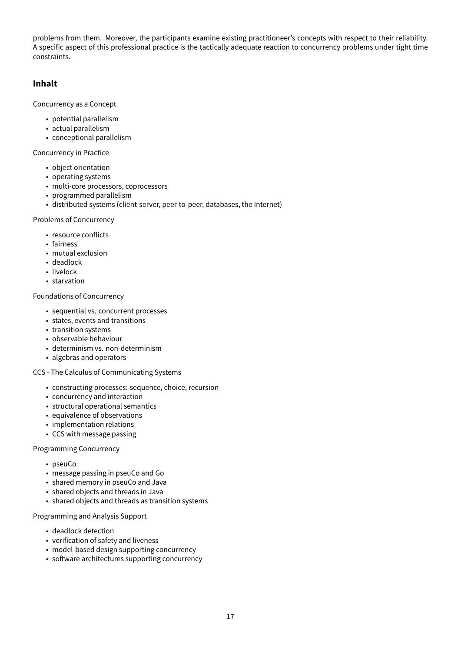problems from them. Moreover, the participants examine existing practitioneer's concepts with respect to their reliability. A specific aspect of this professional practice is the tactically adequate reaction to concurrency problems under tight time constraints.

#### **Inhalt**

Concurrency as a Concept

- potential parallelism
- actual parallelism
- conceptional parallelism

Concurrency in Practice

- object orientation
- operating systems
- multi-core processors, coprocessors
- programmed parallelism
- distributed systems (client-server, peer-to-peer, databases, the Internet)

#### Problems of Concurrency

- resource conflicts
- fairness
- mutual exclusion
- deadlock
- livelock
- starvation

#### Foundations of Concurrency

- sequential vs. concurrent processes
- states, events and transitions
- transition systems
- observable behaviour
- determinism vs. non-determinism
- algebras and operators
- CCS The Calculus of Communicating Systems
	- constructing processes: sequence, choice, recursion
	- concurrency and interaction
	- structural operational semantics
	- equivalence of observations
	- implementation relations
	- CCS with message passing

#### Programming Concurrency

- pseuCo
- message passing in pseuCo and Go
- shared memory in pseuCo and Java
- shared objects and threads in Java
- shared objects and threads as transition systems

#### Programming and Analysis Support

- deadlock detection
- verification of safety and liveness
- model-based design supporting concurrency
- software architectures supporting concurrency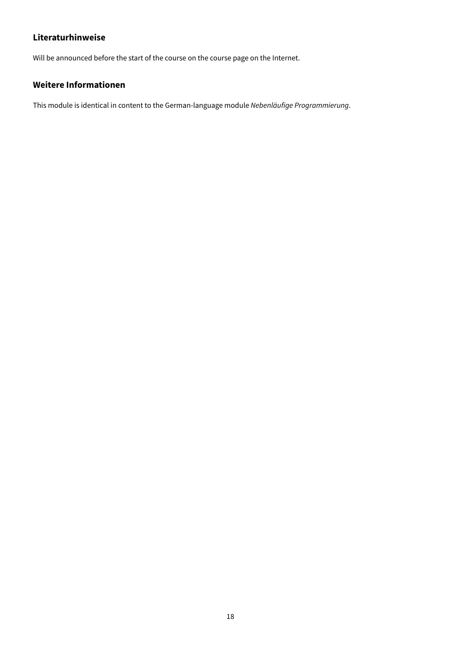Will be announced before the start of the course on the course page on the Internet.

## **Weitere Informationen**

This module is identical in content to the German-language module Nebenläufige Programmierung.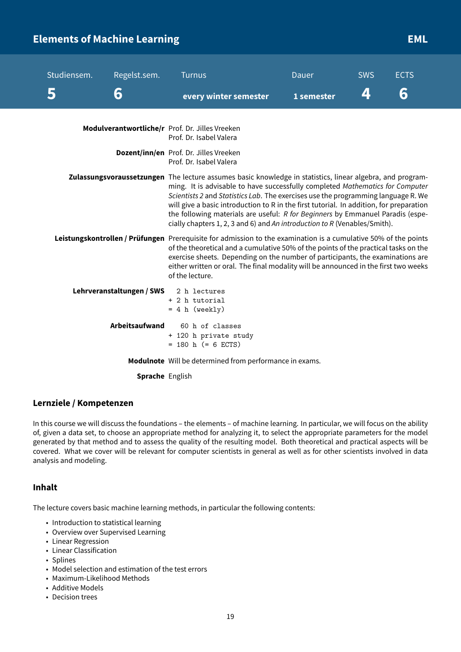# <span id="page-19-0"></span>**Elements of Machine Learning EML EML**

| Studiensem. | Regelst.sem.              | Turnus                                                                                                                                                                                                                                                                                                                                                                                                                                                                                                                                    | Dauer      | <b>SWS</b> | <b>ECTS</b> |
|-------------|---------------------------|-------------------------------------------------------------------------------------------------------------------------------------------------------------------------------------------------------------------------------------------------------------------------------------------------------------------------------------------------------------------------------------------------------------------------------------------------------------------------------------------------------------------------------------------|------------|------------|-------------|
|             | 6                         | every winter semester                                                                                                                                                                                                                                                                                                                                                                                                                                                                                                                     | 1 semester | 4          | 6           |
|             |                           | Modulverantwortliche/r Prof. Dr. Jilles Vreeken<br>Prof. Dr. Isabel Valera                                                                                                                                                                                                                                                                                                                                                                                                                                                                |            |            |             |
|             |                           | Dozent/inn/en Prof. Dr. Jilles Vreeken<br>Prof. Dr. Isabel Valera                                                                                                                                                                                                                                                                                                                                                                                                                                                                         |            |            |             |
|             |                           | Zulassungsvoraussetzungen The lecture assumes basic knowledge in statistics, linear algebra, and program-<br>ming. It is advisable to have successfully completed Mathematics for Computer<br>Scientists 2 and Statistics Lab. The exercises use the programming language R. We<br>will give a basic introduction to R in the first tutorial. In addition, for preparation<br>the following materials are useful: R for Beginners by Emmanuel Paradis (espe-<br>cially chapters 1, 2, 3 and 6) and An introduction to R (Venables/Smith). |            |            |             |
|             |                           | Leistungskontrollen / Prüfungen Prerequisite for admission to the examination is a cumulative 50% of the points<br>of the theoretical and a cumulative 50% of the points of the practical tasks on the<br>exercise sheets. Depending on the number of participants, the examinations are<br>either written or oral. The final modality will be announced in the first two weeks<br>of the lecture.                                                                                                                                        |            |            |             |
|             | Lehrveranstaltungen / SWS | 2 h lectures<br>+ 2 h tutorial<br>$= 4 h (weakly)$                                                                                                                                                                                                                                                                                                                                                                                                                                                                                        |            |            |             |
|             | <b>Arbeitsaufwand</b>     | 60 h of classes<br>+ 120 h private study<br>$= 180$ h (= 6 ECTS)                                                                                                                                                                                                                                                                                                                                                                                                                                                                          |            |            |             |
|             |                           | Modulnote Will be determined from performance in exams.                                                                                                                                                                                                                                                                                                                                                                                                                                                                                   |            |            |             |

**Sprache** English

#### **Lernziele / Kompetenzen**

In this course we will discuss the foundations – the elements – of machine learning. In particular, we will focus on the ability of, given a data set, to choose an appropriate method for analyzing it, to select the appropriate parameters for the model generated by that method and to assess the quality of the resulting model. Both theoretical and practical aspects will be covered. What we cover will be relevant for computer scientists in general as well as for other scientists involved in data analysis and modeling.

#### **Inhalt**

The lecture covers basic machine learning methods, in particular the following contents:

- Introduction to statistical learning
- Overview over Supervised Learning
- Linear Regression
- Linear Classification
- Splines
- Model selection and estimation of the test errors
- Maximum-Likelihood Methods
- Additive Models
- Decision trees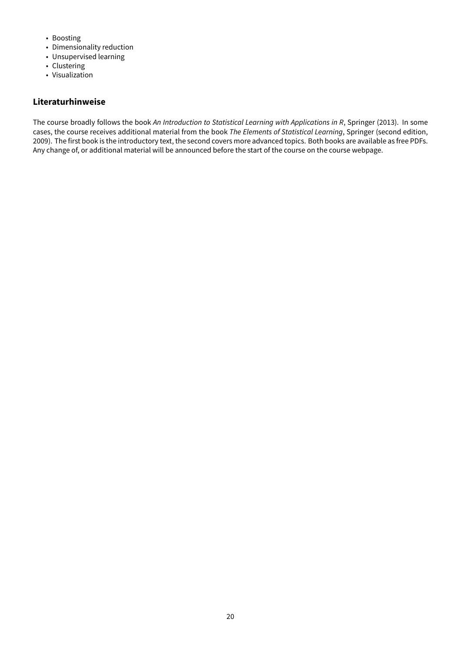- Boosting
- Dimensionality reduction
- Unsupervised learning
- Clustering
- Visualization

The course broadly follows the book An Introduction to Statistical Learning with Applications in R, Springer (2013). In some cases, the course receives additional material from the book The Elements of Statistical Learning, Springer (second edition, 2009). The first book is the introductory text, the second covers more advanced topics. Both books are available as free PDFs. Any change of, or additional material will be announced before the start of the course on the course webpage.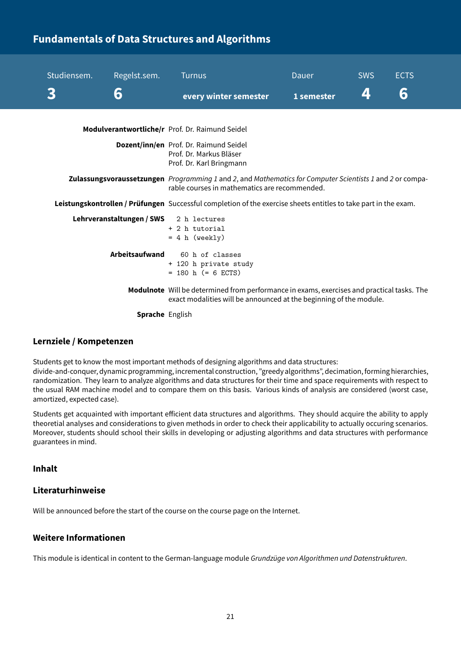# <span id="page-21-0"></span>**Fundamentals of Data Structures and Algorithms**

| Studiensem. | Regelst.sem.                           | <b>Turnus</b>                                                                                                                                                    | Dauer      | <b>SWS</b> | <b>ECTS</b> |
|-------------|----------------------------------------|------------------------------------------------------------------------------------------------------------------------------------------------------------------|------------|------------|-------------|
|             | 6                                      | every winter semester                                                                                                                                            | 1 semester | 4          | 6           |
|             |                                        | Modulverantwortliche/r Prof. Dr. Raimund Seidel                                                                                                                  |            |            |             |
|             |                                        | Dozent/inn/en Prof. Dr. Raimund Seidel<br>Prof. Dr. Markus Bläser<br>Prof. Dr. Karl Bringmann                                                                    |            |            |             |
|             |                                        | Zulassungsvoraussetzungen Programming 1 and 2, and Mathematics for Computer Scientists 1 and 2 or compa-<br>rable courses in mathematics are recommended.        |            |            |             |
|             |                                        | Leistungskontrollen / Prüfungen Successful completion of the exercise sheets entitles to take part in the exam.                                                  |            |            |             |
|             | Lehrveranstaltungen / SWS 2 h lectures | + 2 h tutorial<br>$= 4 h (weakly)$                                                                                                                               |            |            |             |
|             | Arbeitsaufwand                         | 60 h of classes<br>+ 120 h private study<br>$= 180$ h (= 6 ECTS)                                                                                                 |            |            |             |
|             |                                        | Modulnote Will be determined from performance in exams, exercises and practical tasks. The<br>exact modalities will be announced at the beginning of the module. |            |            |             |
|             | <b>Sprache English</b>                 |                                                                                                                                                                  |            |            |             |

#### **Lernziele / Kompetenzen**

Students get to know the most important methods of designing algorithms and data structures: divide-and-conquer, dynamic programming, incremental construction, "greedy algorithms", decimation, forming hierarchies, randomization. They learn to analyze algorithms and data structures for their time and space requirements with respect to

the usual RAM machine model and to compare them on this basis. Various kinds of analysis are considered (worst case, amortized, expected case).

Students get acquainted with important efficient data structures and algorithms. They should acquire the ability to apply theoretial analyses and considerations to given methods in order to check their applicability to actually occuring scenarios. Moreover, students should school their skills in developing or adjusting algorithms and data structures with performance guarantees in mind.

## **Inhalt**

## **Literaturhinweise**

Will be announced before the start of the course on the course page on the Internet.

## **Weitere Informationen**

This module is identical in content to the German-language module Grundzüge von Algorithmen und Datenstrukturen.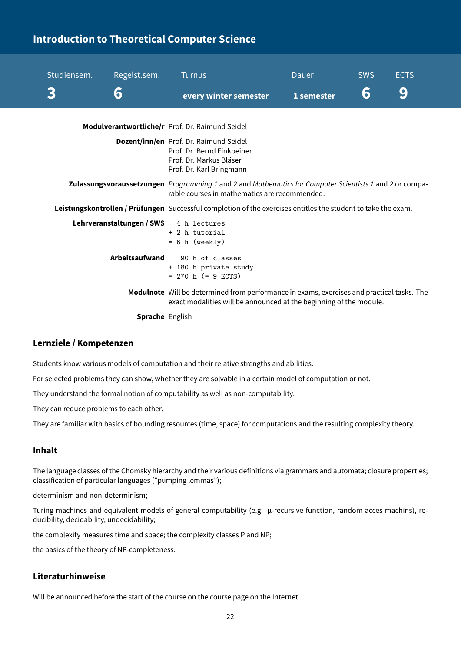# <span id="page-22-0"></span>**Introduction to Theoretical Computer Science**

| Studiensem. | Regelst.sem.              | <b>Turnus</b>                                                                                                                                                    | Dauer      | <b>SWS</b> | <b>ECTS</b> |
|-------------|---------------------------|------------------------------------------------------------------------------------------------------------------------------------------------------------------|------------|------------|-------------|
|             | 6                         | every winter semester                                                                                                                                            | 1 semester | 6          | 9           |
|             |                           | Modulverantwortliche/r Prof. Dr. Raimund Seidel                                                                                                                  |            |            |             |
|             |                           | Dozent/inn/en Prof. Dr. Raimund Seidel<br>Prof. Dr. Bernd Finkbeiner<br>Prof. Dr. Markus Bläser<br>Prof. Dr. Karl Bringmann                                      |            |            |             |
|             |                           | Zulassungsvoraussetzungen Programming 1 and 2 and Mathematics for Computer Scientists 1 and 2 or compa-<br>rable courses in mathematics are recommended.         |            |            |             |
|             |                           | Leistungskontrollen / Prüfungen Successful completion of the exercises entitles the student to take the exam.                                                    |            |            |             |
|             | Lehrveranstaltungen / SWS | 4 h lectures<br>+ 2 h tutorial<br>$= 6 h$ (weekly)                                                                                                               |            |            |             |
|             | Arbeitsaufwand            | 90 h of classes<br>+ 180 h private study<br>$= 270$ h (= 9 ECTS)                                                                                                 |            |            |             |
|             |                           | Modulnote Will be determined from performance in exams, exercises and practical tasks. The<br>exact modalities will be announced at the beginning of the module. |            |            |             |
|             | <b>Sprache</b> English    |                                                                                                                                                                  |            |            |             |

#### **Lernziele / Kompetenzen**

Students know various models of computation and their relative strengths and abilities.

For selected problems they can show, whether they are solvable in a certain model of computation or not.

They understand the formal notion of computability as well as non-computability.

They can reduce problems to each other.

They are familiar with basics of bounding resources (time, space) for computations and the resulting complexity theory.

#### **Inhalt**

The language classes of the Chomsky hierarchy and their various definitions via grammars and automata; closure properties; classification of particular languages ("pumping lemmas");

determinism and non-determinism;

Turing machines and equivalent models of general computability (e.g. μ-recursive function, random acces machins), reducibility, decidability, undecidability;

the complexity measures time and space; the complexity classes P and NP;

the basics of the theory of NP-completeness.

#### **Literaturhinweise**

Will be announced before the start of the course on the course page on the Internet.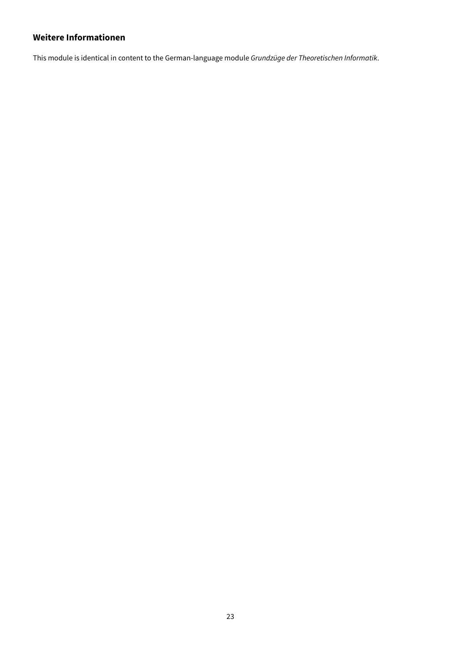## **Weitere Informationen**

This module is identical in content to the German-language module Grundzüge der Theoretischen Informatik.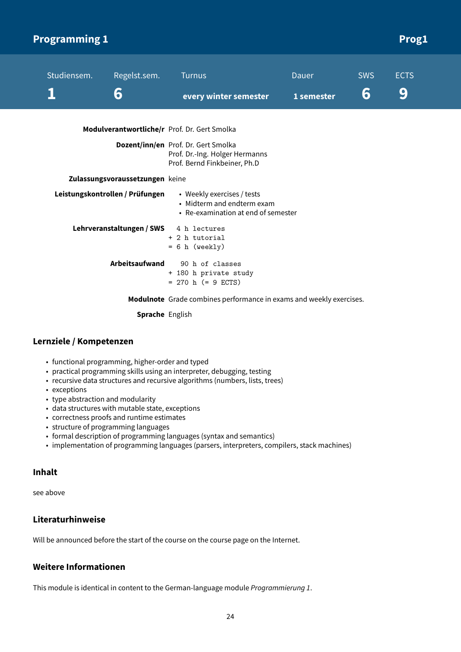<span id="page-24-0"></span>

| <b>Programming 1</b> |                                 |                                                                                                       |                     |                 | <b>Prog1</b>     |
|----------------------|---------------------------------|-------------------------------------------------------------------------------------------------------|---------------------|-----------------|------------------|
| Studiensem.          | Regelst.sem.<br>6               | <b>Turnus</b><br>every winter semester                                                                | Dauer<br>1 semester | <b>SWS</b><br>6 | <b>ECTS</b><br>9 |
|                      |                                 | Modulverantwortliche/r Prof. Dr. Gert Smolka                                                          |                     |                 |                  |
|                      |                                 | Dozent/inn/en Prof. Dr. Gert Smolka<br>Prof. Dr.-Ing. Holger Hermanns<br>Prof. Bernd Finkbeiner, Ph.D |                     |                 |                  |
|                      | Zulassungsvoraussetzungen keine |                                                                                                       |                     |                 |                  |
|                      | Leistungskontrollen / Prüfungen | • Weekly exercises / tests<br>• Midterm and endterm exam<br>• Re-examination at end of semester       |                     |                 |                  |
|                      | Lehrveranstaltungen / SWS       | 4 h lectures<br>+ 2 h tutorial<br>$= 6 h$ (weekly)                                                    |                     |                 |                  |
|                      | <b>Arbeitsaufwand</b>           | 90 h of classes<br>+ 180 h private study<br>$= 270$ h (= 9 ECTS)                                      |                     |                 |                  |
|                      |                                 | <b>Modulnote</b> Grade combines performance in exams and weekly exercises.                            |                     |                 |                  |

**Sprache** English

## **Lernziele / Kompetenzen**

- functional programming, higher-order and typed
- practical programming skills using an interpreter, debugging, testing
- recursive data structures and recursive algorithms (numbers, lists, trees)
- exceptions
- type abstraction and modularity
- data structures with mutable state, exceptions
- correctness proofs and runtime estimates
- structure of programming languages
- formal description of programming languages (syntax and semantics)
- implementation of programming languages (parsers, interpreters, compilers, stack machines)

#### **Inhalt**

see above

## **Literaturhinweise**

Will be announced before the start of the course on the course page on the Internet.

## **Weitere Informationen**

This module is identical in content to the German-language module Programmierung 1.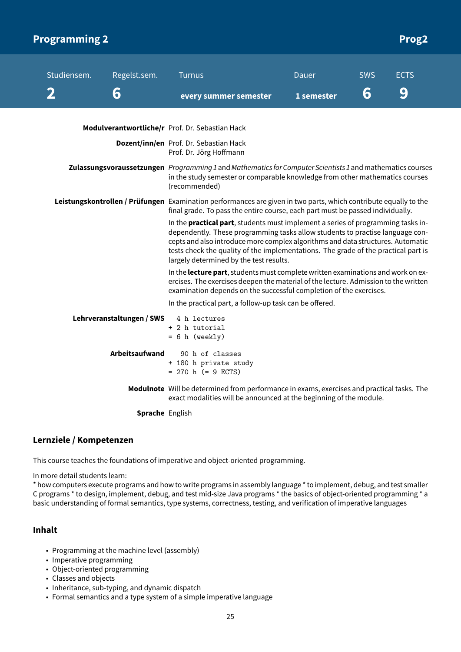<span id="page-25-0"></span>

| <b>Programming 2</b> |                                                                                                                                                                                                    |                           |                                                                                                                                                                                                                                                                                                                                                                                       |              |            | <b>Prog2</b> |
|----------------------|----------------------------------------------------------------------------------------------------------------------------------------------------------------------------------------------------|---------------------------|---------------------------------------------------------------------------------------------------------------------------------------------------------------------------------------------------------------------------------------------------------------------------------------------------------------------------------------------------------------------------------------|--------------|------------|--------------|
|                      | Studiensem.                                                                                                                                                                                        | Regelst.sem.              | <b>Turnus</b>                                                                                                                                                                                                                                                                                                                                                                         | <b>Dauer</b> | <b>SWS</b> | <b>ECTS</b>  |
|                      | 2                                                                                                                                                                                                  | 6                         | every summer semester                                                                                                                                                                                                                                                                                                                                                                 | 1 semester   | 6          | 9            |
|                      |                                                                                                                                                                                                    |                           | Modulverantwortliche/r Prof. Dr. Sebastian Hack                                                                                                                                                                                                                                                                                                                                       |              |            |              |
|                      |                                                                                                                                                                                                    |                           | Dozent/inn/en Prof. Dr. Sebastian Hack<br>Prof. Dr. Jörg Hoffmann                                                                                                                                                                                                                                                                                                                     |              |            |              |
|                      |                                                                                                                                                                                                    |                           | Zulassungsvoraussetzungen Programming 1 and Mathematics for Computer Scientists 1 and mathematics courses<br>in the study semester or comparable knowledge from other mathematics courses<br>(recommended)                                                                                                                                                                            |              |            |              |
|                      | Leistungskontrollen / Prüfungen Examination performances are given in two parts, which contribute equally to the<br>final grade. To pass the entire course, each part must be passed individually. |                           |                                                                                                                                                                                                                                                                                                                                                                                       |              |            |              |
|                      |                                                                                                                                                                                                    |                           | In the practical part, students must implement a series of programming tasks in-<br>dependently. These programming tasks allow students to practise language con-<br>cepts and also introduce more complex algorithms and data structures. Automatic<br>tests check the quality of the implementations. The grade of the practical part is<br>largely determined by the test results. |              |            |              |
|                      |                                                                                                                                                                                                    |                           | In the lecture part, students must complete written examinations and work on ex-<br>ercises. The exercises deepen the material of the lecture. Admission to the written<br>examination depends on the successful completion of the exercises.                                                                                                                                         |              |            |              |
|                      |                                                                                                                                                                                                    |                           | In the practical part, a follow-up task can be offered.                                                                                                                                                                                                                                                                                                                               |              |            |              |
|                      |                                                                                                                                                                                                    | Lehrveranstaltungen / SWS | 4 h lectures<br>+ 2 h tutorial<br>$= 6 h$ (weekly)                                                                                                                                                                                                                                                                                                                                    |              |            |              |
|                      |                                                                                                                                                                                                    | <b>Arbeitsaufwand</b>     | 90 h of classes<br>+ 180 h private study<br>$= 270$ h (= 9 ECTS)                                                                                                                                                                                                                                                                                                                      |              |            |              |
|                      |                                                                                                                                                                                                    |                           | Modulnote Will be determined from performance in exams, exercises and practical tasks. The<br>exact modalities will be announced at the beginning of the module.                                                                                                                                                                                                                      |              |            |              |
|                      |                                                                                                                                                                                                    | Sprache English           |                                                                                                                                                                                                                                                                                                                                                                                       |              |            |              |

#### **Lernziele / Kompetenzen**

This course teaches the foundations of imperative and object-oriented programming.

In more detail students learn:

\* how computers execute programs and how to write programs in assembly language \* to implement, debug, and test smaller C programs \* to design, implement, debug, and test mid-size Java programs \* the basics of object-oriented programming \* a basic understanding of formal semantics, type systems, correctness, testing, and verification of imperative languages

## **Inhalt**

- Programming at the machine level (assembly)
- Imperative programming
- Object-oriented programming
- Classes and objects
- Inheritance, sub-typing, and dynamic dispatch
- Formal semantics and a type system of a simple imperative language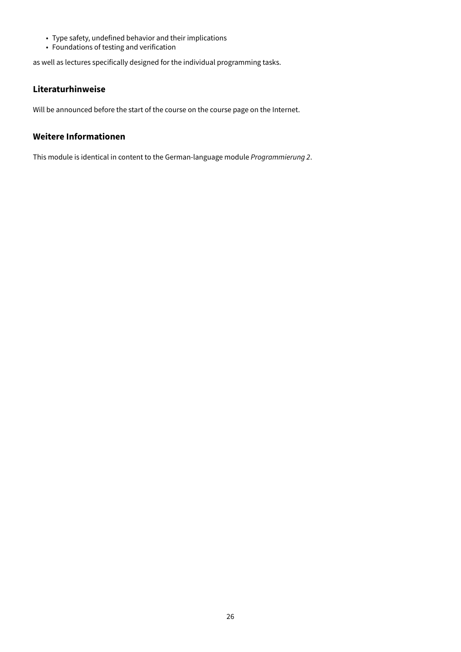- Type safety, undefined behavior and their implications
- Foundations of testing and verification

as well as lectures specifically designed for the individual programming tasks.

#### **Literaturhinweise**

Will be announced before the start of the course on the course page on the Internet.

## **Weitere Informationen**

This module is identical in content to the German-language module Programmierung 2.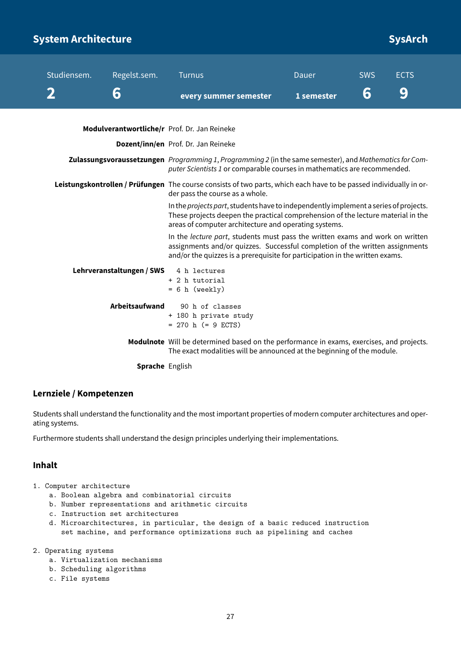# <span id="page-27-0"></span>**System Architecture and System Architecture SysArch**

| Studiensem. | Regelst.sem.                                                                                                                                                                                                                                  | <b>Turnus</b>                                                                                                                                                                                                                     | <b>Dauer</b> | <b>SWS</b> | <b>ECTS</b> |  |
|-------------|-----------------------------------------------------------------------------------------------------------------------------------------------------------------------------------------------------------------------------------------------|-----------------------------------------------------------------------------------------------------------------------------------------------------------------------------------------------------------------------------------|--------------|------------|-------------|--|
|             | 6                                                                                                                                                                                                                                             | every summer semester                                                                                                                                                                                                             | 1 semester   | 6          | 9           |  |
|             |                                                                                                                                                                                                                                               | Modulverantwortliche/r Prof. Dr. Jan Reineke                                                                                                                                                                                      |              |            |             |  |
|             |                                                                                                                                                                                                                                               | Dozent/inn/en Prof. Dr. Jan Reineke                                                                                                                                                                                               |              |            |             |  |
|             |                                                                                                                                                                                                                                               | Zulassungsvoraussetzungen Programming 1, Programming 2 (in the same semester), and Mathematics for Com-<br>puter Scientists 1 or comparable courses in mathematics are recommended.                                               |              |            |             |  |
|             |                                                                                                                                                                                                                                               | Leistungskontrollen / Prüfungen The course consists of two parts, which each have to be passed individually in or-<br>der pass the course as a whole.                                                                             |              |            |             |  |
|             |                                                                                                                                                                                                                                               | In the projects part, students have to independently implement a series of projects.<br>These projects deepen the practical comprehension of the lecture material in the<br>areas of computer architecture and operating systems. |              |            |             |  |
|             | In the lecture part, students must pass the written exams and work on written<br>assignments and/or quizzes. Successful completion of the written assignments<br>and/or the quizzes is a prerequisite for participation in the written exams. |                                                                                                                                                                                                                                   |              |            |             |  |
|             | Lehrveranstaltungen / SWS                                                                                                                                                                                                                     | 4 h lectures<br>+ 2 h tutorial<br>$= 6 h$ (weekly)                                                                                                                                                                                |              |            |             |  |
|             | <b>Arbeitsaufwand</b>                                                                                                                                                                                                                         | 90 h of classes<br>+ 180 h private study<br>$= 270$ h (= 9 ECTS)                                                                                                                                                                  |              |            |             |  |
|             |                                                                                                                                                                                                                                               | Modulnote Will be determined based on the performance in exams, exercises, and projects.<br>The exact modalities will be announced at the beginning of the module.                                                                |              |            |             |  |

**Sprache** English

#### **Lernziele / Kompetenzen**

Students shall understand the functionality and the most important properties of modern computer architectures and operating systems.

Furthermore students shall understand the design principles underlying their implementations.

#### **Inhalt**

- 1. Computer architecture
	- a. Boolean algebra and combinatorial circuits
	- b. Number representations and arithmetic circuits
	- c. Instruction set architectures
	- d. Microarchitectures, in particular, the design of a basic reduced instruction set machine, and performance optimizations such as pipelining and caches
- 2. Operating systems
	- a. Virtualization mechanisms
	- b. Scheduling algorithms
	- c. File systems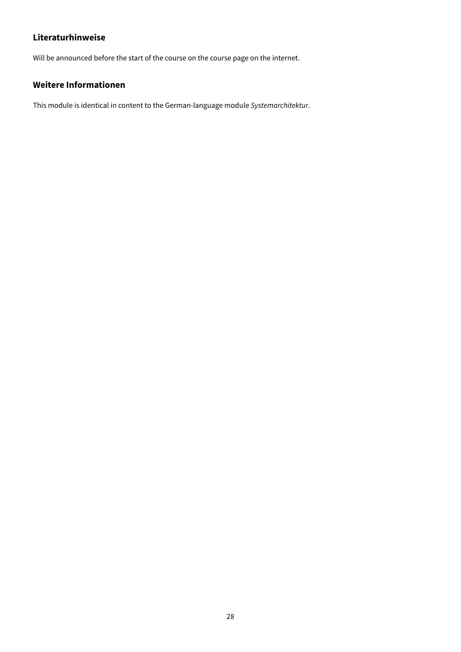Will be announced before the start of the course on the course page on the internet.

## **Weitere Informationen**

This module is identical in content to the German-language module Systemarchitektur.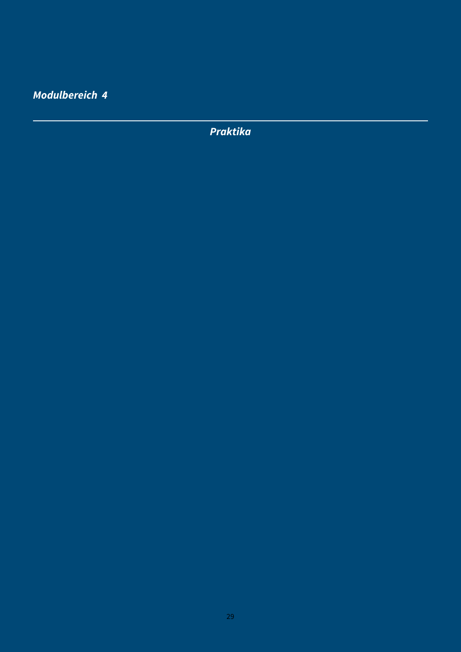<span id="page-29-0"></span>**Modulbereich 4**

**Praktika**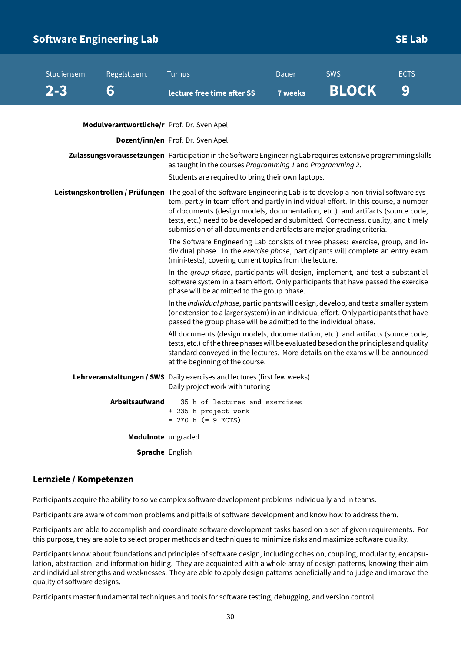# <span id="page-30-0"></span>**Software Engineering Lab** Software Engineering Lab

| Studiensem. | Regelst.sem.                               | <b>Turnus</b>                                                                                                                                                                                                                                                                                                                                                                                                                                             | Dauer          | <b>SWS</b>   | <b>ECTS</b> |  |  |
|-------------|--------------------------------------------|-----------------------------------------------------------------------------------------------------------------------------------------------------------------------------------------------------------------------------------------------------------------------------------------------------------------------------------------------------------------------------------------------------------------------------------------------------------|----------------|--------------|-------------|--|--|
| $2 - 3$     | 6                                          | lecture free time after SS                                                                                                                                                                                                                                                                                                                                                                                                                                | <b>7 weeks</b> | <b>BLOCK</b> | 9           |  |  |
|             |                                            |                                                                                                                                                                                                                                                                                                                                                                                                                                                           |                |              |             |  |  |
|             | Modulverantwortliche/r Prof. Dr. Sven Apel |                                                                                                                                                                                                                                                                                                                                                                                                                                                           |                |              |             |  |  |
|             |                                            | Dozent/inn/en Prof. Dr. Sven Apel                                                                                                                                                                                                                                                                                                                                                                                                                         |                |              |             |  |  |
|             |                                            | Zulassungsvoraussetzungen Participation in the Software Engineering Lab requires extensive programming skills<br>as taught in the courses Programming 1 and Programming 2.<br>Students are required to bring their own laptops.                                                                                                                                                                                                                           |                |              |             |  |  |
|             |                                            | Leistungskontrollen / Prüfungen The goal of the Software Engineering Lab is to develop a non-trivial software sys-<br>tem, partly in team effort and partly in individual effort. In this course, a number<br>of documents (design models, documentation, etc.) and artifacts (source code,<br>tests, etc.) need to be developed and submitted. Correctness, quality, and timely<br>submission of all documents and artifacts are major grading criteria. |                |              |             |  |  |
|             |                                            | The Software Engineering Lab consists of three phases: exercise, group, and in-<br>dividual phase. In the exercise phase, participants will complete an entry exam<br>(mini-tests), covering current topics from the lecture.                                                                                                                                                                                                                             |                |              |             |  |  |
|             |                                            | In the group phase, participants will design, implement, and test a substantial<br>software system in a team effort. Only participants that have passed the exercise<br>phase will be admitted to the group phase.                                                                                                                                                                                                                                        |                |              |             |  |  |
|             |                                            | In the individual phase, participants will design, develop, and test a smaller system<br>(or extension to a larger system) in an individual effort. Only participants that have<br>passed the group phase will be admitted to the individual phase.                                                                                                                                                                                                       |                |              |             |  |  |
|             |                                            | All documents (design models, documentation, etc.) and artifacts (source code,<br>tests, etc.) of the three phases will be evaluated based on the principles and quality<br>standard conveyed in the lectures. More details on the exams will be announced<br>at the beginning of the course.                                                                                                                                                             |                |              |             |  |  |
|             |                                            | Lehrveranstaltungen / SWS Daily exercises and lectures (first few weeks)<br>Daily project work with tutoring                                                                                                                                                                                                                                                                                                                                              |                |              |             |  |  |
|             | Arbeitsaufwand                             | 35 h of lectures and exercises<br>+ 235 h project work<br>$= 270$ h (= 9 ECTS)                                                                                                                                                                                                                                                                                                                                                                            |                |              |             |  |  |
|             | Modulnote ungraded                         |                                                                                                                                                                                                                                                                                                                                                                                                                                                           |                |              |             |  |  |
|             | <b>Sprache</b> English                     |                                                                                                                                                                                                                                                                                                                                                                                                                                                           |                |              |             |  |  |

#### **Lernziele / Kompetenzen**

Participants acquire the ability to solve complex software development problems individually and in teams.

Participants are aware of common problems and pitfalls of software development and know how to address them.

Participants are able to accomplish and coordinate software development tasks based on a set of given requirements. For this purpose, they are able to select proper methods and techniques to minimize risks and maximize software quality.

Participants know about foundations and principles of software design, including cohesion, coupling, modularity, encapsulation, abstraction, and information hiding. They are acquainted with a whole array of design patterns, knowing their aim and individual strengths and weaknesses. They are able to apply design patterns beneficially and to judge and improve the quality of software designs.

Participants master fundamental techniques and tools for software testing, debugging, and version control.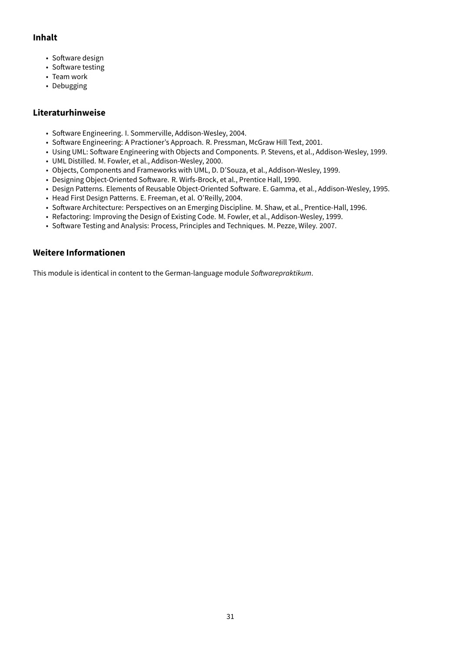## **Inhalt**

- Software design
- Software testing
- Team work
- Debugging

## **Literaturhinweise**

- Software Engineering. I. Sommerville, Addison-Wesley, 2004.
- Software Engineering: A Practioner's Approach. R. Pressman, McGraw Hill Text, 2001.
- Using UML: Software Engineering with Objects and Components. P. Stevens, et al., Addison-Wesley, 1999.
- UML Distilled. M. Fowler, et al., Addison-Wesley, 2000.
- Objects, Components and Frameworks with UML, D. D'Souza, et al., Addison-Wesley, 1999.
- Designing Object-Oriented Software. R. Wirfs-Brock, et al., Prentice Hall, 1990.
- Design Patterns. Elements of Reusable Object-Oriented Software. E. Gamma, et al., Addison-Wesley, 1995.
- Head First Design Patterns. E. Freeman, et al. O'Reilly, 2004.
- Software Architecture: Perspectives on an Emerging Discipline. M. Shaw, et al., Prentice-Hall, 1996.
- Refactoring: Improving the Design of Existing Code. M. Fowler, et al., Addison-Wesley, 1999.
- Software Testing and Analysis: Process, Principles and Techniques. M. Pezze, Wiley. 2007.

## **Weitere Informationen**

This module is identical in content to the German-language module Softwarepraktikum.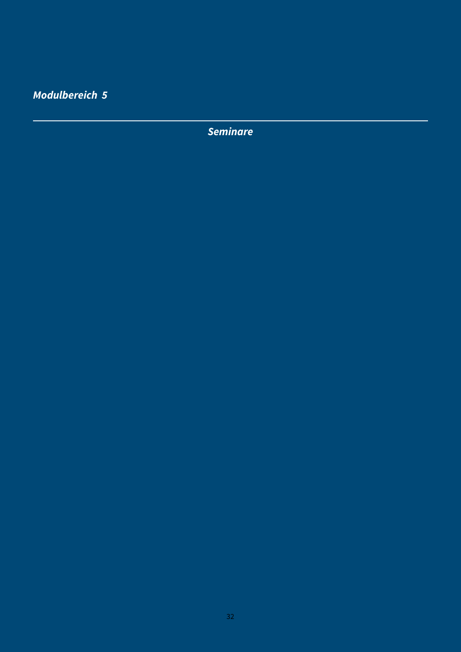<span id="page-32-0"></span>**Modulbereich 5**

**Seminare**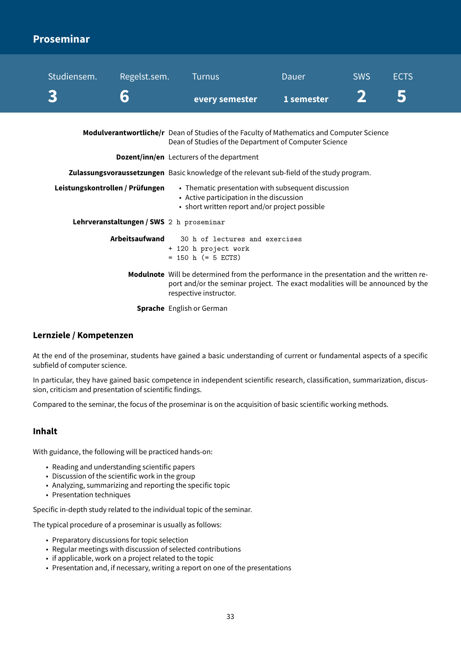# <span id="page-33-0"></span>**Proseminar**

| Studiensem.                               | Regelst.sem.<br>6                        | <b>Turnus</b>                                                                                                                                                                                         | <b>Dauer</b> | <b>SWS</b> | <b>ECTS</b><br>5 |  |
|-------------------------------------------|------------------------------------------|-------------------------------------------------------------------------------------------------------------------------------------------------------------------------------------------------------|--------------|------------|------------------|--|
|                                           |                                          | every semester                                                                                                                                                                                        | 1 semester   |            |                  |  |
|                                           |                                          | Modulverantwortliche/r Dean of Studies of the Faculty of Mathematics and Computer Science<br>Dean of Studies of the Department of Computer Science                                                    |              |            |                  |  |
| Dozent/inn/en Lecturers of the department |                                          |                                                                                                                                                                                                       |              |            |                  |  |
|                                           |                                          | Zulassungsvoraussetzungen Basic knowledge of the relevant sub-field of the study program.                                                                                                             |              |            |                  |  |
| Leistungskontrollen / Prüfungen           |                                          | • Thematic presentation with subsequent discussion<br>• Active participation in the discussion<br>• short written report and/or project possible                                                      |              |            |                  |  |
|                                           | Lehrveranstaltungen / SWS 2 h proseminar |                                                                                                                                                                                                       |              |            |                  |  |
|                                           | <b>Arbeitsaufwand</b>                    | 30 h of lectures and exercises<br>+ 120 h project work<br>$= 150$ h (= 5 ECTS)                                                                                                                        |              |            |                  |  |
|                                           |                                          | Modulnote Will be determined from the performance in the presentation and the written re-<br>port and/or the seminar project. The exact modalities will be announced by the<br>respective instructor. |              |            |                  |  |
|                                           | <b>Sprache</b> English or German         |                                                                                                                                                                                                       |              |            |                  |  |

## **Lernziele / Kompetenzen**

At the end of the proseminar, students have gained a basic understanding of current or fundamental aspects of a specific subfield of computer science.

In particular, they have gained basic competence in independent scientific research, classification, summarization, discussion, criticism and presentation of scientific findings.

Compared to the seminar, the focus of the proseminar is on the acquisition of basic scientific working methods.

#### **Inhalt**

With guidance, the following will be practiced hands-on:

- Reading and understanding scientific papers
- Discussion of the scientific work in the group
- Analyzing, summarizing and reporting the specific topic
- Presentation techniques

Specific in-depth study related to the individual topic of the seminar.

The typical procedure of a proseminar is usually as follows:

- Preparatory discussions for topic selection
- Regular meetings with discussion of selected contributions
- if applicable, work on a project related to the topic
- Presentation and, if necessary, writing a report on one of the presentations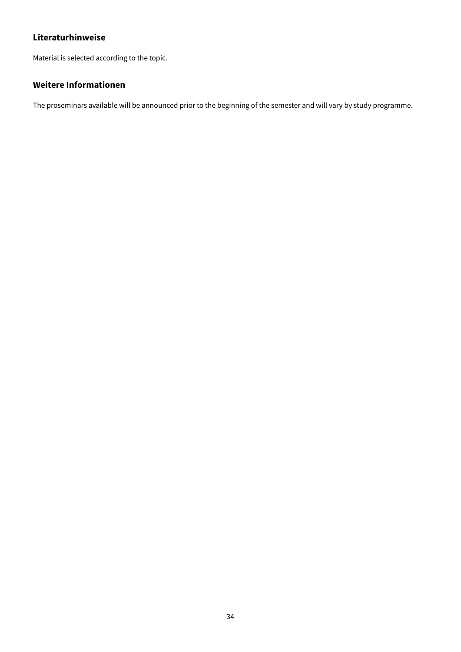Material is selected according to the topic.

# **Weitere Informationen**

The proseminars available will be announced prior to the beginning of the semester and will vary by study programme.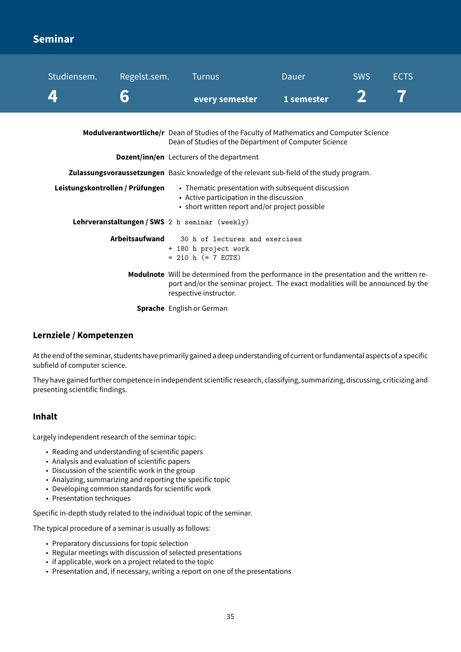# <span id="page-35-0"></span>**Seminar**

| Studiensem.                                                                                                                   | Regelst.sem.          | <b>Turnus</b>                                                                                                                                                                                         | Dauer                                              | <b>SWS</b> | <b>ECTS</b> |
|-------------------------------------------------------------------------------------------------------------------------------|-----------------------|-------------------------------------------------------------------------------------------------------------------------------------------------------------------------------------------------------|----------------------------------------------------|------------|-------------|
|                                                                                                                               | 6                     | every semester                                                                                                                                                                                        | 1 semester                                         |            |             |
|                                                                                                                               |                       | Modulverantwortliche/r Dean of Studies of the Faculty of Mathematics and Computer Science<br>Dean of Studies of the Department of Computer Science                                                    |                                                    |            |             |
| <b>Dozent/inn/en</b> Lecturers of the department                                                                              |                       |                                                                                                                                                                                                       |                                                    |            |             |
| Zulassungsvoraussetzungen Basic knowledge of the relevant sub-field of the study program.                                     |                       |                                                                                                                                                                                                       |                                                    |            |             |
| Leistungskontrollen / Prüfungen<br>• Active participation in the discussion<br>• short written report and/or project possible |                       |                                                                                                                                                                                                       | • Thematic presentation with subsequent discussion |            |             |
| Lehrveranstaltungen / SWS 2 h seminar (weekly)                                                                                |                       |                                                                                                                                                                                                       |                                                    |            |             |
|                                                                                                                               | <b>Arbeitsaufwand</b> | 30 h of lectures and exercises<br>+ 180 h project work<br>$= 210$ h (= 7 ECTS)                                                                                                                        |                                                    |            |             |
|                                                                                                                               |                       | Modulnote Will be determined from the performance in the presentation and the written re-<br>port and/or the seminar project. The exact modalities will be announced by the<br>respective instructor. |                                                    |            |             |
|                                                                                                                               |                       | <b>Sprache</b> English or German                                                                                                                                                                      |                                                    |            |             |

#### **Lernziele / Kompetenzen**

At the end of the seminar, students have primarily gained a deep understanding of current orfundamental aspects of a specific subfield of computer science.

They have gained further competence in independent scientific research, classifying, summarizing, discussing, criticizing and presenting scientific findings.

#### **Inhalt**

Largely independent research of the seminar topic:

- Reading and understanding of scientific papers
- Analysis and evaluation of scientific papers
- Discussion of the scientific work in the group
- Analyzing, summarizing and reporting the specific topic
- Developing common standards for scientific work
- Presentation techniques

Specific in-depth study related to the individual topic of the seminar.

The typical procedure of a seminar is usually as follows:

- Preparatory discussions for topic selection
- Regular meetings with discussion of selected presentations
- if applicable, work on a project related to the topic
- Presentation and, if necessary, writing a report on one of the presentations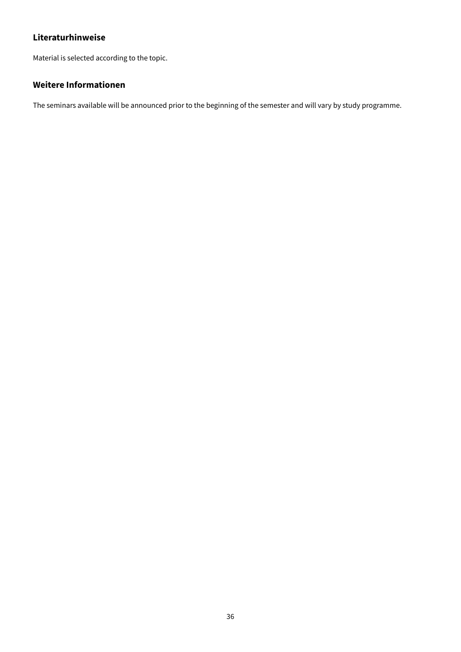Material is selected according to the topic.

### **Weitere Informationen**

The seminars available will be announced prior to the beginning of the semester and will vary by study programme.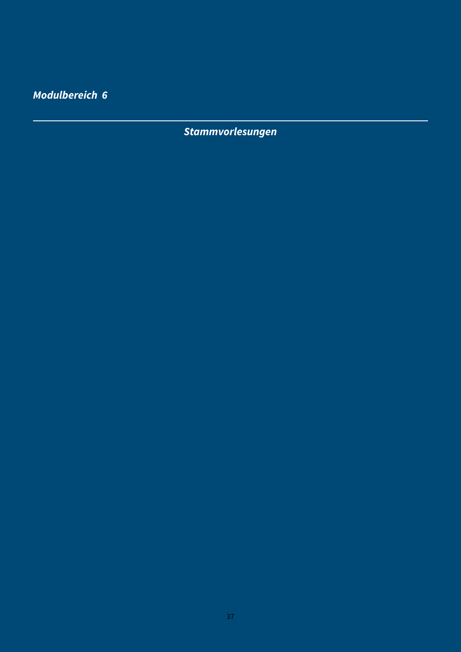**Modulbereich 6**

**Stammvorlesungen**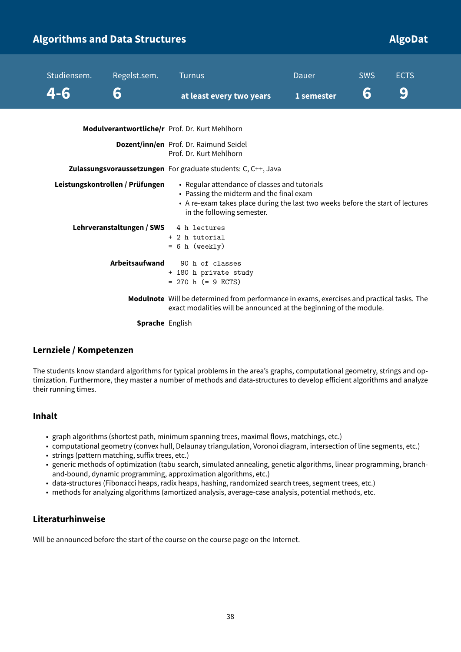### **Algorithms and Data Structures Algorithms and Data Structures Algorithms and Data Algorithms and Data Structures**

| Studiensem. | Regelst.sem.                    | <b>Turnus</b>                                                                                                                                                                                             | Dauer      | <b>SWS</b> | <b>ECTS</b> |
|-------------|---------------------------------|-----------------------------------------------------------------------------------------------------------------------------------------------------------------------------------------------------------|------------|------------|-------------|
| 4-6         | 6                               | at least every two years                                                                                                                                                                                  | 1 semester | 6          | 9           |
|             |                                 | Modulverantwortliche/r Prof. Dr. Kurt Mehlhorn                                                                                                                                                            |            |            |             |
|             |                                 | <b>Dozent/inn/en</b> Prof. Dr. Raimund Seidel<br>Prof. Dr. Kurt Mehlhorn                                                                                                                                  |            |            |             |
|             |                                 | <b>Zulassungsvoraussetzungen</b> For graduate students: C, C++, Java                                                                                                                                      |            |            |             |
|             | Leistungskontrollen / Prüfungen | • Regular attendance of classes and tutorials<br>• Passing the midterm and the final exam<br>• A re-exam takes place during the last two weeks before the start of lectures<br>in the following semester. |            |            |             |
|             | Lehrveranstaltungen / SWS       | 4 h lectures<br>+ 2 h tutorial<br>$= 6 h$ (weekly)                                                                                                                                                        |            |            |             |
|             | Arbeitsaufwand                  | 90 h of classes<br>+ 180 h private study<br>$= 270$ h ( $= 9$ ECTS)                                                                                                                                       |            |            |             |
|             |                                 | Modulnote Will be determined from performance in exams, exercises and practical tasks. The<br>exact modalities will be announced at the beginning of the module.                                          |            |            |             |
|             | <b>Sprache</b> English          |                                                                                                                                                                                                           |            |            |             |

#### **Lernziele / Kompetenzen**

The students know standard algorithms for typical problems in the area's graphs, computational geometry, strings and optimization. Furthermore, they master a number of methods and data-structures to develop efficient algorithms and analyze their running times.

#### **Inhalt**

- graph algorithms (shortest path, minimum spanning trees, maximal flows, matchings, etc.)
- computational geometry (convex hull, Delaunay triangulation, Voronoi diagram, intersection of line segments, etc.)
- strings (pattern matching, suffix trees, etc.)
- generic methods of optimization (tabu search, simulated annealing, genetic algorithms, linear programming, branchand-bound, dynamic programming, approximation algorithms, etc.)
- data-structures (Fibonacci heaps, radix heaps, hashing, randomized search trees, segment trees, etc.)
- methods for analyzing algorithms (amortized analysis, average-case analysis, potential methods, etc.

#### **Literaturhinweise**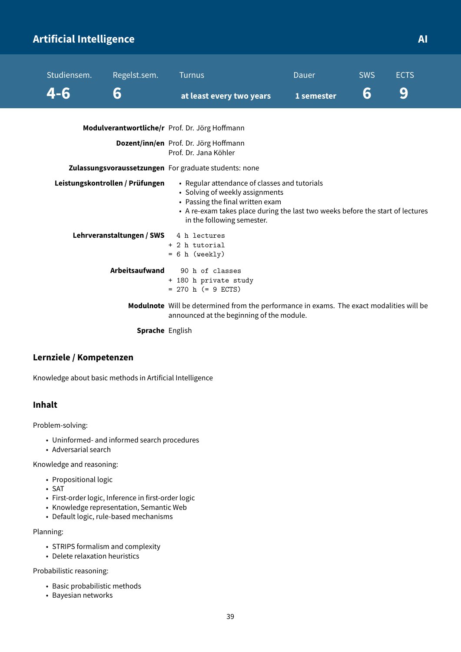## **Artificial Intelligence AI**

| Studiensem. | Regelst.sem.                    | <b>Turnus</b>                                                                                                                                                                                                                        | Dauer      | <b>SWS</b> | <b>ECTS</b> |
|-------------|---------------------------------|--------------------------------------------------------------------------------------------------------------------------------------------------------------------------------------------------------------------------------------|------------|------------|-------------|
| 4-6         | 6                               | at least every two years                                                                                                                                                                                                             | 1 semester | 6          | 9           |
|             |                                 | Modulverantwortliche/r Prof. Dr. Jörg Hoffmann                                                                                                                                                                                       |            |            |             |
|             |                                 | Dozent/inn/en Prof. Dr. Jörg Hoffmann<br>Prof. Dr. Jana Köhler                                                                                                                                                                       |            |            |             |
|             |                                 | Zulassungsvoraussetzungen For graduate students: none                                                                                                                                                                                |            |            |             |
|             | Leistungskontrollen / Prüfungen | • Regular attendance of classes and tutorials<br>• Solving of weekly assignments<br>• Passing the final written exam<br>• A re-exam takes place during the last two weeks before the start of lectures<br>in the following semester. |            |            |             |
|             | Lehrveranstaltungen / SWS       | 4 h lectures<br>+ 2 h tutorial<br>$= 6 h$ (weekly)                                                                                                                                                                                   |            |            |             |
|             | Arbeitsaufwand                  | 90 h of classes<br>+ 180 h private study<br>$= 270$ h (= 9 ECTS)                                                                                                                                                                     |            |            |             |
|             |                                 | Modulnote Will be determined from the performance in exams. The exact modalities will be<br>announced at the beginning of the module.                                                                                                |            |            |             |

**Sprache** English

#### **Lernziele / Kompetenzen**

Knowledge about basic methods in Artificial Intelligence

#### **Inhalt**

Problem-solving:

- Uninformed- and informed search procedures
- Adversarial search

Knowledge and reasoning:

- Propositional logic
- SAT
- First-order logic, Inference in first-order logic
- Knowledge representation, Semantic Web
- Default logic, rule-based mechanisms

Planning:

- STRIPS formalism and complexity
- Delete relaxation heuristics

Probabilistic reasoning:

- Basic probabilistic methods
- Bayesian networks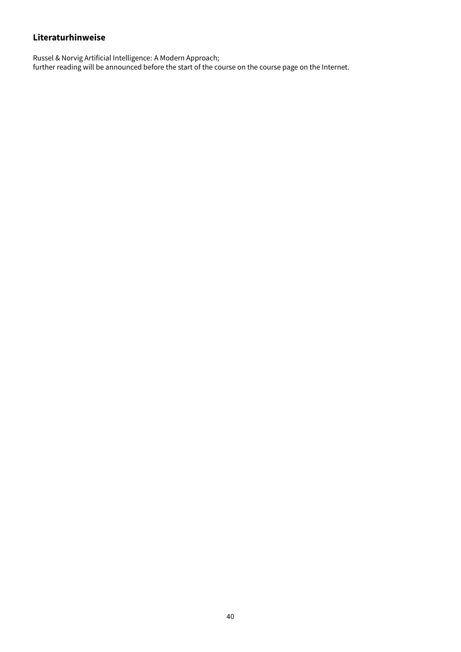Russel & Norvig Artificial Intelligence: A Modern Approach; further reading will be announced before the start of the course on the course page on the Internet.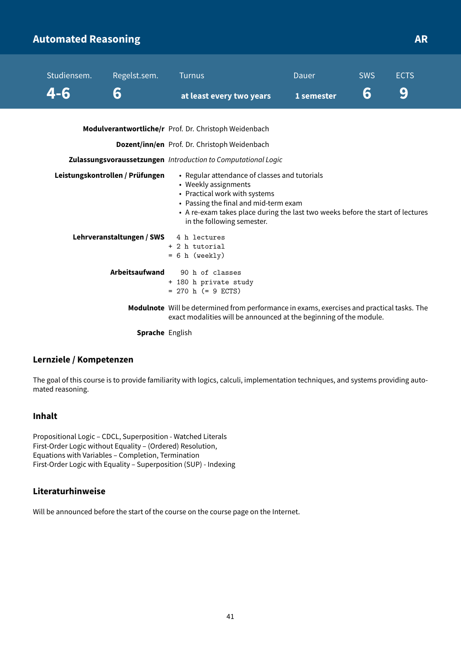### **Automated Reasoning AR**

| Studiensem. | Regelst.sem.                    | <b>Turnus</b>                                                                                                                                                                                                                                                   | Dauer      | <b>SWS</b> | <b>ECTS</b> |
|-------------|---------------------------------|-----------------------------------------------------------------------------------------------------------------------------------------------------------------------------------------------------------------------------------------------------------------|------------|------------|-------------|
| 4-6         | 6                               | at least every two years                                                                                                                                                                                                                                        | 1 semester | 6          | 9           |
|             |                                 | Modulverantwortliche/r Prof. Dr. Christoph Weidenbach                                                                                                                                                                                                           |            |            |             |
|             |                                 | Dozent/inn/en Prof. Dr. Christoph Weidenbach                                                                                                                                                                                                                    |            |            |             |
|             |                                 | Zulassungsvoraussetzungen Introduction to Computational Logic                                                                                                                                                                                                   |            |            |             |
|             | Leistungskontrollen / Prüfungen | • Regular attendance of classes and tutorials<br>• Weekly assignments<br>• Practical work with systems<br>• Passing the final and mid-term exam<br>• A re-exam takes place during the last two weeks before the start of lectures<br>in the following semester. |            |            |             |
|             | Lehrveranstaltungen / SWS       | 4 h lectures<br>+ 2 h tutorial<br>$= 6 h (weakly)$                                                                                                                                                                                                              |            |            |             |
|             | <b>Arbeitsaufwand</b>           | 90 h of classes<br>+ 180 h private study<br>$= 270$ h (= 9 ECTS)                                                                                                                                                                                                |            |            |             |
|             |                                 | Modulnote Will be determined from performance in exams, exercises and practical tasks. The<br>exact modalities will be announced at the beginning of the module.                                                                                                |            |            |             |
|             |                                 |                                                                                                                                                                                                                                                                 |            |            |             |

**Sprache** English

#### **Lernziele / Kompetenzen**

The goal of this course is to provide familiarity with logics, calculi, implementation techniques, and systems providing automated reasoning.

#### **Inhalt**

Propositional Logic – CDCL, Superposition - Watched Literals First-Order Logic without Equality – (Ordered) Resolution, Equations with Variables – Completion, Termination First-Order Logic with Equality – Superposition (SUP) - Indexing

### **Literaturhinweise**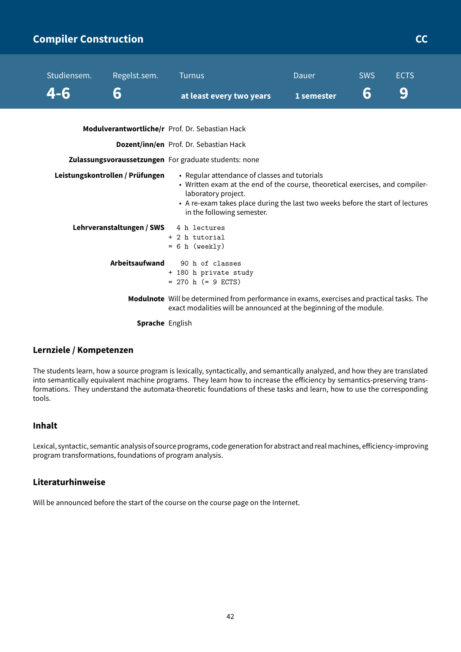### **Compiler Construction CCC COMPILER CONSTRUCTION**

| Studiensem. | Regelst.sem.                    | <b>Turnus</b>                                                                                                                                                                                                                                                         | <b>Dauer</b> | <b>SWS</b> | <b>ECTS</b> |
|-------------|---------------------------------|-----------------------------------------------------------------------------------------------------------------------------------------------------------------------------------------------------------------------------------------------------------------------|--------------|------------|-------------|
| 4-6         | 6                               | at least every two years                                                                                                                                                                                                                                              | 1 semester   | 6          | 9           |
|             |                                 |                                                                                                                                                                                                                                                                       |              |            |             |
|             |                                 | Modulverantwortliche/r Prof. Dr. Sebastian Hack                                                                                                                                                                                                                       |              |            |             |
|             |                                 | Dozent/inn/en Prof. Dr. Sebastian Hack                                                                                                                                                                                                                                |              |            |             |
|             |                                 | Zulassungsvoraussetzungen For graduate students: none                                                                                                                                                                                                                 |              |            |             |
|             | Leistungskontrollen / Prüfungen | • Regular attendance of classes and tutorials<br>• Written exam at the end of the course, theoretical exercises, and compiler-<br>laboratory project.<br>• A re-exam takes place during the last two weeks before the start of lectures<br>in the following semester. |              |            |             |
|             | Lehrveranstaltungen / SWS       | 4 h lectures<br>+ 2 h tutorial<br>$= 6 h$ (weekly)                                                                                                                                                                                                                    |              |            |             |
|             | Arbeitsaufwand                  | 90 h of classes<br>+ 180 h private study<br>$= 270$ h (= 9 ECTS)                                                                                                                                                                                                      |              |            |             |
|             |                                 | Modulnote Will be determined from performance in exams, exercises and practical tasks. The<br>exact modalities will be announced at the beginning of the module.                                                                                                      |              |            |             |

**Sprache** English

#### **Lernziele / Kompetenzen**

The students learn, how a source program is lexically, syntactically, and semantically analyzed, and how they are translated into semantically equivalent machine programs. They learn how to increase the efficiency by semantics-preserving transformations. They understand the automata-theoretic foundations of these tasks and learn, how to use the corresponding tools.

#### **Inhalt**

Lexical, syntactic, semantic analysis of source programs, code generationfor abstract and realmachines, efficiency-improving program transformations, foundations of program analysis.

#### **Literaturhinweise**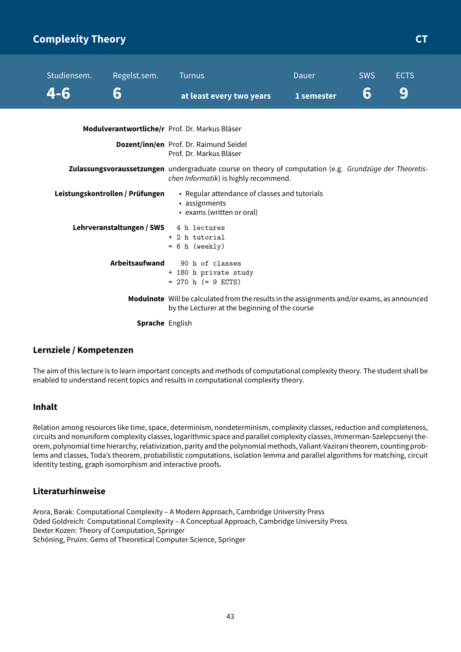### **Complexity Theory CT COMPLEXITY COMPLEXITY CT**

| Studiensem. | Regelst.sem.                    | <b>Turnus</b>                                                                                                                                   | Dauer      | <b>SWS</b> | <b>ECTS</b> |
|-------------|---------------------------------|-------------------------------------------------------------------------------------------------------------------------------------------------|------------|------------|-------------|
| 4-6         | 6                               | at least every two years                                                                                                                        | 1 semester | 6          | 9           |
|             |                                 | Modulverantwortliche/r Prof. Dr. Markus Bläser                                                                                                  |            |            |             |
|             |                                 | Dozent/inn/en Prof. Dr. Raimund Seidel<br>Prof. Dr. Markus Bläser                                                                               |            |            |             |
|             |                                 | Zulassungsvoraussetzungen undergraduate course on theory of computation (e.g. Grundzüge der Theoretis-<br>chen Informatik) is highly recommend. |            |            |             |
|             | Leistungskontrollen / Prüfungen | • Regular attendance of classes and tutorials<br>• assignments<br>• exams (written or oral)                                                     |            |            |             |
|             | Lehrveranstaltungen / SWS       | 4 h lectures<br>+ 2 h tutorial<br>$= 6 h$ (weekly)                                                                                              |            |            |             |
|             | Arbeitsaufwand                  | 90 h of classes<br>+ 180 h private study<br>$= 270$ h (= 9 ECTS)                                                                                |            |            |             |
|             |                                 | Modulnote Will be calculated from the results in the assignments and/or exams, as announced<br>by the Lecturer at the beginning of the course   |            |            |             |
|             | Sprache English                 |                                                                                                                                                 |            |            |             |

#### **Lernziele / Kompetenzen**

The aim of this lecture is to learn important concepts and methods of computational complexity theory. The student shall be enabled to understand recent topics and results in computational complexity theory.

#### **Inhalt**

Relation among resources like time, space, determinism, nondeterminism, complexity classes, reduction and completeness, circuits and nonuniform complexity classes, logarithmic space and parallel complexity classes, Immerman-Szelepcsenyi theorem, polynomial time hierarchy, relativization, parity and the polynomial methods, Valiant-Vazirani theorem, counting problems and classes, Toda's theorem, probabilistic computations, isolation lemma and parallel algorithms for matching, circuit identity testing, graph isomorphism and interactive proofs.

#### **Literaturhinweise**

Arora, Barak: Computational Complexity – A Modern Approach, Cambridge University Press Oded Goldreich: Computational Complexity – A Conceptual Approach, Cambridge University Press Dexter Kozen: Theory of Computation, Springer Schöning, Pruim: Gems of Theoretical Computer Science, Springer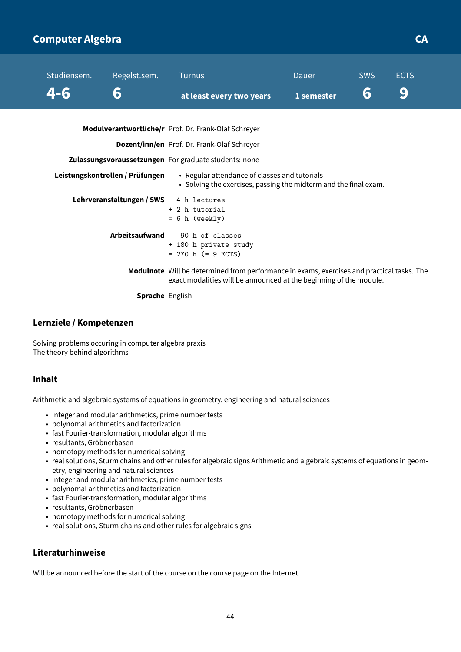### **Computer Algebra CA**

| Studiensem. | Regelst.sem.                    | <b>Turnus</b>                                                                                                                                                    | Dauer      | <b>SWS</b> | <b>ECTS</b> |
|-------------|---------------------------------|------------------------------------------------------------------------------------------------------------------------------------------------------------------|------------|------------|-------------|
| 4-6         | 6                               | at least every two years                                                                                                                                         | 1 semester | 6          | 9           |
|             |                                 | <b>Modulverantwortliche/r</b> Prof. Dr. Frank-Olaf Schreyer                                                                                                      |            |            |             |
|             |                                 | Dozent/inn/en Prof. Dr. Frank-Olaf Schreyer                                                                                                                      |            |            |             |
|             |                                 | Zulassungsvoraussetzungen For graduate students: none                                                                                                            |            |            |             |
|             | Leistungskontrollen / Prüfungen | • Regular attendance of classes and tutorials<br>• Solving the exercises, passing the midterm and the final exam.                                                |            |            |             |
|             | Lehrveranstaltungen / SWS       | 4 h lectures<br>+ 2 h tutorial<br>$= 6 h$ (weekly)                                                                                                               |            |            |             |
|             | Arbeitsaufwand                  | 90 h of classes<br>+ 180 h private study<br>$= 270$ h (= 9 ECTS)                                                                                                 |            |            |             |
|             |                                 | Modulnote Will be determined from performance in exams, exercises and practical tasks. The<br>exact modalities will be announced at the beginning of the module. |            |            |             |
|             | <b>Sprache English</b>          |                                                                                                                                                                  |            |            |             |

#### **Lernziele / Kompetenzen**

Solving problems occuring in computer algebra praxis The theory behind algorithms

#### **Inhalt**

Arithmetic and algebraic systems of equations in geometry, engineering and natural sciences

- integer and modular arithmetics, prime number tests
- polynomal arithmetics and factorization
- fast Fourier-transformation, modular algorithms
- resultants, Gröbnerbasen
- homotopy methods for numerical solving
- real solutions, Sturm chains and other rules for algebraic signs Arithmetic and algebraic systems of equations in geometry, engineering and natural sciences
- integer and modular arithmetics, prime number tests
- polynomal arithmetics and factorization
- fast Fourier-transformation, modular algorithms
- resultants, Gröbnerbasen
- homotopy methods for numerical solving
- real solutions, Sturm chains and other rules for algebraic signs

#### **Literaturhinweise**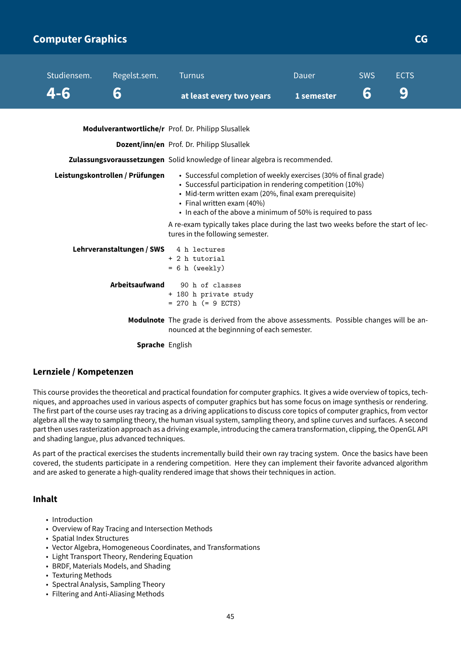### **Computer Graphics CG**

**Modulverantwortliche/r** Prof. Dr. Philipp Slusallek

**Dozent/inn/en** Prof. Dr. Philipp Slusallek

**Zulassungsvoraussetzungen** Solid knowledge of linear algebra is recommended.

| Leistungskontrollen / Prüfungen | • Successful completion of weekly exercises (30% of final grade)<br>• Successful participation in rendering competition (10%)<br>• Mid-term written exam (20%, final exam prerequisite)<br>• Final written exam $(40%)$<br>• In each of the above a minimum of 50% is required to pass |
|---------------------------------|----------------------------------------------------------------------------------------------------------------------------------------------------------------------------------------------------------------------------------------------------------------------------------------|
|                                 | A re-exam typically takes place during the last two weeks before the start of lec-<br>tures in the following semester.                                                                                                                                                                 |
| Lehrveranstaltungen / SWS       | 4 h lectures<br>+ 2 h tutorial<br>$= 6$ h (weekly)                                                                                                                                                                                                                                     |
| <b>Arbeitsaufwand</b>           | 90 h of classes<br>+ 180 h private study<br>$= 270$ h (= 9 ECTS)                                                                                                                                                                                                                       |
|                                 | <b>Modulnote</b> The grade is derived from the above assessments. Possible changes will be an-<br>nounced at the beginnning of each semester.                                                                                                                                          |

**Sprache** English

#### **Lernziele / Kompetenzen**

This course provides the theoretical and practical foundation for computer graphics. It gives a wide overview of topics, techniques, and approaches used in various aspects of computer graphics but has some focus on image synthesis or rendering. The first part of the course uses ray tracing as a driving applications to discuss core topics of computer graphics, from vector algebra all the way to sampling theory, the human visual system, sampling theory, and spline curves and surfaces. A second part then uses rasterization approach as a driving example, introducing the camera transformation, clipping, the OpenGL API and shading langue, plus advanced techniques.

As part of the practical exercises the students incrementally build their own ray tracing system. Once the basics have been covered, the students participate in a rendering competition. Here they can implement their favorite advanced algorithm and are asked to generate a high-quality rendered image that shows their techniques in action.

#### **Inhalt**

- Introduction
- Overview of Ray Tracing and Intersection Methods
- Spatial Index Structures
- Vector Algebra, Homogeneous Coordinates, and Transformations
- Light Transport Theory, Rendering Equation
- BRDF, Materials Models, and Shading
- Texturing Methods
- Spectral Analysis, Sampling Theory
- Filtering and Anti-Aliasing Methods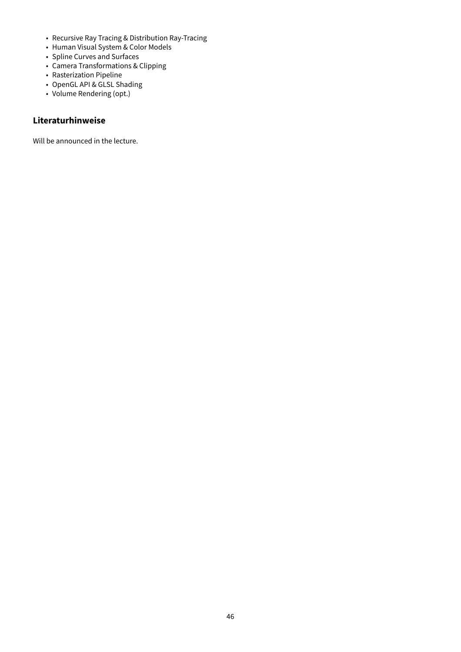- Recursive Ray Tracing & Distribution Ray-Tracing
- Human Visual System & Color Models
- Spline Curves and Surfaces
- Camera Transformations & Clipping
- Rasterization Pipeline
- OpenGL API & GLSL Shading
- Volume Rendering (opt.)

Will be announced in the lecture.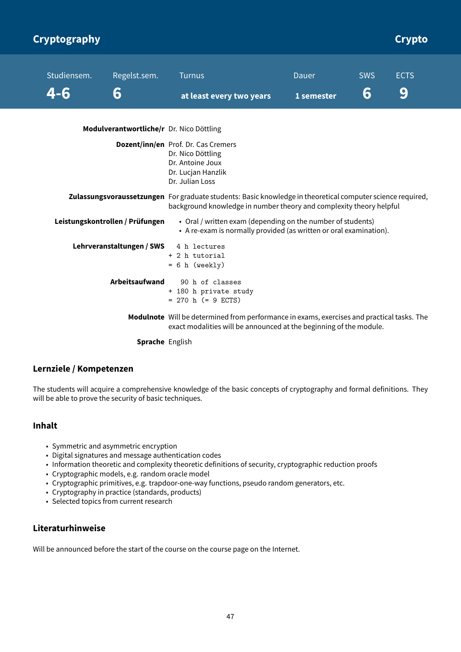| <b>Cryptography</b> |                                          |                                                                                                                                                                                   |              |            | <b>Crypto</b> |
|---------------------|------------------------------------------|-----------------------------------------------------------------------------------------------------------------------------------------------------------------------------------|--------------|------------|---------------|
| Studiensem.         | Regelst.sem.                             | <b>Turnus</b>                                                                                                                                                                     | <b>Dauer</b> | <b>SWS</b> | <b>ECTS</b>   |
| $-4 - 6$            | 6                                        | at least every two years                                                                                                                                                          | 1 semester   | 6          | 9             |
|                     | Modulverantwortliche/r Dr. Nico Döttling |                                                                                                                                                                                   |              |            |               |
|                     |                                          | <b>Dozent/inn/en</b> Prof. Dr. Cas Cremers<br>Dr. Nico Döttling<br>Dr. Antoine Joux<br>Dr. Lucjan Hanzlik<br>Dr. Julian Loss                                                      |              |            |               |
|                     |                                          | Zulassungsvoraussetzungen For graduate students: Basic knowledge in theoretical computer science required,<br>background knowledge in number theory and complexity theory helpful |              |            |               |
|                     | Leistungskontrollen / Prüfungen          | • Oral / written exam (depending on the number of students)<br>• A re-exam is normally provided (as written or oral examination).                                                 |              |            |               |
|                     | Lehrveranstaltungen / SWS                | 4 h lectures<br>+ 2 h tutorial<br>$= 6 h$ (weekly)                                                                                                                                |              |            |               |
|                     | <b>Arbeitsaufwand</b>                    | 90 h of classes<br>+ 180 h private study<br>$= 270$ h (= 9 ECTS)                                                                                                                  |              |            |               |
|                     |                                          | Modulnote Will be determined from performance in exams, exercises and practical tasks. The<br>exact modalities will be announced at the beginning of the module.                  |              |            |               |
|                     | <b>Sprache English</b>                   |                                                                                                                                                                                   |              |            |               |

#### **Lernziele / Kompetenzen**

The students will acquire a comprehensive knowledge of the basic concepts of cryptography and formal definitions. They will be able to prove the security of basic techniques.

#### **Inhalt**

- Symmetric and asymmetric encryption
- Digital signatures and message authentication codes
- Information theoretic and complexity theoretic definitions of security, cryptographic reduction proofs
- Cryptographic models, e.g. random oracle model
- Cryptographic primitives, e.g. trapdoor-one-way functions, pseudo random generators, etc.
- Cryptography in practice (standards, products)
- Selected topics from current research

#### **Literaturhinweise**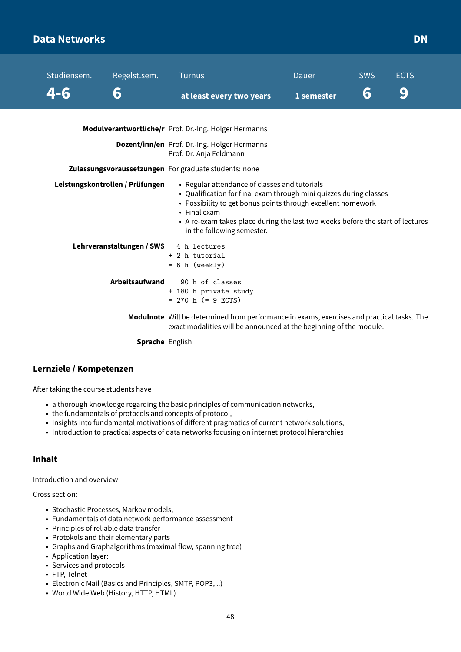### **Data Networks DN**

| Studiensem. | Regelst.sem.                    | <b>Turnus</b>                                                                                                                                                                                                                                                                                                       | Dauer      | <b>SWS</b> | <b>ECTS</b> |
|-------------|---------------------------------|---------------------------------------------------------------------------------------------------------------------------------------------------------------------------------------------------------------------------------------------------------------------------------------------------------------------|------------|------------|-------------|
| 4-6         | 6                               | at least every two years                                                                                                                                                                                                                                                                                            | 1 semester | 6          | 9           |
|             |                                 | Modulverantwortliche/r Prof. Dr.-Ing. Holger Hermanns                                                                                                                                                                                                                                                               |            |            |             |
|             |                                 | Dozent/inn/en Prof. Dr.-Ing. Holger Hermanns<br>Prof. Dr. Anja Feldmann                                                                                                                                                                                                                                             |            |            |             |
|             |                                 | Zulassungsvoraussetzungen For graduate students: none                                                                                                                                                                                                                                                               |            |            |             |
|             | Leistungskontrollen / Prüfungen | • Regular attendance of classes and tutorials<br>• Qualification for final exam through mini quizzes during classes<br>• Possibility to get bonus points through excellent homework<br>• Final exam<br>• A re-exam takes place during the last two weeks before the start of lectures<br>in the following semester. |            |            |             |
|             | Lehrveranstaltungen / SWS       | 4 h lectures<br>+ 2 h tutorial<br>$= 6 h$ (weekly)                                                                                                                                                                                                                                                                  |            |            |             |
|             | <b>Arbeitsaufwand</b>           | 90 h of classes<br>+ 180 h private study<br>$= 270$ h ( $= 9$ ECTS)                                                                                                                                                                                                                                                 |            |            |             |
|             |                                 | Modulnote Will be determined from performance in exams, exercises and practical tasks. The<br>exact modalities will be announced at the beginning of the module.                                                                                                                                                    |            |            |             |
|             | <b>Sprache English</b>          |                                                                                                                                                                                                                                                                                                                     |            |            |             |

#### **Lernziele / Kompetenzen**

After taking the course students have

- a thorough knowledge regarding the basic principles of communication networks,
- the fundamentals of protocols and concepts of protocol,
- Insights into fundamental motivations of different pragmatics of current network solutions,
- Introduction to practical aspects of data networks focusing on internet protocol hierarchies

#### **Inhalt**

Introduction and overview

Cross section:

- Stochastic Processes, Markov models,
- Fundamentals of data network performance assessment
- Principles of reliable data transfer
- Protokols and their elementary parts
- Graphs and Graphalgorithms (maximal flow, spanning tree)
- Application layer:
- Services and protocols
- FTP, Telnet
- Electronic Mail (Basics and Principles, SMTP, POP3, ..)
- World Wide Web (History, HTTP, HTML)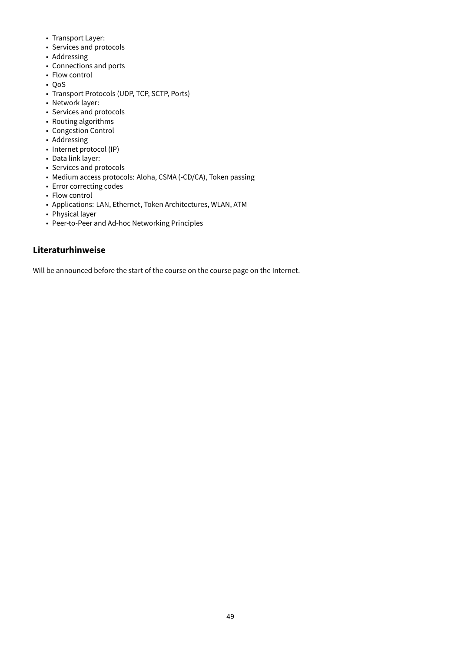- Transport Layer:
- Services and protocols
- Addressing
- Connections and ports
- Flow control
- QoS
- Transport Protocols (UDP, TCP, SCTP, Ports)
- Network layer:
- Services and protocols
- Routing algorithms
- Congestion Control
- Addressing
- Internet protocol (IP)
- Data link layer:
- Services and protocols
- Medium access protocols: Aloha, CSMA (-CD/CA), Token passing
- Error correcting codes
- Flow control
- Applications: LAN, Ethernet, Token Architectures, WLAN, ATM
- Physical layer
- Peer-to-Peer and Ad-hoc Networking Principles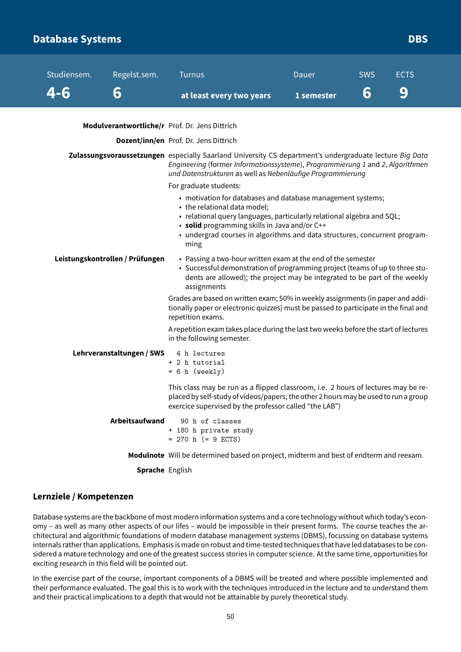### **Database Systems** DBS **Database Systems**

| Studiensem. | Regelst.sem.                    | <b>Turnus</b>                                                                                                                                                                                                                                                                                                | Dauer      | <b>SWS</b> | <b>ECTS</b> |  |
|-------------|---------------------------------|--------------------------------------------------------------------------------------------------------------------------------------------------------------------------------------------------------------------------------------------------------------------------------------------------------------|------------|------------|-------------|--|
| 4-6         | 6                               | at least every two years                                                                                                                                                                                                                                                                                     | 1 semester | 6          | 9           |  |
|             |                                 | Modulverantwortliche/r Prof. Dr. Jens Dittrich                                                                                                                                                                                                                                                               |            |            |             |  |
|             |                                 | Dozent/inn/en Prof. Dr. Jens Dittrich                                                                                                                                                                                                                                                                        |            |            |             |  |
|             |                                 | Zulassungsvoraussetzungen especially Saarland University CS department's undergraduate lecture Big Data<br>Engineering (former Informationssysteme), Programmierung 1 and 2, Algorithmen<br>und Datenstrukturen as well as Nebenläufige Programmierung                                                       |            |            |             |  |
|             |                                 | For graduate students:                                                                                                                                                                                                                                                                                       |            |            |             |  |
|             |                                 | • motivation for databases and database management systems;<br>• the relational data model;<br>· relational query languages, particularly relational algebra and SQL;<br>• solid programming skills in Java and/or C++<br>• undergrad courses in algorithms and data structures, concurrent program-<br>ming |            |            |             |  |
|             | Leistungskontrollen / Prüfungen | • Passing a two-hour written exam at the end of the semester<br>• Successful demonstration of programming project (teams of up to three stu-<br>dents are allowed); the project may be integrated to be part of the weekly<br>assignments                                                                    |            |            |             |  |
|             |                                 | Grades are based on written exam; 50% in weekly assignments (in paper and addi-<br>tionally paper or electronic quizzes) must be passed to participate in the final and<br>repetition exams.                                                                                                                 |            |            |             |  |
|             |                                 | A repetition exam takes place during the last two weeks before the start of lectures<br>in the following semester.                                                                                                                                                                                           |            |            |             |  |
|             | Lehrveranstaltungen / SWS       | 4 h lectures<br>+ 2 h tutorial<br>$= 6 h$ (weekly)                                                                                                                                                                                                                                                           |            |            |             |  |
|             |                                 | This class may be run as a flipped classroom, i.e. 2 hours of lectures may be re-<br>placed by self-study of videos/papers; the other 2 hours may be used to run a group<br>exercice supervised by the professor called "the LAB")                                                                           |            |            |             |  |
|             | Arbeitsaufwand                  | 90 h of classes<br>+ 180 h private study<br>$= 270$ h (= 9 ECTS)                                                                                                                                                                                                                                             |            |            |             |  |
|             |                                 | Modulnote Will be determined based on project, midterm and best of endterm and reexam.                                                                                                                                                                                                                       |            |            |             |  |

**Sprache** English

#### **Lernziele / Kompetenzen**

Database systems are the backbone of most modern information systems and a core technology without which today's economy – as well as many other aspects of our lifes – would be impossible in their present forms. The course teaches the architectural and algorithmic foundations of modern database management systems (DBMS), focussing on database systems internals rather than applications. Emphasis is made on robust and time-tested techniques that have led databases to be considered a mature technology and one of the greatest success stories in computer science. At the same time, opportunities for exciting research in this field will be pointed out.

In the exercise part of the course, important components of a DBMS will be treated and where possible implemented and their performance evaluated. The goal this is to work with the techniques introduced in the lecture and to understand them and their practical implications to a depth that would not be attainable by purely theoretical study.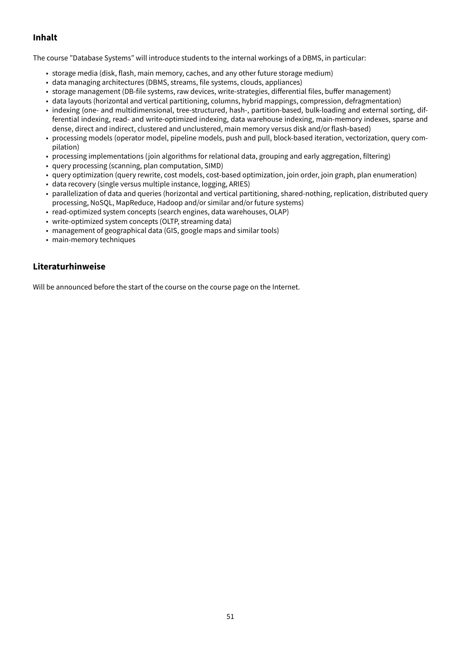### **Inhalt**

The course "Database Systems" will introduce students to the internal workings of a DBMS, in particular:

- storage media (disk, flash, main memory, caches, and any other future storage medium)
- data managing architectures (DBMS, streams, file systems, clouds, appliances)
- storage management (DB-file systems, raw devices, write-strategies, differential files, buffer management)
- data layouts (horizontal and vertical partitioning, columns, hybrid mappings, compression, defragmentation)
- indexing (one- and multidimensional, tree-structured, hash-, partition-based, bulk-loading and external sorting, differential indexing, read- and write-optimized indexing, data warehouse indexing, main-memory indexes, sparse and dense, direct and indirect, clustered and unclustered, main memory versus disk and/or flash-based)
- processing models (operator model, pipeline models, push and pull, block-based iteration, vectorization, query compilation)
- processing implementations (join algorithms for relational data, grouping and early aggregation, filtering)
- query processing (scanning, plan computation, SIMD)
- query optimization (query rewrite, cost models, cost-based optimization, join order, join graph, plan enumeration)
- data recovery (single versus multiple instance, logging, ARIES)
- parallelization of data and queries (horizontal and vertical partitioning, shared-nothing, replication, distributed query processing, NoSQL, MapReduce, Hadoop and/or similar and/or future systems)
- read-optimized system concepts (search engines, data warehouses, OLAP)
- write-optimized system concepts (OLTP, streaming data)
- management of geographical data (GIS, google maps and similar tools)
- main-memory techniques

#### **Literaturhinweise**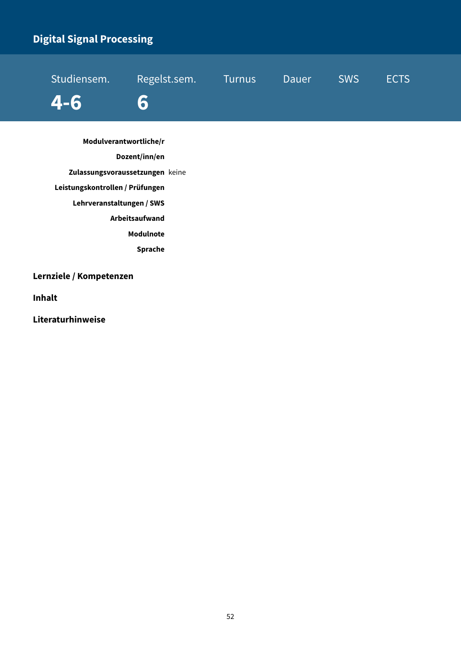# **Digital Signal Processing**

| 4-6 6 |  |  |
|-------|--|--|

**Modulverantwortliche/r Dozent/inn/en Zulassungsvoraussetzungen** keine **Leistungskontrollen / Prüfungen Lehrveranstaltungen / SWS Arbeitsaufwand Modulnote Sprache**

**Lernziele / Kompetenzen**

**Inhalt**

**Literaturhinweise**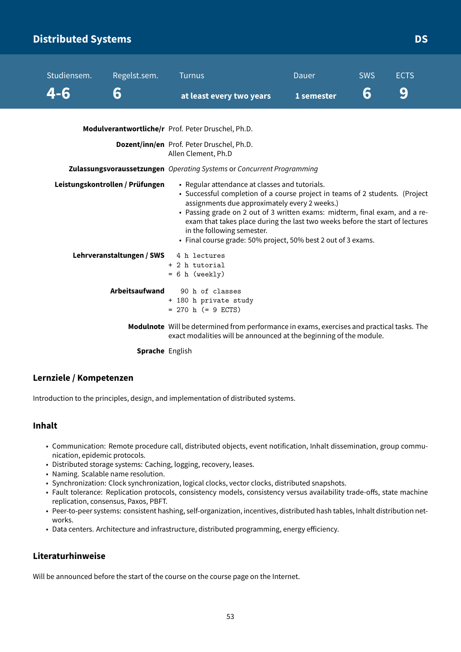### **Distributed Systems DS**

| Studiensem. | Regelst.sem.                    | <b>Turnus</b>                                                                                                                                                                                                                                                                                                                                                                                                                                 | Dauer      | <b>SWS</b> | <b>ECTS</b> |
|-------------|---------------------------------|-----------------------------------------------------------------------------------------------------------------------------------------------------------------------------------------------------------------------------------------------------------------------------------------------------------------------------------------------------------------------------------------------------------------------------------------------|------------|------------|-------------|
| 4-6         | 6                               | at least every two years                                                                                                                                                                                                                                                                                                                                                                                                                      | 1 semester | 6          | 9           |
|             |                                 | Modulverantwortliche/r Prof. Peter Druschel, Ph.D.                                                                                                                                                                                                                                                                                                                                                                                            |            |            |             |
|             |                                 | Dozent/inn/en Prof. Peter Druschel, Ph.D.<br>Allen Clement, Ph.D                                                                                                                                                                                                                                                                                                                                                                              |            |            |             |
|             |                                 | Zulassungsvoraussetzungen Operating Systems or Concurrent Programming                                                                                                                                                                                                                                                                                                                                                                         |            |            |             |
|             | Leistungskontrollen / Prüfungen | • Regular attendance at classes and tutorials.<br>• Successful completion of a course project in teams of 2 students. (Project<br>assignments due approximately every 2 weeks.)<br>• Passing grade on 2 out of 3 written exams: midterm, final exam, and a re-<br>exam that takes place during the last two weeks before the start of lectures<br>in the following semester.<br>• Final course grade: 50% project, 50% best 2 out of 3 exams. |            |            |             |
|             | Lehrveranstaltungen / SWS       | 4 h lectures<br>+ 2 h tutorial<br>$= 6 h$ (weekly)                                                                                                                                                                                                                                                                                                                                                                                            |            |            |             |
|             | Arbeitsaufwand                  | 90 h of classes<br>+ 180 h private study<br>$= 270$ h (= 9 ECTS)                                                                                                                                                                                                                                                                                                                                                                              |            |            |             |
|             |                                 | Modulnote Will be determined from performance in exams, exercises and practical tasks. The<br>exact modalities will be announced at the beginning of the module.                                                                                                                                                                                                                                                                              |            |            |             |
|             | Sprache English                 |                                                                                                                                                                                                                                                                                                                                                                                                                                               |            |            |             |

#### **Lernziele / Kompetenzen**

Introduction to the principles, design, and implementation of distributed systems.

#### **Inhalt**

- Communication: Remote procedure call, distributed objects, event notification, Inhalt dissemination, group communication, epidemic protocols.
- Distributed storage systems: Caching, logging, recovery, leases.
- Naming. Scalable name resolution.
- Synchronization: Clock synchronization, logical clocks, vector clocks, distributed snapshots.
- Fault tolerance: Replication protocols, consistency models, consistency versus availability trade-offs, state machine replication, consensus, Paxos, PBFT.
- Peer-to-peer systems: consistent hashing, self-organization, incentives, distributed hash tables, Inhalt distribution networks.
- Data centers. Architecture and infrastructure, distributed programming, energy efficiency.

#### **Literaturhinweise**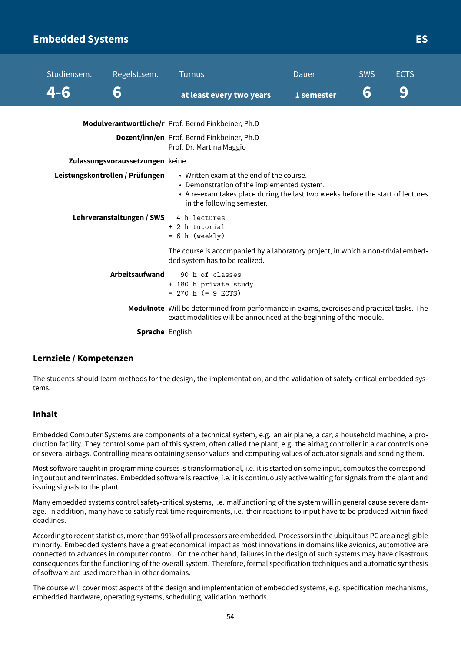### **Embedded Systems ES**

| Studiensem. | Regelst.sem.                    | <b>Turnus</b>                                                                                                                                                                                          | Dauer      | <b>SWS</b> | <b>ECTS</b> |
|-------------|---------------------------------|--------------------------------------------------------------------------------------------------------------------------------------------------------------------------------------------------------|------------|------------|-------------|
| 4-6         | 6                               | at least every two years                                                                                                                                                                               | 1 semester | 6          | 9           |
|             |                                 | Modulverantwortliche/r Prof. Bernd Finkbeiner, Ph.D                                                                                                                                                    |            |            |             |
|             |                                 | Dozent/inn/en Prof. Bernd Finkbeiner, Ph.D<br>Prof. Dr. Martina Maggio                                                                                                                                 |            |            |             |
|             | Zulassungsvoraussetzungen keine |                                                                                                                                                                                                        |            |            |             |
|             | Leistungskontrollen / Prüfungen | • Written exam at the end of the course.<br>• Demonstration of the implemented system.<br>• A re-exam takes place during the last two weeks before the start of lectures<br>in the following semester. |            |            |             |
|             | Lehrveranstaltungen / SWS       | 4 h lectures<br>+ 2 h tutorial<br>$= 6 h$ (weekly)                                                                                                                                                     |            |            |             |
|             |                                 | The course is accompanied by a laboratory project, in which a non-trivial embed-<br>ded system has to be realized.                                                                                     |            |            |             |
|             | Arbeitsaufwand                  | 90 h of classes<br>+ 180 h private study<br>$= 270$ h (= 9 ECTS)                                                                                                                                       |            |            |             |
|             |                                 | Modulnote Will be determined from performance in exams, exercises and practical tasks. The<br>exact modalities will be announced at the beginning of the module.                                       |            |            |             |
|             | <b>Sprache English</b>          |                                                                                                                                                                                                        |            |            |             |

#### **Lernziele / Kompetenzen**

The students should learn methods for the design, the implementation, and the validation of safety-critical embedded systems.

#### **Inhalt**

Embedded Computer Systems are components of a technical system, e.g. an air plane, a car, a household machine, a production facility. They control some part of this system, often called the plant, e.g. the airbag controller in a car controls one or several airbags. Controlling means obtaining sensor values and computing values of actuator signals and sending them.

Most software taught in programming courses is transformational, i.e. it is started on some input, computes the corresponding output and terminates. Embedded software is reactive, i.e. it is continuously active waiting for signals from the plant and issuing signals to the plant.

Many embedded systems control safety-critical systems, i.e. malfunctioning of the system will in general cause severe damage. In addition, many have to satisfy real-time requirements, i.e. their reactions to input have to be produced within fixed deadlines.

According to recent statistics, more than 99% of all processors are embedded. Processors in the ubiquitous PC are a negligible minority. Embedded systems have a great economical impact as most innovations in domains like avionics, automotive are connected to advances in computer control. On the other hand, failures in the design of such systems may have disastrous consequences for the functioning of the overall system. Therefore, formal specification techniques and automatic synthesis of software are used more than in other domains.

The course will cover most aspects of the design and implementation of embedded systems, e.g. specification mechanisms, embedded hardware, operating systems, scheduling, validation methods.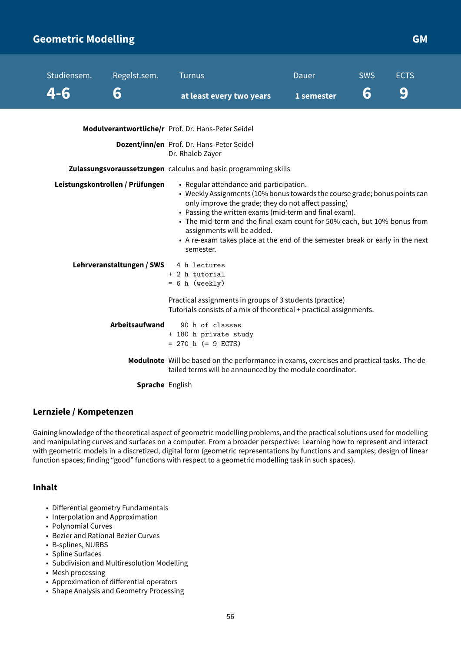### **Geometric Modelling GMA GMA GMA GMA GMA GMA**

| Studiensem.                     | Regelst.sem.              | <b>Turnus</b>                                                                                                                                                                                                                                                                                                                                                                                                                                  | Dauer      | <b>SWS</b> | <b>ECTS</b> |
|---------------------------------|---------------------------|------------------------------------------------------------------------------------------------------------------------------------------------------------------------------------------------------------------------------------------------------------------------------------------------------------------------------------------------------------------------------------------------------------------------------------------------|------------|------------|-------------|
| 4-6                             | 6                         | at least every two years                                                                                                                                                                                                                                                                                                                                                                                                                       | 1 semester | 6          | 9           |
|                                 |                           | Modulverantwortliche/r Prof. Dr. Hans-Peter Seidel                                                                                                                                                                                                                                                                                                                                                                                             |            |            |             |
|                                 |                           | Dozent/inn/en Prof. Dr. Hans-Peter Seidel<br>Dr. Rhaleb Zayer                                                                                                                                                                                                                                                                                                                                                                                  |            |            |             |
|                                 |                           | Zulassungsvoraussetzungen calculus and basic programming skills                                                                                                                                                                                                                                                                                                                                                                                |            |            |             |
| Leistungskontrollen / Prüfungen |                           | • Regular attendance and participation.<br>• Weekly Assignments (10% bonus towards the course grade; bonus points can<br>only improve the grade; they do not affect passing)<br>• Passing the written exams (mid-term and final exam).<br>• The mid-term and the final exam count for 50% each, but 10% bonus from<br>assignments will be added.<br>• A re-exam takes place at the end of the semester break or early in the next<br>semester. |            |            |             |
|                                 | Lehrveranstaltungen / SWS | 4 h lectures<br>+ 2 h tutorial<br>$= 6 h$ (weekly)                                                                                                                                                                                                                                                                                                                                                                                             |            |            |             |
|                                 |                           | Practical assignments in groups of 3 students (practice)<br>Tutorials consists of a mix of theoretical + practical assignments.                                                                                                                                                                                                                                                                                                                |            |            |             |
|                                 | Arbeitsaufwand            | 90 h of classes<br>+ 180 h private study<br>$= 270$ h (= 9 ECTS)                                                                                                                                                                                                                                                                                                                                                                               |            |            |             |
|                                 |                           | Modulnote Will be based on the performance in exams, exercises and practical tasks. The de-<br>tailed terms will be announced by the module coordinator.                                                                                                                                                                                                                                                                                       |            |            |             |
|                                 | Sprache English           |                                                                                                                                                                                                                                                                                                                                                                                                                                                |            |            |             |

#### **Lernziele / Kompetenzen**

Gaining knowledge of the theoretical aspect of geometric modelling problems, and the practical solutions used for modelling and manipulating curves and surfaces on a computer. From a broader perspective: Learning how to represent and interact with geometric models in a discretized, digital form (geometric representations by functions and samples; design of linear function spaces; finding "good" functions with respect to a geometric modelling task in such spaces).

#### **Inhalt**

- Differential geometry Fundamentals
- Interpolation and Approximation
- Polynomial Curves
- Bezier and Rational Bezier Curves
- B-splines, NURBS
- Spline Surfaces
- Subdivision and Multiresolution Modelling
- Mesh processing
- Approximation of differential operators
- Shape Analysis and Geometry Processing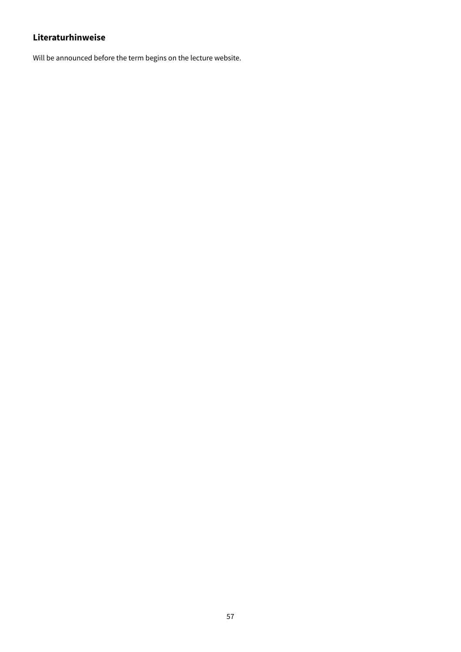Will be announced before the term begins on the lecture website.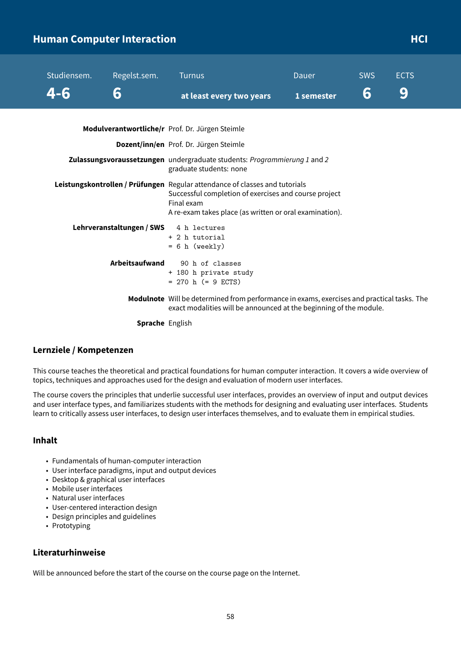### **Human Computer Interaction According to the CI and According to the HCI**

| Studiensem. | Regelst.sem.              | <b>Turnus</b>                                                                                                                                                                                                 | Dauer      | <b>SWS</b> | <b>ECTS</b> |
|-------------|---------------------------|---------------------------------------------------------------------------------------------------------------------------------------------------------------------------------------------------------------|------------|------------|-------------|
| 4-6         | 6                         | at least every two years                                                                                                                                                                                      | 1 semester | 6          | 9           |
|             |                           | Modulverantwortliche/r Prof. Dr. Jürgen Steimle                                                                                                                                                               |            |            |             |
|             |                           | Dozent/inn/en Prof. Dr. Jürgen Steimle                                                                                                                                                                        |            |            |             |
|             |                           | Zulassungsvoraussetzungen undergraduate students: Programmierung 1 and 2<br>graduate students: none                                                                                                           |            |            |             |
|             |                           | Leistungskontrollen / Prüfungen Regular attendance of classes and tutorials<br>Successful completion of exercises and course project<br>Final exam<br>A re-exam takes place (as written or oral examination). |            |            |             |
|             | Lehrveranstaltungen / SWS | 4 h lectures<br>+ 2 h tutorial<br>$= 6 h$ (weekly)                                                                                                                                                            |            |            |             |
|             | <b>Arbeitsaufwand</b>     | 90 h of classes<br>+ 180 h private study<br>$= 270$ h (= 9 ECTS)                                                                                                                                              |            |            |             |
|             |                           | Modulnote Will be determined from performance in exams, exercises and practical tasks. The<br>exact modalities will be announced at the beginning of the module.                                              |            |            |             |
|             | <b>Sprache English</b>    |                                                                                                                                                                                                               |            |            |             |

#### **Lernziele / Kompetenzen**

This course teaches the theoretical and practical foundations for human computer interaction. It covers a wide overview of topics, techniques and approaches used for the design and evaluation of modern user interfaces.

The course covers the principles that underlie successful user interfaces, provides an overview of input and output devices and user interface types, and familiarizes students with the methods for designing and evaluating user interfaces. Students learn to critically assess user interfaces, to design user interfaces themselves, and to evaluate them in empirical studies.

#### **Inhalt**

- Fundamentals of human-computer interaction
- User interface paradigms, input and output devices
- Desktop & graphical user interfaces
- Mobile user interfaces
- Natural user interfaces
- User-centered interaction design
- Design principles and guidelines
- Prototyping

#### **Literaturhinweise**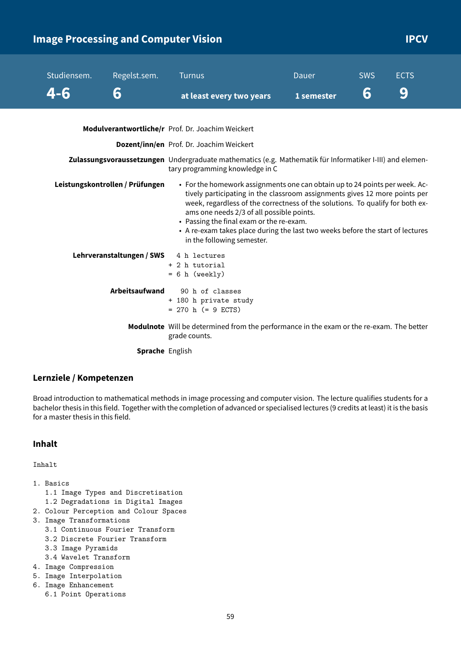### **Image Processing and Computer Vision IPCV IPCV**

| Studiensem. | Regelst.sem.                    | <b>Turnus</b>                                                                                                                                                                                                                                                                                                                                                                                                                                       | Dauer      | <b>SWS</b> | <b>ECTS</b> |
|-------------|---------------------------------|-----------------------------------------------------------------------------------------------------------------------------------------------------------------------------------------------------------------------------------------------------------------------------------------------------------------------------------------------------------------------------------------------------------------------------------------------------|------------|------------|-------------|
| 4-6         | 6                               | at least every two years                                                                                                                                                                                                                                                                                                                                                                                                                            | 1 semester | 6          | 9           |
|             |                                 | Modulverantwortliche/r Prof. Dr. Joachim Weickert                                                                                                                                                                                                                                                                                                                                                                                                   |            |            |             |
|             |                                 | Dozent/inn/en Prof. Dr. Joachim Weickert                                                                                                                                                                                                                                                                                                                                                                                                            |            |            |             |
|             |                                 | Zulassungsvoraussetzungen Undergraduate mathematics (e.g. Mathematik für Informatiker I-III) and elemen-<br>tary programming knowledge in C                                                                                                                                                                                                                                                                                                         |            |            |             |
|             | Leistungskontrollen / Prüfungen | • For the homework assignments one can obtain up to 24 points per week. Ac-<br>tively participating in the classroom assignments gives 12 more points per<br>week, regardless of the correctness of the solutions. To qualify for both ex-<br>ams one needs 2/3 of all possible points.<br>• Passing the final exam or the re-exam.<br>• A re-exam takes place during the last two weeks before the start of lectures<br>in the following semester. |            |            |             |
|             | Lehrveranstaltungen / SWS       | 4 h lectures<br>+ 2 h tutorial<br>$= 6 h$ (weekly)                                                                                                                                                                                                                                                                                                                                                                                                  |            |            |             |
|             | <b>Arbeitsaufwand</b>           | 90 h of classes<br>+ 180 h private study<br>$= 270$ h (= 9 ECTS)                                                                                                                                                                                                                                                                                                                                                                                    |            |            |             |
|             |                                 | Modulnote Will be determined from the performance in the exam or the re-exam. The better<br>grade counts.                                                                                                                                                                                                                                                                                                                                           |            |            |             |
|             | <b>Sprache English</b>          |                                                                                                                                                                                                                                                                                                                                                                                                                                                     |            |            |             |

#### **Lernziele / Kompetenzen**

Broad introduction to mathematical methods in image processing and computer vision. The lecture qualifies students for a bachelor thesis in this field. Together with the completion of advanced or specialised lectures (9 credits at least) it is the basis for a master thesis in this field.

#### **Inhalt**

Inhalt

- 1. Basics
	- 1.1 Image Types and Discretisation
	- 1.2 Degradations in Digital Images
- 2. Colour Perception and Colour Spaces
- 3. Image Transformations
	- 3.1 Continuous Fourier Transform
	- 3.2 Discrete Fourier Transform
	- 3.3 Image Pyramids
	- 3.4 Wavelet Transform
- 4. Image Compression
- 5. Image Interpolation
- 6. Image Enhancement
	- 6.1 Point Operations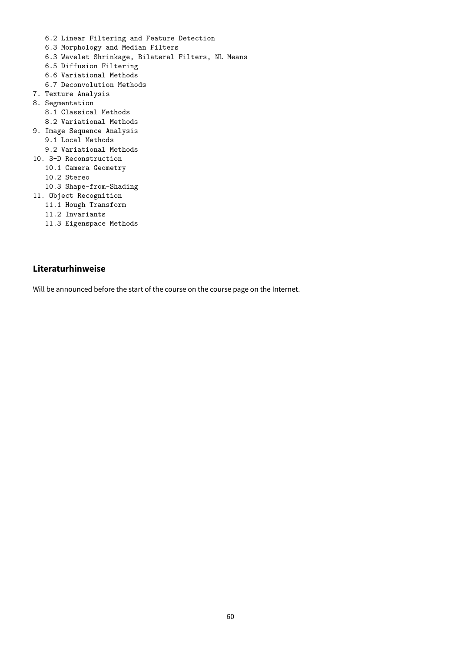- 6.2 Linear Filtering and Feature Detection
- 6.3 Morphology and Median Filters
- 6.3 Wavelet Shrinkage, Bilateral Filters, NL Means
- 6.5 Diffusion Filtering
- 6.6 Variational Methods
- 6.7 Deconvolution Methods
- 7. Texture Analysis
- 8. Segmentation
	- 8.1 Classical Methods
- 8.2 Variational Methods
- 9. Image Sequence Analysis
	- 9.1 Local Methods
- 9.2 Variational Methods
- 10. 3-D Reconstruction
	- 10.1 Camera Geometry
	- 10.2 Stereo
	- 10.3 Shape-from-Shading
- 11. Object Recognition
	- 11.1 Hough Transform
	- 11.2 Invariants
	- 11.3 Eigenspace Methods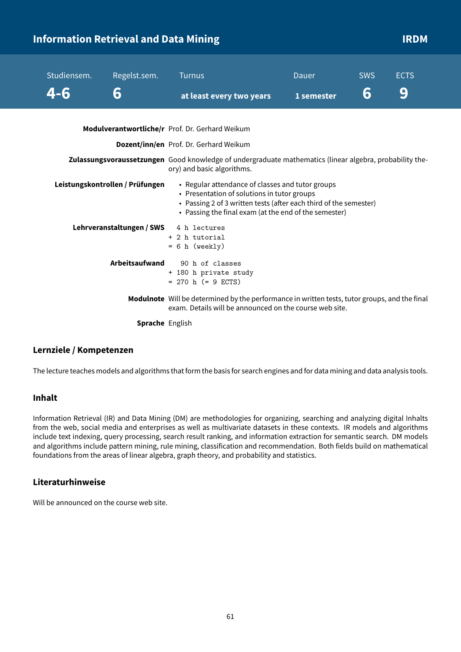|  | <b>Information Retrieval and Data Mining</b> |                                 |                                                                                                                                                                                                                               |            |            | <b>IRDM</b> |  |
|--|----------------------------------------------|---------------------------------|-------------------------------------------------------------------------------------------------------------------------------------------------------------------------------------------------------------------------------|------------|------------|-------------|--|
|  | Studiensem.                                  | Regelst.sem.                    | <b>Turnus</b>                                                                                                                                                                                                                 | Dauer      | <b>SWS</b> | <b>ECTS</b> |  |
|  | 4-6                                          | 6                               | at least every two years                                                                                                                                                                                                      | 1 semester | 6          | 9           |  |
|  |                                              |                                 | Modulverantwortliche/r Prof. Dr. Gerhard Weikum                                                                                                                                                                               |            |            |             |  |
|  |                                              |                                 | Dozent/inn/en Prof. Dr. Gerhard Weikum                                                                                                                                                                                        |            |            |             |  |
|  |                                              |                                 | Zulassungsvoraussetzungen Good knowledge of undergraduate mathematics (linear algebra, probability the-<br>ory) and basic algorithms.                                                                                         |            |            |             |  |
|  |                                              | Leistungskontrollen / Prüfungen | • Regular attendance of classes and tutor groups<br>• Presentation of solutions in tutor groups<br>• Passing 2 of 3 written tests (after each third of the semester)<br>• Passing the final exam (at the end of the semester) |            |            |             |  |
|  |                                              | Lehrveranstaltungen / SWS       | 4 h lectures<br>+ 2 h tutorial<br>$= 6 h$ (weekly)                                                                                                                                                                            |            |            |             |  |
|  |                                              | Arbeitsaufwand                  | 90 h of classes<br>+ 180 h private study<br>$= 270$ h (= 9 ECTS)                                                                                                                                                              |            |            |             |  |
|  |                                              |                                 | Modulnote Will be determined by the performance in written tests, tutor groups, and the final<br>exam. Details will be announced on the course web site.                                                                      |            |            |             |  |

**Sprache** English

#### **Lernziele / Kompetenzen**

The lecture teaches models and algorithms that form the basis for search engines and for data mining and data analysis tools.

#### **Inhalt**

Information Retrieval (IR) and Data Mining (DM) are methodologies for organizing, searching and analyzing digital Inhalts from the web, social media and enterprises as well as multivariate datasets in these contexts. IR models and algorithms include text indexing, query processing, search result ranking, and information extraction for semantic search. DM models and algorithms include pattern mining, rule mining, classification and recommendation. Both fields build on mathematical foundations from the areas of linear algebra, graph theory, and probability and statistics.

#### **Literaturhinweise**

Will be announced on the course web site.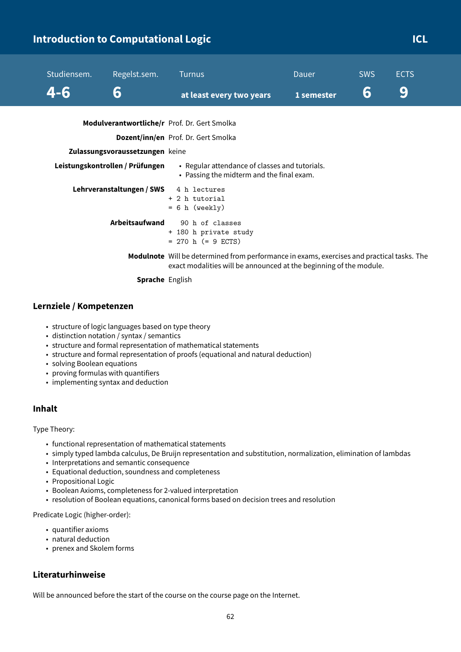### **Introduction to Computational Logic Computational Logic Computational Logic Computational CL**

| Studiensem.<br>4-6 | Regelst.sem.<br>6                                                  | <b>Turnus</b><br>at least every two years                                                                                                                        | <b>Dauer</b><br>1 semester | <b>SWS</b><br>6 | <b>ECTS</b><br>9 |
|--------------------|--------------------------------------------------------------------|------------------------------------------------------------------------------------------------------------------------------------------------------------------|----------------------------|-----------------|------------------|
|                    |                                                                    | Modulverantwortliche/r Prof. Dr. Gert Smolka<br><b>Dozent/inn/en</b> Prof. Dr. Gert Smolka                                                                       |                            |                 |                  |
|                    | Zulassungsvoraussetzungen keine<br>Leistungskontrollen / Prüfungen | • Regular attendance of classes and tutorials.<br>• Passing the midterm and the final exam.                                                                      |                            |                 |                  |
|                    | Lehrveranstaltungen / SWS                                          | 4 h lectures<br>$+$ 2 h tutorial<br>$= 6 h$ (weekly)                                                                                                             |                            |                 |                  |
|                    | Arbeitsaufwand                                                     | 90 h of classes<br>+ 180 h private study<br>$= 270$ h (= 9 ECTS)                                                                                                 |                            |                 |                  |
|                    | <b>Sprache English</b>                                             | Modulnote Will be determined from performance in exams, exercises and practical tasks. The<br>exact modalities will be announced at the beginning of the module. |                            |                 |                  |

#### **Lernziele / Kompetenzen**

- structure of logic languages based on type theory
- distinction notation / syntax / semantics
- structure and formal representation of mathematical statements
- structure and formal representation of proofs (equational and natural deduction)
- solving Boolean equations
- proving formulas with quantifiers
- implementing syntax and deduction

#### **Inhalt**

Type Theory:

- functional representation of mathematical statements
- simply typed lambda calculus, De Bruijn representation and substitution, normalization, elimination of lambdas
- Interpretations and semantic consequence
- Equational deduction, soundness and completeness
- Propositional Logic
- Boolean Axioms, completeness for 2-valued interpretation
- resolution of Boolean equations, canonical forms based on decision trees and resolution

Predicate Logic (higher-order):

- quantifier axioms
- natural deduction
- prenex and Skolem forms

#### **Literaturhinweise**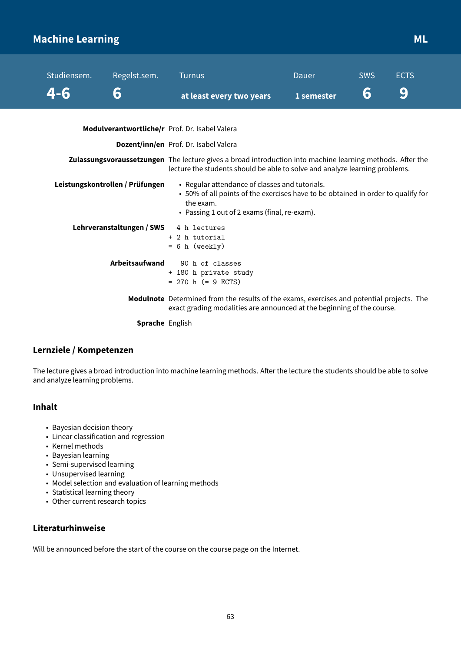### **Machine Learning Music Community of the Community Community Community Community Community Community Community**

| Studiensem. | Regelst.sem.                                   | <b>Turnus</b>                                                                                                                                                                                   | <b>Dauer</b>                                                                                                                                                                             | <b>SWS</b> | <b>ECTS</b> |  |
|-------------|------------------------------------------------|-------------------------------------------------------------------------------------------------------------------------------------------------------------------------------------------------|------------------------------------------------------------------------------------------------------------------------------------------------------------------------------------------|------------|-------------|--|
| 4-6         | 6                                              | at least every two years                                                                                                                                                                        | 1 semester                                                                                                                                                                               | 6          | 9           |  |
|             | Modulverantwortliche/r Prof. Dr. Isabel Valera |                                                                                                                                                                                                 |                                                                                                                                                                                          |            |             |  |
|             |                                                | <b>Dozent/inn/en</b> Prof. Dr. Isabel Valera                                                                                                                                                    |                                                                                                                                                                                          |            |             |  |
|             |                                                |                                                                                                                                                                                                 | Zulassungsvoraussetzungen The lecture gives a broad introduction into machine learning methods. After the<br>lecture the students should be able to solve and analyze learning problems. |            |             |  |
|             | Leistungskontrollen / Prüfungen                | • Regular attendance of classes and tutorials.<br>• 50% of all points of the exercises have to be obtained in order to qualify for<br>the exam.<br>• Passing 1 out of 2 exams (final, re-exam). |                                                                                                                                                                                          |            |             |  |
|             | Lehrveranstaltungen / SWS                      | 4 h lectures<br>+ 2 h tutorial<br>$= 6 h$ (weekly)                                                                                                                                              |                                                                                                                                                                                          |            |             |  |
|             | Arbeitsaufwand                                 | 90 h of classes<br>+ 180 h private study<br>$= 270$ h (= 9 ECTS)                                                                                                                                |                                                                                                                                                                                          |            |             |  |
|             |                                                | Modulnote Determined from the results of the exams, exercises and potential projects. The<br>exact grading modalities are announced at the beginning of the course.                             |                                                                                                                                                                                          |            |             |  |
|             | <b>Sprache English</b>                         |                                                                                                                                                                                                 |                                                                                                                                                                                          |            |             |  |

#### **Lernziele / Kompetenzen**

The lecture gives a broad introduction into machine learning methods. After the lecture the students should be able to solve and analyze learning problems.

#### **Inhalt**

- Bayesian decision theory
- Linear classification and regression
- Kernel methods
- Bayesian learning
- Semi-supervised learning
- Unsupervised learning
- Model selection and evaluation of learning methods
- Statistical learning theory
- Other current research topics

#### **Literaturhinweise**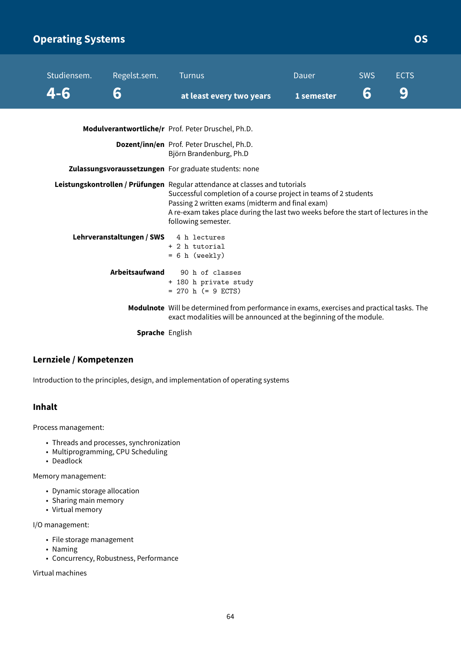### **Operating Systems Contract Contract Contract Contract Contract Contract Contract Contract Contract Contract Contract Contract Contract Contract Contract Contract Contract Contract Contract Contract Contract Contract Contr**

| Studiensem.                                                                                                                                                                                                                                                                                                       | Regelst.sem.                           | <b>Turnus</b>                                                                                                                                                    | Dauer      | <b>SWS</b> | <b>ECTS</b> |
|-------------------------------------------------------------------------------------------------------------------------------------------------------------------------------------------------------------------------------------------------------------------------------------------------------------------|----------------------------------------|------------------------------------------------------------------------------------------------------------------------------------------------------------------|------------|------------|-------------|
| 4-6                                                                                                                                                                                                                                                                                                               | 6                                      | at least every two years                                                                                                                                         | 1 semester | 6          | 9           |
|                                                                                                                                                                                                                                                                                                                   |                                        | Modulverantwortliche/r Prof. Peter Druschel, Ph.D.                                                                                                               |            |            |             |
|                                                                                                                                                                                                                                                                                                                   |                                        | Dozent/inn/en Prof. Peter Druschel, Ph.D.<br>Björn Brandenburg, Ph.D                                                                                             |            |            |             |
|                                                                                                                                                                                                                                                                                                                   |                                        | Zulassungsvoraussetzungen For graduate students: none                                                                                                            |            |            |             |
| Leistungskontrollen / Prüfungen Regular attendance at classes and tutorials<br>Successful completion of a course project in teams of 2 students<br>Passing 2 written exams (midterm and final exam)<br>A re-exam takes place during the last two weeks before the start of lectures in the<br>following semester. |                                        |                                                                                                                                                                  |            |            |             |
|                                                                                                                                                                                                                                                                                                                   | Lehrveranstaltungen / SWS 4 h lectures | + 2 h tutorial<br>$= 6 h$ (weekly)                                                                                                                               |            |            |             |
|                                                                                                                                                                                                                                                                                                                   | Arbeitsaufwand                         | 90 h of classes<br>+ 180 h private study<br>$= 270$ h (= 9 ECTS)                                                                                                 |            |            |             |
|                                                                                                                                                                                                                                                                                                                   |                                        | Modulnote Will be determined from performance in exams, exercises and practical tasks. The<br>exact modalities will be announced at the beginning of the module. |            |            |             |
|                                                                                                                                                                                                                                                                                                                   | Consider Facture                       |                                                                                                                                                                  |            |            |             |

**Sprache** English

#### **Lernziele / Kompetenzen**

Introduction to the principles, design, and implementation of operating systems

#### **Inhalt**

Process management:

- Threads and processes, synchronization
- Multiprogramming, CPU Scheduling
- Deadlock

Memory management:

- Dynamic storage allocation
- Sharing main memory
- Virtual memory

I/O management:

- File storage management
- Naming
- Concurrency, Robustness, Performance

Virtual machines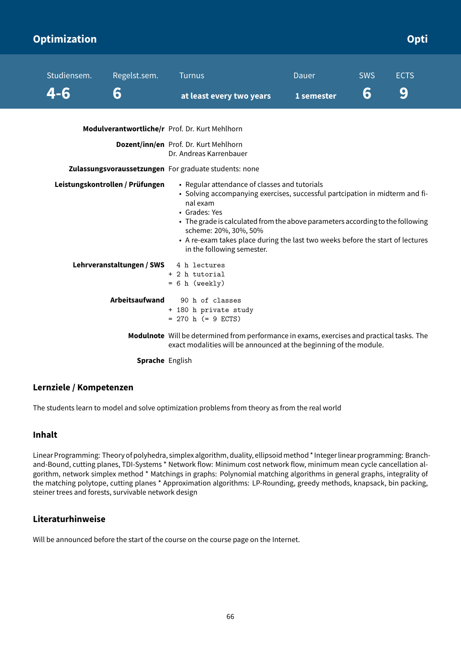| Optimization       |                                 |                                                                                                                                                                                                                                                                                                                                                                                                                                                |                     |                 | Opti             |
|--------------------|---------------------------------|------------------------------------------------------------------------------------------------------------------------------------------------------------------------------------------------------------------------------------------------------------------------------------------------------------------------------------------------------------------------------------------------------------------------------------------------|---------------------|-----------------|------------------|
| Studiensem.<br>4-6 | Regelst.sem.<br>6               | <b>Turnus</b><br>at least every two years                                                                                                                                                                                                                                                                                                                                                                                                      | Dauer<br>1 semester | <b>SWS</b><br>6 | <b>ECTS</b><br>9 |
|                    |                                 | Modulverantwortliche/r Prof. Dr. Kurt Mehlhorn                                                                                                                                                                                                                                                                                                                                                                                                 |                     |                 |                  |
|                    |                                 | Dozent/inn/en Prof. Dr. Kurt Mehlhorn<br>Dr. Andreas Karrenbauer                                                                                                                                                                                                                                                                                                                                                                               |                     |                 |                  |
|                    | Leistungskontrollen / Prüfungen | Zulassungsvoraussetzungen For graduate students: none<br>• Regular attendance of classes and tutorials<br>• Solving accompanying exercises, successful partcipation in midterm and fi-<br>nal exam<br>• Grades: Yes<br>• The grade is calculated from the above parameters according to the following<br>scheme: 20%, 30%, 50%<br>• A re-exam takes place during the last two weeks before the start of lectures<br>in the following semester. |                     |                 |                  |
|                    | Lehrveranstaltungen / SWS       | 4 h lectures<br>+ 2 h tutorial<br>$= 6 h$ (weekly)                                                                                                                                                                                                                                                                                                                                                                                             |                     |                 |                  |
|                    | Arbeitsaufwand                  | 90 h of classes<br>+ 180 h private study<br>$= 270$ h (= 9 ECTS)                                                                                                                                                                                                                                                                                                                                                                               |                     |                 |                  |
|                    |                                 | Modulnote Will be determined from performance in exams, exercises and practical tasks. The<br>exact modalities will be announced at the beginning of the module.                                                                                                                                                                                                                                                                               |                     |                 |                  |
|                    | <b>Sprache English</b>          |                                                                                                                                                                                                                                                                                                                                                                                                                                                |                     |                 |                  |

#### **Lernziele / Kompetenzen**

The students learn to model and solve optimization problems from theory as from the real world

#### **Inhalt**

Linear Programming: Theory of polyhedra, simplex algorithm, duality, ellipsoidmethod \* Integer linear programming: Branchand-Bound, cutting planes, TDI-Systems \* Network flow: Minimum cost network flow, minimum mean cycle cancellation algorithm, network simplex method \* Matchings in graphs: Polynomial matching algorithms in general graphs, integrality of the matching polytope, cutting planes \* Approximation algorithms: LP-Rounding, greedy methods, knapsack, bin packing, steiner trees and forests, survivable network design

#### **Literaturhinweise**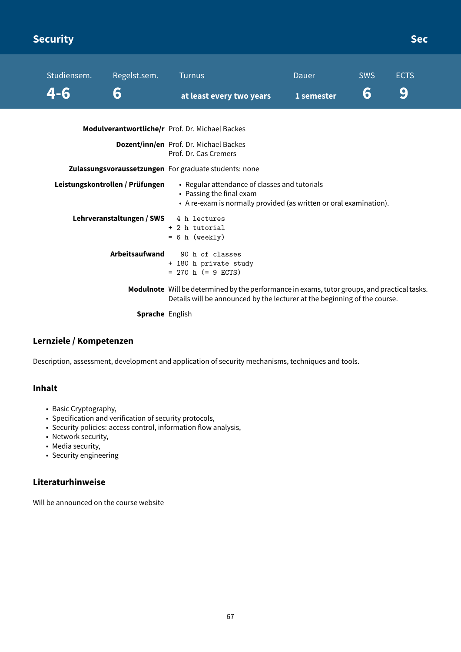## **Security Sec**

| Studiensem. | Regelst.sem. | Turnus                                                                                                             | <b>Dauer</b> | <b>SWS</b> | <b>ECTS</b> |  |
|-------------|--------------|--------------------------------------------------------------------------------------------------------------------|--------------|------------|-------------|--|
| 4-6         | 6            | at least every two years                                                                                           | 1 semester   | 6          | 9           |  |
|             |              | Modulverantwortliche/r Prof. Dr. Michael Backes<br>Dozent/inn/en Prof. Dr. Michael Backes<br>Prof. Dr. Cas Cremers |              |            |             |  |

**Zulassungsvoraussetzungen** For graduate students: none

| Leistungskontrollen / Prüfungen | • Regular attendance of classes and tutorials<br>• Passing the final exam<br>• A re-exam is normally provided (as written or oral examination).                                  |
|---------------------------------|----------------------------------------------------------------------------------------------------------------------------------------------------------------------------------|
| Lehrveranstaltungen / SWS       | 4 h lectures<br>+ 2 h tutorial<br>$= 6$ h (weekly)                                                                                                                               |
| Arbeitsaufwand                  | 90 h of classes<br>+ 180 h private study<br>$= 270$ h ( $= 9$ ECTS)                                                                                                              |
|                                 | <b>Modulnote</b> Will be determined by the performance in exams, tutor groups, and practical tasks.<br>Details will be announced by the lecturer at the beginning of the course. |

**Sprache** English

#### **Lernziele / Kompetenzen**

Description, assessment, development and application of security mechanisms, techniques and tools.

#### **Inhalt**

- Basic Cryptography,
- Specification and verification of security protocols,
- Security policies: access control, information flow analysis,
- Network security,
- Media security,
- Security engineering

### **Literaturhinweise**

Will be announced on the course website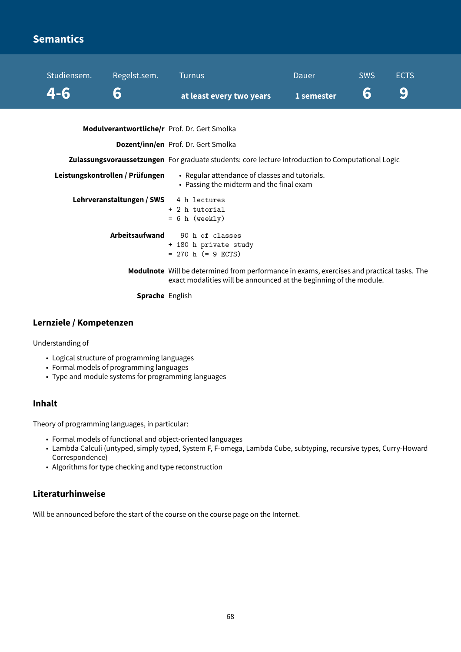### **Semantics**

| Studiensem. | Regelst.sem.                    | <b>Turnus</b>                                                                                                                                                    | Dauer      | <b>SWS</b> | <b>ECTS</b> |
|-------------|---------------------------------|------------------------------------------------------------------------------------------------------------------------------------------------------------------|------------|------------|-------------|
| 4-6         | 6                               | at least every two years                                                                                                                                         | 1 semester | 6          | 9           |
|             |                                 | Modulverantwortliche/r Prof. Dr. Gert Smolka                                                                                                                     |            |            |             |
|             |                                 | Dozent/inn/en Prof. Dr. Gert Smolka                                                                                                                              |            |            |             |
|             |                                 | Zulassungsvoraussetzungen For graduate students: core lecture Introduction to Computational Logic                                                                |            |            |             |
|             | Leistungskontrollen / Prüfungen | • Regular attendance of classes and tutorials.<br>• Passing the midterm and the final exam                                                                       |            |            |             |
|             | Lehrveranstaltungen / SWS       | 4 h lectures<br>+ 2 h tutorial<br>$= 6 h$ (weekly)                                                                                                               |            |            |             |
|             | Arbeitsaufwand                  | 90 h of classes<br>+ 180 h private study<br>$= 270$ h $(= 9$ ECTS)                                                                                               |            |            |             |
|             |                                 | Modulnote Will be determined from performance in exams, exercises and practical tasks. The<br>exact modalities will be announced at the beginning of the module. |            |            |             |
|             | <b>Sprache English</b>          |                                                                                                                                                                  |            |            |             |

#### **Lernziele / Kompetenzen**

Understanding of

- Logical structure of programming languages
- Formal models of programming languages
- Type and module systems for programming languages

#### **Inhalt**

Theory of programming languages, in particular:

- Formal models of functional and object-oriented languages
- Lambda Calculi (untyped, simply typed, System F, F-omega, Lambda Cube, subtyping, recursive types, Curry-Howard Correspondence)
- Algorithms for type checking and type reconstruction

#### **Literaturhinweise**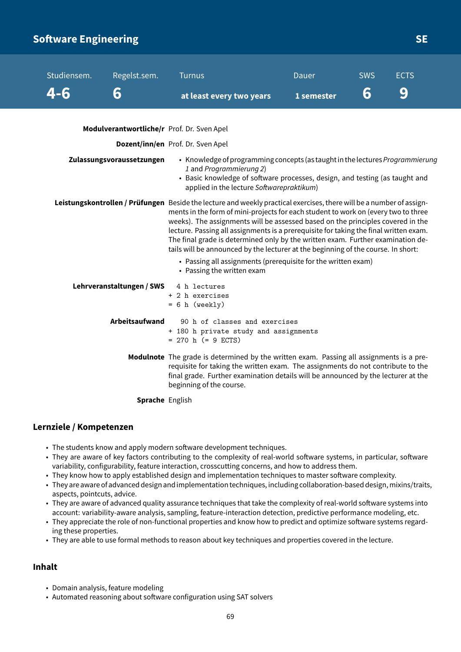### **Software Engineering Security and SE**

| Studiensem.<br>4-6        | Regelst.sem. | Turnus<br>at least every two years                                                                                                                                                                                                                                                                                                                                                                                                                                                                                                                             | <b>Dauer</b><br>1 semester | <b>SWS</b><br>6 | <b>ECTS</b><br>g |  |  |
|---------------------------|--------------|----------------------------------------------------------------------------------------------------------------------------------------------------------------------------------------------------------------------------------------------------------------------------------------------------------------------------------------------------------------------------------------------------------------------------------------------------------------------------------------------------------------------------------------------------------------|----------------------------|-----------------|------------------|--|--|
|                           |              | Modulverantwortliche/r Prof. Dr. Sven Apel                                                                                                                                                                                                                                                                                                                                                                                                                                                                                                                     |                            |                 |                  |  |  |
|                           |              | Dozent/inn/en Prof. Dr. Sven Apel                                                                                                                                                                                                                                                                                                                                                                                                                                                                                                                              |                            |                 |                  |  |  |
| Zulassungsvoraussetzungen |              | • Knowledge of programming concepts (as taught in the lectures Programmierung<br>1 and Programmierung 2)<br>• Basic knowledge of software processes, design, and testing (as taught and<br>applied in the lecture Softwarepraktikum)                                                                                                                                                                                                                                                                                                                           |                            |                 |                  |  |  |
|                           |              | Leistungskontrollen / Prüfungen Beside the lecture and weekly practical exercises, there will be a number of assign-<br>ments in the form of mini-projects for each student to work on (every two to three<br>weeks). The assignments will be assessed based on the principles covered in the<br>lecture. Passing all assignments is a prerequisite for taking the final written exam.<br>The final grade is determined only by the written exam. Further examination de-<br>tails will be announced by the lecturer at the beginning of the course. In short: |                            |                 |                  |  |  |

• Passing all assignments (prerequisite for the written exam) • Passing the written exam **Lehrveranstaltungen / SWS** 4 h lectures + 2 h exercises  $= 6 h$  (weekly) **Arbeitsaufwand** 90 h of classes and exercises + 180 h private study and assignments  $= 270$  h  $(= 9$  ECTS) **Modulnote** The grade is determined by the written exam. Passing all assignments is a prerequisite for taking the written exam. The assignments do not contribute to the final grade. Further examination details will be announced by the lecturer at the

beginning of the course.

**Sprache** English

#### **Lernziele / Kompetenzen**

- The students know and apply modern software development techniques.
- They are aware of key factors contributing to the complexity of real-world software systems, in particular, software variability, configurability, feature interaction, crosscutting concerns, and how to address them.
- They know how to apply established design and implementation techniques to master software complexity.
- They are aware of advanced design and implementation techniques, including collaboration-based design, mixins/traits, aspects, pointcuts, advice.
- They are aware of advanced quality assurance techniques that take the complexity of real-world software systems into account: variability-aware analysis, sampling, feature-interaction detection, predictive performance modeling, etc.
- They appreciate the role of non-functional properties and know how to predict and optimize software systems regarding these properties.
- They are able to use formal methods to reason about key techniques and properties covered in the lecture.

#### **Inhalt**

- Domain analysis, feature modeling
- Automated reasoning about software configuration using SAT solvers

69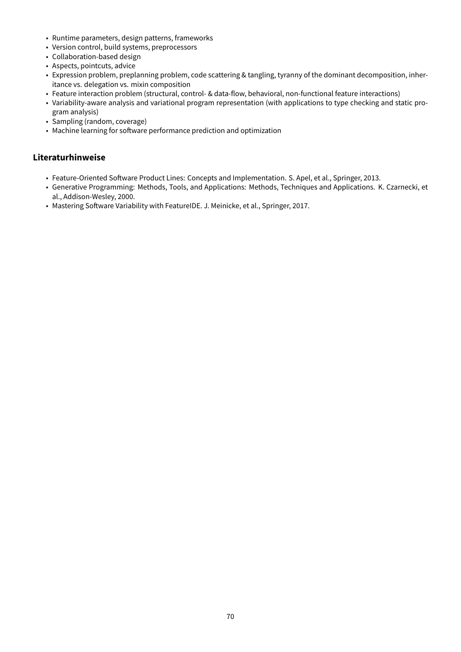- Runtime parameters, design patterns, frameworks
- Version control, build systems, preprocessors
- Collaboration-based design
- Aspects, pointcuts, advice
- Expression problem, preplanning problem, code scattering & tangling, tyranny of the dominant decomposition, inheritance vs. delegation vs. mixin composition
- Feature interaction problem (structural, control- & data-flow, behavioral, non-functional feature interactions)
- Variability-aware analysis and variational program representation (with applications to type checking and static program analysis)
- Sampling (random, coverage)
- Machine learning for software performance prediction and optimization

- Feature-Oriented Software Product Lines: Concepts and Implementation. S. Apel, et al., Springer, 2013.
- Generative Programming: Methods, Tools, and Applications: Methods, Techniques and Applications. K. Czarnecki, et al., Addison-Wesley, 2000.
- Mastering Software Variability with FeatureIDE. J. Meinicke, et al., Springer, 2017.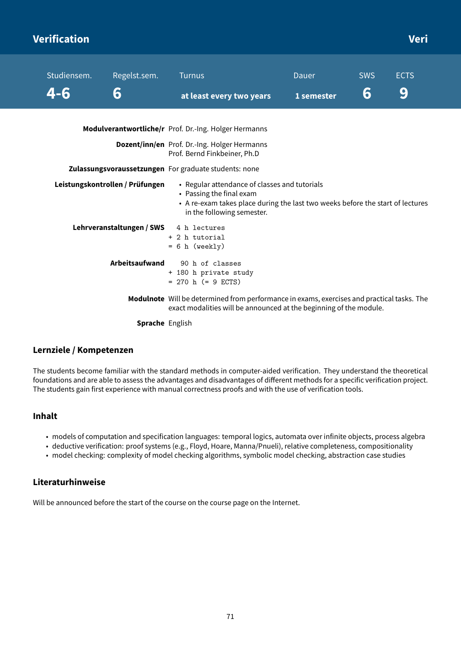### **Verification Veri**

| Studiensem. | Regelst.sem.                    | <b>Turnus</b>                                                                                                                                                                             | Dauer      | <b>SWS</b> | <b>ECTS</b> |
|-------------|---------------------------------|-------------------------------------------------------------------------------------------------------------------------------------------------------------------------------------------|------------|------------|-------------|
|             | 6                               | at least every two years                                                                                                                                                                  | 1 semester | 6          | 9           |
|             |                                 | Modulverantwortliche/r Prof. Dr.-Ing. Holger Hermanns                                                                                                                                     |            |            |             |
|             |                                 | Dozent/inn/en Prof. Dr.-Ing. Holger Hermanns<br>Prof. Bernd Finkbeiner, Ph.D                                                                                                              |            |            |             |
|             |                                 | Zulassungsvoraussetzungen For graduate students: none                                                                                                                                     |            |            |             |
|             | Leistungskontrollen / Prüfungen | • Regular attendance of classes and tutorials<br>• Passing the final exam<br>• A re-exam takes place during the last two weeks before the start of lectures<br>in the following semester. |            |            |             |
|             | Lehrveranstaltungen / SWS       | 4 h lectures<br>+ 2 h tutorial<br>$= 6 h$ (weekly)                                                                                                                                        |            |            |             |
|             | Arbeitsaufwand                  | 90 h of classes<br>+ 180 h private study<br>$= 270$ h (= 9 ECTS)                                                                                                                          |            |            |             |
|             |                                 | Modulnote Will be determined from performance in exams, exercises and practical tasks. The<br>exact modalities will be announced at the beginning of the module.                          |            |            |             |
|             | <b>Sprache</b> English          |                                                                                                                                                                                           |            |            |             |

#### **Lernziele / Kompetenzen**

The students become familiar with the standard methods in computer-aided verification. They understand the theoretical foundations and are able to assess the advantages and disadvantages of different methods for a specific verification project. The students gain first experience with manual correctness proofs and with the use of verification tools.

#### **Inhalt**

- models of computation and specification languages: temporal logics, automata over infinite objects, process algebra
- deductive verification: proof systems (e.g., Floyd, Hoare, Manna/Pnueli), relative completeness, compositionality
- model checking: complexity of model checking algorithms, symbolic model checking, abstraction case studies

#### **Literaturhinweise**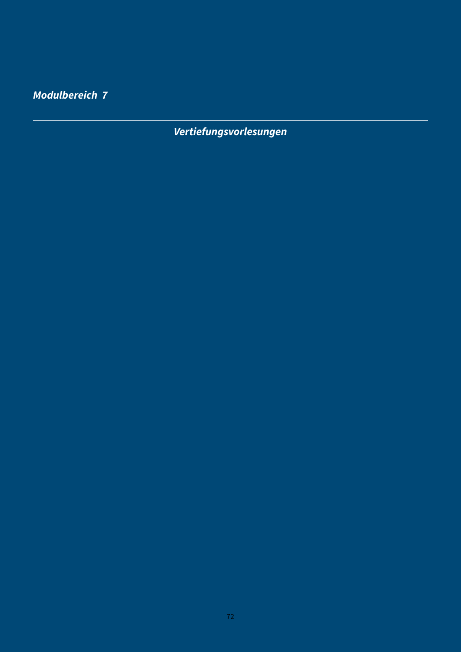**Modulbereich 7**

**Vertiefungsvorlesungen**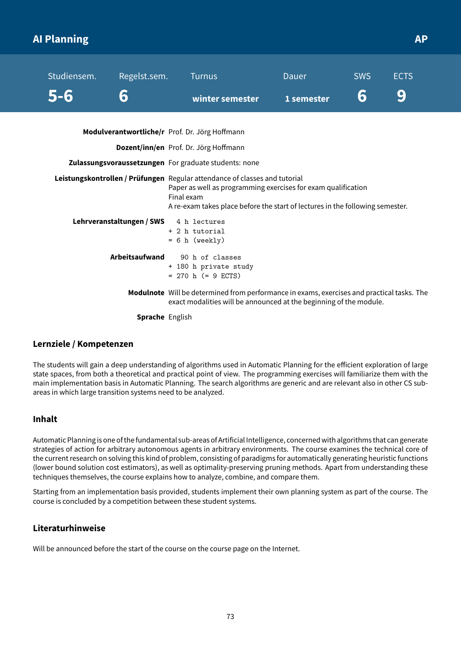# **AI Planning AP APP APPLICATES AT A REPORT OF A SET AND APPLICATES APPLICATION**

| 9<br>6<br>6<br>winter semester<br>1 semester<br>Modulverantwortliche/r Prof. Dr. Jörg Hoffmann<br>Dozent/inn/en Prof. Dr. Jörg Hoffmann<br>Zulassungsvoraussetzungen For graduate students: none<br>Leistungskontrollen / Prüfungen Regular attendance of classes and tutorial<br>Paper as well as programming exercises for exam qualification<br>Final exam<br>A re-exam takes place before the start of lectures in the following semester.<br>Lehrveranstaltungen / SWS 4 h lectures<br>+ 2 h tutorial<br>$= 6 h$ (weekly)<br>Arbeitsaufwand<br>90 h of classes<br>+ 180 h private study<br>$= 270$ h (= 9 ECTS)<br>Modulnote Will be determined from performance in exams, exercises and practical tasks. The<br>exact modalities will be announced at the beginning of the module. | Studiensem. | Regelst.sem. | <b>Turnus</b> | Dauer | <b>SWS</b> | <b>ECTS</b> |  |
|------------------------------------------------------------------------------------------------------------------------------------------------------------------------------------------------------------------------------------------------------------------------------------------------------------------------------------------------------------------------------------------------------------------------------------------------------------------------------------------------------------------------------------------------------------------------------------------------------------------------------------------------------------------------------------------------------------------------------------------------------------------------------------------|-------------|--------------|---------------|-------|------------|-------------|--|
|                                                                                                                                                                                                                                                                                                                                                                                                                                                                                                                                                                                                                                                                                                                                                                                          | $5 - 6$     |              |               |       |            |             |  |
|                                                                                                                                                                                                                                                                                                                                                                                                                                                                                                                                                                                                                                                                                                                                                                                          |             |              |               |       |            |             |  |
|                                                                                                                                                                                                                                                                                                                                                                                                                                                                                                                                                                                                                                                                                                                                                                                          |             |              |               |       |            |             |  |
|                                                                                                                                                                                                                                                                                                                                                                                                                                                                                                                                                                                                                                                                                                                                                                                          |             |              |               |       |            |             |  |
|                                                                                                                                                                                                                                                                                                                                                                                                                                                                                                                                                                                                                                                                                                                                                                                          |             |              |               |       |            |             |  |
|                                                                                                                                                                                                                                                                                                                                                                                                                                                                                                                                                                                                                                                                                                                                                                                          |             |              |               |       |            |             |  |
|                                                                                                                                                                                                                                                                                                                                                                                                                                                                                                                                                                                                                                                                                                                                                                                          |             |              |               |       |            |             |  |
|                                                                                                                                                                                                                                                                                                                                                                                                                                                                                                                                                                                                                                                                                                                                                                                          |             |              |               |       |            |             |  |

**Sprache** English

### **Lernziele / Kompetenzen**

The students will gain a deep understanding of algorithms used in Automatic Planning for the efficient exploration of large state spaces, from both a theoretical and practical point of view. The programming exercises will familiarize them with the main implementation basis in Automatic Planning. The search algorithms are generic and are relevant also in other CS subareas in which large transition systems need to be analyzed.

### **Inhalt**

Automatic Planning is one of thefundamental sub-areas of Artificial Intelligence, concerned with algorithms that can generate strategies of action for arbitrary autonomous agents in arbitrary environments. The course examines the technical core of the current research on solving this kind of problem, consisting of paradigms for automatically generating heuristic functions (lower bound solution cost estimators), as well as optimality-preserving pruning methods. Apart from understanding these techniques themselves, the course explains how to analyze, combine, and compare them.

Starting from an implementation basis provided, students implement their own planning system as part of the course. The course is concluded by a competition between these student systems.

## **Literaturhinweise**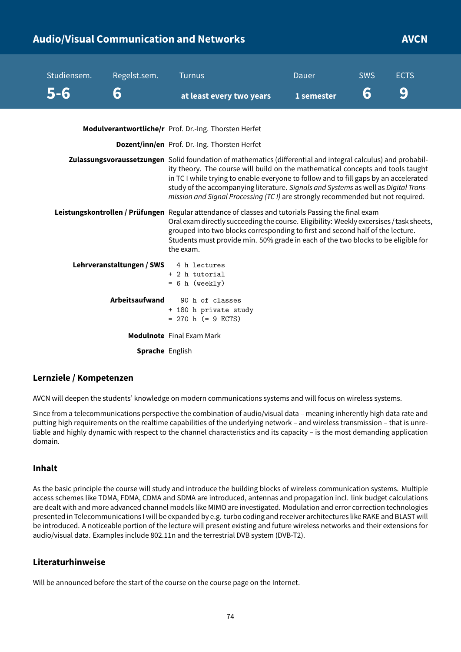# **Audio/Visual Communication and Networks AVCN**

| Studiensem.<br>5-6 | Regelst.sem.<br>6                      | <b>Turnus</b><br>at least every two years                                                                                                                                                                                                                                                                                                                                                                                                                         | Dauer<br>1 semester | <b>SWS</b><br>6 | <b>ECTS</b><br>9 |
|--------------------|----------------------------------------|-------------------------------------------------------------------------------------------------------------------------------------------------------------------------------------------------------------------------------------------------------------------------------------------------------------------------------------------------------------------------------------------------------------------------------------------------------------------|---------------------|-----------------|------------------|
|                    |                                        | Modulverantwortliche/r Prof. Dr.-Ing. Thorsten Herfet                                                                                                                                                                                                                                                                                                                                                                                                             |                     |                 |                  |
|                    |                                        | Dozent/inn/en Prof. Dr.-Ing. Thorsten Herfet                                                                                                                                                                                                                                                                                                                                                                                                                      |                     |                 |                  |
|                    |                                        | Zulassungsvoraussetzungen Solid foundation of mathematics (differential and integral calculus) and probabil-<br>ity theory. The course will build on the mathematical concepts and tools taught<br>in TC I while trying to enable everyone to follow and to fill gaps by an accelerated<br>study of the accompanying literature. Signals and Systems as well as Digital Trans-<br>mission and Signal Processing (TC I) are strongly recommended but not required. |                     |                 |                  |
|                    |                                        | Leistungskontrollen / Prüfungen Regular attendance of classes and tutorials Passing the final exam<br>Oral exam directly succeeding the course. Eligibility: Weekly excersises / task sheets,<br>grouped into two blocks corresponding to first and second half of the lecture.<br>Students must provide min. 50% grade in each of the two blocks to be eligible for<br>the exam.                                                                                 |                     |                 |                  |
|                    | Lehrveranstaltungen / SWS 4 h lectures | + 2 h tutorial<br>$= 6 h$ (weekly)                                                                                                                                                                                                                                                                                                                                                                                                                                |                     |                 |                  |
|                    | <b>Arbeitsaufwand</b>                  | 90 h of classes<br>+ 180 h private study<br>$= 270$ h (= 9 ECTS)                                                                                                                                                                                                                                                                                                                                                                                                  |                     |                 |                  |
|                    |                                        | <b>Modulnote</b> Final Exam Mark                                                                                                                                                                                                                                                                                                                                                                                                                                  |                     |                 |                  |
|                    | Sprache English                        |                                                                                                                                                                                                                                                                                                                                                                                                                                                                   |                     |                 |                  |

### **Lernziele / Kompetenzen**

AVCN will deepen the students' knowledge on modern communications systems and will focus on wireless systems.

Since from a telecommunications perspective the combination of audio/visual data – meaning inherently high data rate and putting high requirements on the realtime capabilities of the underlying network – and wireless transmission – that is unreliable and highly dynamic with respect to the channel characteristics and its capacity – is the most demanding application domain.

### **Inhalt**

As the basic principle the course will study and introduce the building blocks of wireless communication systems. Multiple access schemes like TDMA, FDMA, CDMA and SDMA are introduced, antennas and propagation incl. link budget calculations are dealt with and more advanced channel models like MIMO are investigated. Modulation and error correction technologies presented in Telecommunications I will be expanded by e.g. turbo coding and receiver architectures like RAKE and BLAST will be introduced. A noticeable portion of the lecture will present existing and future wireless networks and their extensions for audio/visual data. Examples include 802.11n and the terrestrial DVB system (DVB-T2).

### **Literaturhinweise**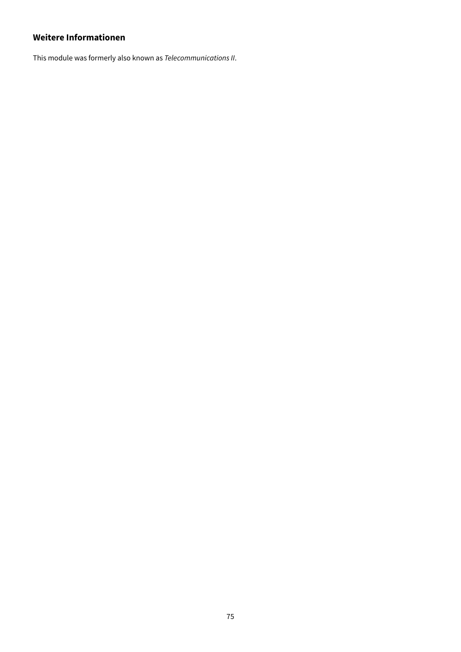# **Weitere Informationen**

This module was formerly also known as Telecommunications II.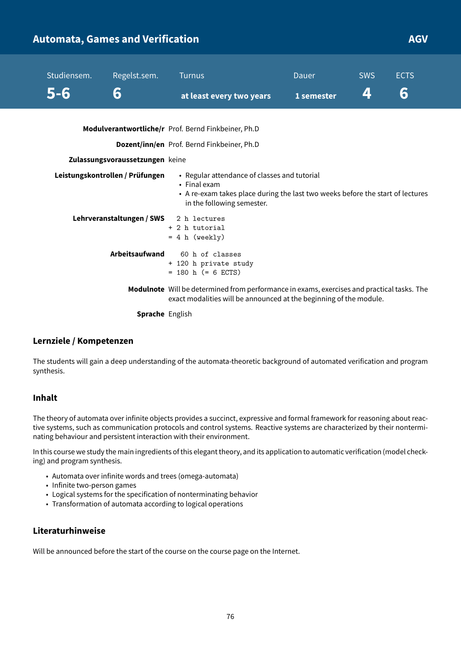| <b>Automata, Games and Verification</b> |                                 |                                                                                                                                                                              |              |            | <b>AGV</b>  |
|-----------------------------------------|---------------------------------|------------------------------------------------------------------------------------------------------------------------------------------------------------------------------|--------------|------------|-------------|
| Studiensem.                             | Regelst.sem.                    | <b>Turnus</b>                                                                                                                                                                | <b>Dauer</b> | <b>SWS</b> | <b>ECTS</b> |
| $5 - 6$                                 | 6                               | at least every two years                                                                                                                                                     | 1 semester   | 4          | 6           |
|                                         |                                 | Modulverantwortliche/r Prof. Bernd Finkbeiner, Ph.D                                                                                                                          |              |            |             |
|                                         |                                 | Dozent/inn/en Prof. Bernd Finkbeiner, Ph.D                                                                                                                                   |              |            |             |
|                                         | Zulassungsvoraussetzungen keine |                                                                                                                                                                              |              |            |             |
|                                         | Leistungskontrollen / Prüfungen | • Regular attendance of classes and tutorial<br>• Final exam<br>• A re-exam takes place during the last two weeks before the start of lectures<br>in the following semester. |              |            |             |
|                                         | Lehrveranstaltungen / SWS       | 2 h lectures<br>+ 2 h tutorial<br>$= 4 h (weakly)$                                                                                                                           |              |            |             |
|                                         | Arbeitsaufwand                  | 60 h of classes<br>+ 120 h private study<br>$= 180$ h (= 6 ECTS)                                                                                                             |              |            |             |
|                                         |                                 | Modulnote Will be determined from performance in exams, exercises and practical tasks. The<br>exact modalities will be announced at the beginning of the module.             |              |            |             |

**Sprache** English

## **Lernziele / Kompetenzen**

The students will gain a deep understanding of the automata-theoretic background of automated verification and program synthesis.

### **Inhalt**

The theory of automata over infinite objects provides a succinct, expressive and formal framework for reasoning about reactive systems, such as communication protocols and control systems. Reactive systems are characterized by their nonterminating behaviour and persistent interaction with their environment.

In this course we study the main ingredients of this elegant theory, and its application to automatic verification (model checking) and program synthesis.

- Automata over infinite words and trees (omega-automata)
- Infinite two-person games
- Logical systems for the specification of nonterminating behavior
- Transformation of automata according to logical operations

### **Literaturhinweise**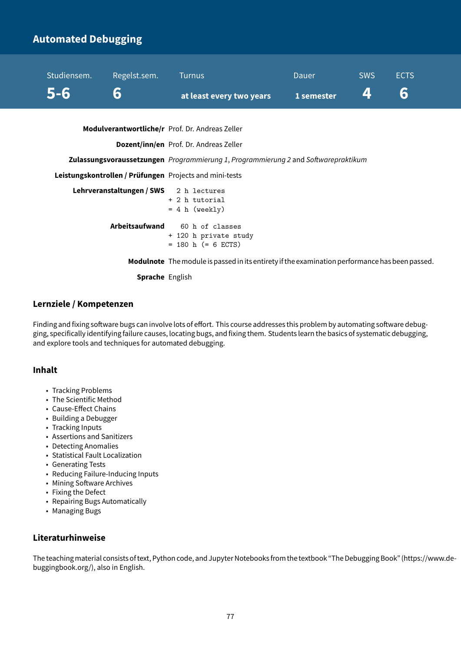# **Automated Debugging**



|                | $= 4 h (weekly)$ |  |                       |
|----------------|------------------|--|-----------------------|
| Arbeitsaufwand |                  |  | 60 h of classes       |
|                |                  |  | + 120 h private study |
|                |                  |  | $= 180$ h (= 6 ECTS)  |

**Modulnote** Themodule is passed in its entirety if the examination performance has been passed.

**Sprache** English

#### **Lernziele / Kompetenzen**

Finding and fixing software bugs can involve lots of effort. This course addresses this problem by automating software debugging, specifically identifying failure causes, locating bugs, and fixing them. Students learn the basics of systematic debugging, and explore tools and techniques for automated debugging.

### **Inhalt**

- Tracking Problems
- The Scientific Method
- Cause-Effect Chains
- Building a Debugger
- Tracking Inputs
- Assertions and Sanitizers
- Detecting Anomalies
- Statistical Fault Localization
- Generating Tests
- Reducing Failure-Inducing Inputs
- Mining Software Archives
- Fixing the Defect
- Repairing Bugs Automatically
- Managing Bugs

## **Literaturhinweise**

The teachingmaterial consists of text, Python code, and Jupyter Notebooksfrom the textbook "The Debugging Book" (https://www.debuggingbook.org/), also in English.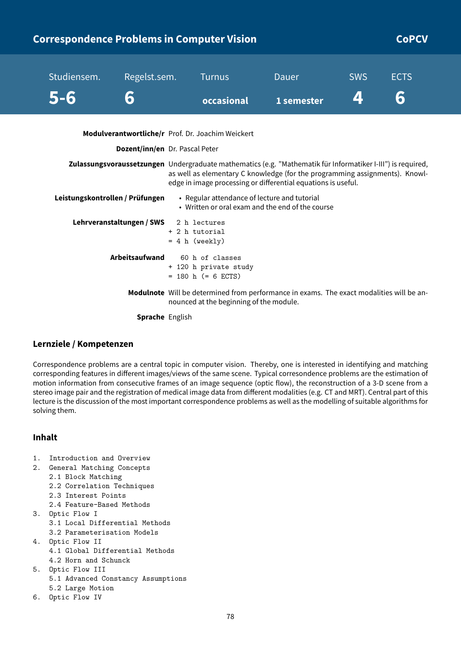|                                 | <b>Correspondence Problems in Computer Vision</b>                                                           |                                                                  |                                                                                                                                              |            | <b>CoPCV</b> |  |
|---------------------------------|-------------------------------------------------------------------------------------------------------------|------------------------------------------------------------------|----------------------------------------------------------------------------------------------------------------------------------------------|------------|--------------|--|
| Studiensem.                     | Regelst.sem.                                                                                                | <b>Turnus</b>                                                    | <b>Dauer</b>                                                                                                                                 | <b>SWS</b> | <b>ECTS</b>  |  |
| 5-6                             | 6                                                                                                           | occasional                                                       | 1 semester                                                                                                                                   | 4          | 6            |  |
|                                 | Modulverantwortliche/r Prof. Dr. Joachim Weickert                                                           |                                                                  |                                                                                                                                              |            |              |  |
|                                 | Dozent/inn/en Dr. Pascal Peter                                                                              |                                                                  |                                                                                                                                              |            |              |  |
|                                 | Zulassungsvoraussetzungen Undergraduate mathematics (e.g. "Mathematik für Informatiker I-III") is required, |                                                                  | as well as elementary C knowledge (for the programming assignments). Knowl-<br>edge in image processing or differential equations is useful. |            |              |  |
| Leistungskontrollen / Prüfungen |                                                                                                             | • Regular attendance of lecture and tutorial                     | • Written or oral exam and the end of the course                                                                                             |            |              |  |
|                                 | Lehrveranstaltungen / SWS                                                                                   | 2 h lectures<br>+ 2 h tutorial<br>$= 4 h$ (weekly)               |                                                                                                                                              |            |              |  |
|                                 | Arbeitsaufwand                                                                                              | 60 h of classes<br>+ 120 h private study<br>$= 180$ h (= 6 ECTS) |                                                                                                                                              |            |              |  |
|                                 |                                                                                                             | nounced at the beginning of the module.                          | Modulnote Will be determined from performance in exams. The exact modalities will be an-                                                     |            |              |  |

**Sprache** English

## **Lernziele / Kompetenzen**

Correspondence problems are a central topic in computer vision. Thereby, one is interested in identifying and matching corresponding features in different images/views of the same scene. Typical corresondence problems are the estimation of motion information from consecutive frames of an image sequence (optic flow), the reconstruction of a 3-D scene from a stereo image pair and the registration of medical image data from different modalities (e.g. CT and MRT). Central part of this lecture is the discussion of the most important correspondence problems as well as the modelling of suitable algorithms for solving them.

## **Inhalt**

- 1. Introduction and Overview
- 2. General Matching Concepts
	- 2.1 Block Matching
	- 2.2 Correlation Techniques
	- 2.3 Interest Points
	- 2.4 Feature-Based Methods
- 3. Optic Flow I
	- 3.1 Local Differential Methods 3.2 Parameterisation Models
- 4. Optic Flow II 4.1 Global Differential Methods
	- 4.2 Horn and Schunck
- 5. Optic Flow III 5.1 Advanced Constancy Assumptions 5.2 Large Motion
- 6. Optic Flow IV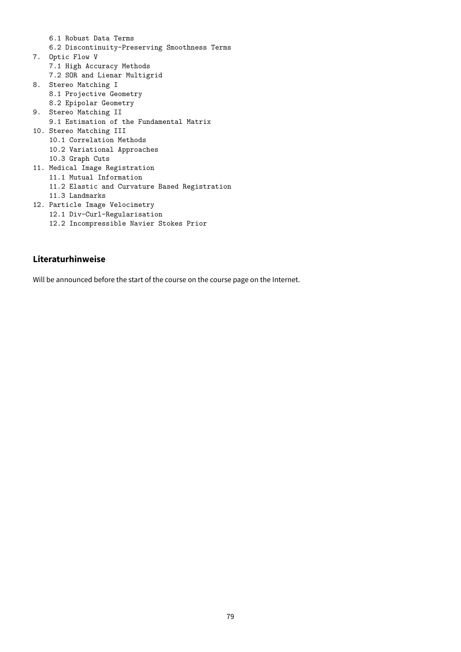6.1 Robust Data Terms 6.2 Discontinuity-Preserving Smoothness Terms 7. Optic Flow V 7.1 High Accuracy Methods 7.2 SOR and Lienar Multigrid 8. Stereo Matching I 8.1 Projective Geometry 8.2 Epipolar Geometry 9. Stereo Matching II 9.1 Estimation of the Fundamental Matrix 10. Stereo Matching III 10.1 Correlation Methods 10.2 Variational Approaches 10.3 Graph Cuts 11. Medical Image Registration 11.1 Mutual Information 11.2 Elastic and Curvature Based Registration 11.3 Landmarks 12. Particle Image Velocimetry 12.1 Div-Curl-Regularisation

# 12.2 Incompressible Navier Stokes Prior

### **Literaturhinweise**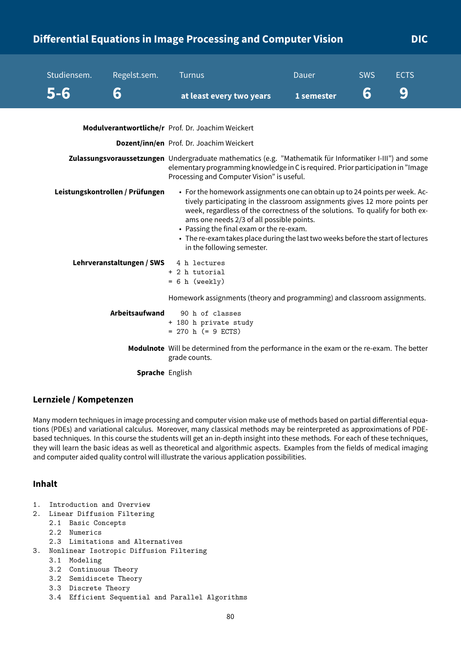# **Differential Equations in Image Processing and Computer Vision DIC**

| Studiensem. | Regelst.sem.                    | <b>Turnus</b>                                                                                                                                                                                                                                                                                                                                                                                                                                         | Dauer      | <b>SWS</b> | <b>ECTS</b> |  |  |
|-------------|---------------------------------|-------------------------------------------------------------------------------------------------------------------------------------------------------------------------------------------------------------------------------------------------------------------------------------------------------------------------------------------------------------------------------------------------------------------------------------------------------|------------|------------|-------------|--|--|
| $5 - 6$     | 6                               | at least every two years                                                                                                                                                                                                                                                                                                                                                                                                                              | 1 semester | 6          | 9           |  |  |
|             |                                 | Modulverantwortliche/r Prof. Dr. Joachim Weickert                                                                                                                                                                                                                                                                                                                                                                                                     |            |            |             |  |  |
|             |                                 | Dozent/inn/en Prof. Dr. Joachim Weickert                                                                                                                                                                                                                                                                                                                                                                                                              |            |            |             |  |  |
|             |                                 | Zulassungsvoraussetzungen Undergraduate mathematics (e.g. "Mathematik für Informatiker I-III") and some<br>elementary programming knowledge in C is required. Prior participation in "Image<br>Processing and Computer Vision" is useful.                                                                                                                                                                                                             |            |            |             |  |  |
|             | Leistungskontrollen / Prüfungen | • For the homework assignments one can obtain up to 24 points per week. Ac-<br>tively participating in the classroom assignments gives 12 more points per<br>week, regardless of the correctness of the solutions. To qualify for both ex-<br>ams one needs 2/3 of all possible points.<br>• Passing the final exam or the re-exam.<br>• The re-exam takes place during the last two weeks before the start of lectures<br>in the following semester. |            |            |             |  |  |
|             | Lehrveranstaltungen / SWS       | 4 h lectures<br>+ 2 h tutorial<br>$= 6 h$ (weekly)                                                                                                                                                                                                                                                                                                                                                                                                    |            |            |             |  |  |
|             |                                 | Homework assignments (theory and programming) and classroom assignments.                                                                                                                                                                                                                                                                                                                                                                              |            |            |             |  |  |
|             | <b>Arbeitsaufwand</b>           | 90 h of classes<br>+ 180 h private study<br>$= 270$ h (= 9 ECTS)                                                                                                                                                                                                                                                                                                                                                                                      |            |            |             |  |  |
|             |                                 | Modulnote Will be determined from the performance in the exam or the re-exam. The better<br>grade counts.                                                                                                                                                                                                                                                                                                                                             |            |            |             |  |  |
|             | <b>Sprache English</b>          |                                                                                                                                                                                                                                                                                                                                                                                                                                                       |            |            |             |  |  |

### **Lernziele / Kompetenzen**

Many modern techniques in image processing and computer vision make use of methods based on partial differential equations (PDEs) and variational calculus. Moreover, many classical methods may be reinterpreted as approximations of PDEbased techniques. In this course the students will get an in-depth insight into these methods. For each of these techniques, they will learn the basic ideas as well as theoretical and algorithmic aspects. Examples from the fields of medical imaging and computer aided quality control will illustrate the various application possibilities.

### **Inhalt**

- 1. Introduction and Overview
- 2. Linear Diffusion Filtering
	- 2.1 Basic Concepts
	- 2.2 Numerics
	- 2.3 Limitations and Alternatives
- 3. Nonlinear Isotropic Diffusion Filtering
	- 3.1 Modeling
	- 3.2 Continuous Theory
	- 3.2 Semidiscete Theory
	- 3.3 Discrete Theory
	- 3.4 Efficient Sequential and Parallel Algorithms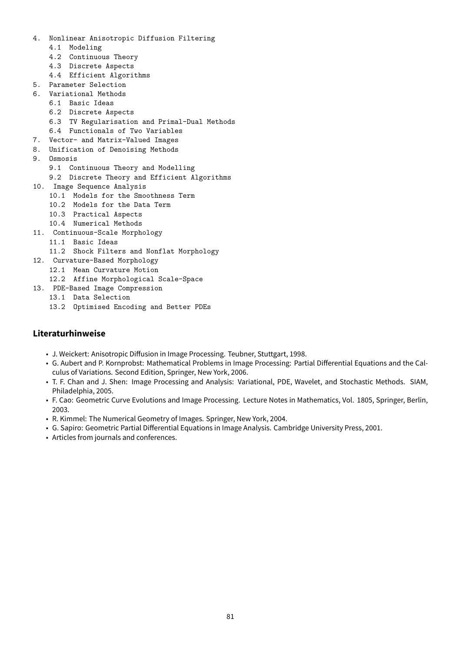- 4. Nonlinear Anisotropic Diffusion Filtering
	- 4.1 Modeling
	- 4.2 Continuous Theory
	- 4.3 Discrete Aspects
	- 4.4 Efficient Algorithms
- 5. Parameter Selection
- 6. Variational Methods
	- 6.1 Basic Ideas
		- 6.2 Discrete Aspects
		- 6.3 TV Regularisation and Primal-Dual Methods
		- 6.4 Functionals of Two Variables
- 7. Vector- and Matrix-Valued Images
- 8. Unification of Denoising Methods
- 9. Osmosis
	- 9.1 Continuous Theory and Modelling
	- 9.2 Discrete Theory and Efficient Algorithms
- 10. Image Sequence Analysis
	- 10.1 Models for the Smoothness Term
	- 10.2 Models for the Data Term
	- 10.3 Practical Aspects
	- 10.4 Numerical Methods
- 11. Continuous-Scale Morphology
	- 11.1 Basic Ideas
	- 11.2 Shock Filters and Nonflat Morphology
- 12. Curvature-Based Morphology
	- 12.1 Mean Curvature Motion
	- 12.2 Affine Morphological Scale-Space
- 13. PDE-Based Image Compression
	- 13.1 Data Selection
	- 13.2 Optimised Encoding and Better PDEs

### **Literaturhinweise**

- J. Weickert: Anisotropic Diffusion in Image Processing. Teubner, Stuttgart, 1998.
- G. Aubert and P. Kornprobst: Mathematical Problems in Image Processing: Partial Differential Equations and the Calculus of Variations. Second Edition, Springer, New York, 2006.
- T. F. Chan and J. Shen: Image Processing and Analysis: Variational, PDE, Wavelet, and Stochastic Methods. SIAM, Philadelphia, 2005.
- F. Cao: Geometric Curve Evolutions and Image Processing. Lecture Notes in Mathematics, Vol. 1805, Springer, Berlin, 2003.
- R. Kimmel: The Numerical Geometry of Images. Springer, New York, 2004.
- G. Sapiro: Geometric Partial Differential Equations in Image Analysis. Cambridge University Press, 2001.
- Articles from journals and conferences.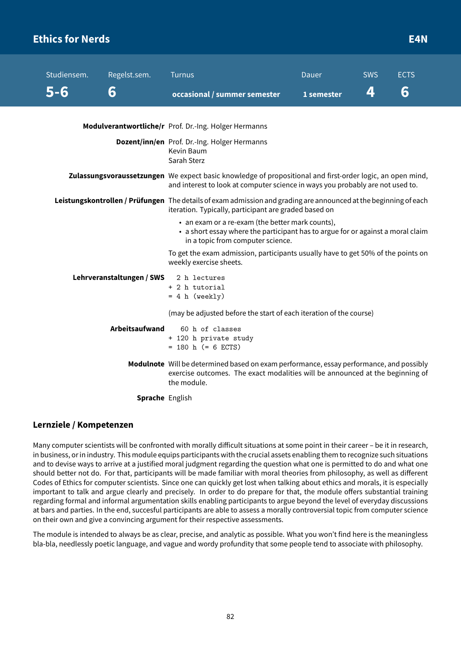# **Ethics for Nerds E4N**

| Studiensem. | Regelst.sem.              | <b>Turnus</b>                                                                                                                                                                               | Dauer      | <b>SWS</b> | <b>ECTS</b> |  |  |
|-------------|---------------------------|---------------------------------------------------------------------------------------------------------------------------------------------------------------------------------------------|------------|------------|-------------|--|--|
| $5 - 6$     | 6                         | occasional / summer semester                                                                                                                                                                | 1 semester | 4          | 6           |  |  |
|             |                           |                                                                                                                                                                                             |            |            |             |  |  |
|             |                           | Modulverantwortliche/r Prof. Dr.-Ing. Holger Hermanns                                                                                                                                       |            |            |             |  |  |
|             |                           | Dozent/inn/en Prof. Dr.-Ing. Holger Hermanns<br>Kevin Baum<br>Sarah Sterz                                                                                                                   |            |            |             |  |  |
|             |                           | Zulassungsvoraussetzungen We expect basic knowledge of propositional and first-order logic, an open mind,<br>and interest to look at computer science in ways you probably are not used to. |            |            |             |  |  |
|             |                           | Leistungskontrollen / Prüfungen The details of exam admission and grading are announced at the beginning of each<br>iteration. Typically, participant are graded based on                   |            |            |             |  |  |
|             |                           | • an exam or a re-exam (the better mark counts),<br>• a short essay where the participant has to argue for or against a moral claim<br>in a topic from computer science.                    |            |            |             |  |  |
|             |                           | To get the exam admission, participants usually have to get 50% of the points on<br>weekly exercise sheets.                                                                                 |            |            |             |  |  |
|             | Lehrveranstaltungen / SWS | 2 h lectures                                                                                                                                                                                |            |            |             |  |  |
|             |                           | + 2 h tutorial<br>$= 4 h (weakly)$                                                                                                                                                          |            |            |             |  |  |
|             |                           | (may be adjusted before the start of each iteration of the course)                                                                                                                          |            |            |             |  |  |
|             | <b>Arbeitsaufwand</b>     | 60 h of classes<br>+ 120 h private study                                                                                                                                                    |            |            |             |  |  |
|             |                           | $= 180$ h (= 6 ECTS)                                                                                                                                                                        |            |            |             |  |  |
|             |                           | Modulnote Will be determined based on exam performance, essay performance, and possibly<br>exercise outcomes. The exact modalities will be announced at the beginning of<br>the module.     |            |            |             |  |  |
|             | <b>Sprache English</b>    |                                                                                                                                                                                             |            |            |             |  |  |

### **Lernziele / Kompetenzen**

Many computer scientists will be confronted with morally difficult situations at some point in their career – be it in research, in business, or in industry. This module equips participants with the crucial assets enabling them to recognize such situations and to devise ways to arrive at a justified moral judgment regarding the question what one is permitted to do and what one should better not do. For that, participants will be made familiar with moral theories from philosophy, as well as different Codes of Ethics for computer scientists. Since one can quickly get lost when talking about ethics and morals, it is especially important to talk and argue clearly and precisely. In order to do prepare for that, the module offers substantial training regarding formal and informal argumentation skills enabling participants to argue beyond the level of everyday discussions at bars and parties. In the end, succesful participants are able to assess a morally controversial topic from computer science on their own and give a convincing argument for their respective assessments.

The module is intended to always be as clear, precise, and analytic as possible. What you won't find here is the meaningless bla-bla, needlessly poetic language, and vague and wordy profundity that some people tend to associate with philosophy.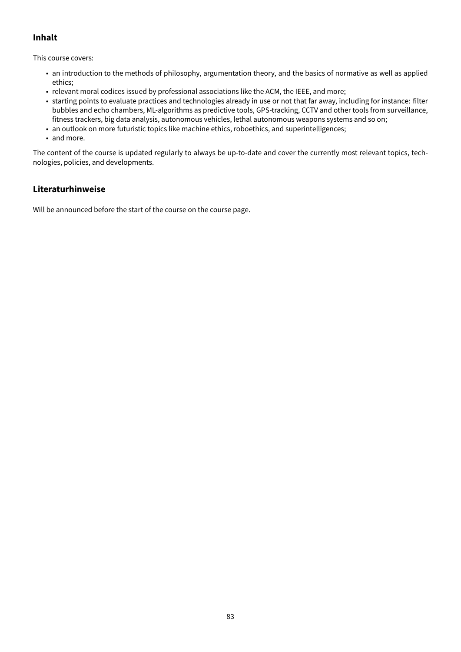# **Inhalt**

This course covers:

- an introduction to the methods of philosophy, argumentation theory, and the basics of normative as well as applied ethics;
- relevant moral codices issued by professional associations like the ACM, the IEEE, and more;
- starting points to evaluate practices and technologies already in use or not that far away, including for instance: filter bubbles and echo chambers, ML-algorithms as predictive tools, GPS-tracking, CCTV and other tools from surveillance, fitness trackers, big data analysis, autonomous vehicles, lethal autonomous weapons systems and so on;
- an outlook on more futuristic topics like machine ethics, roboethics, and superintelligences;
- and more.

The content of the course is updated regularly to always be up-to-date and cover the currently most relevant topics, technologies, policies, and developments.

## **Literaturhinweise**

Will be announced before the start of the course on the course page.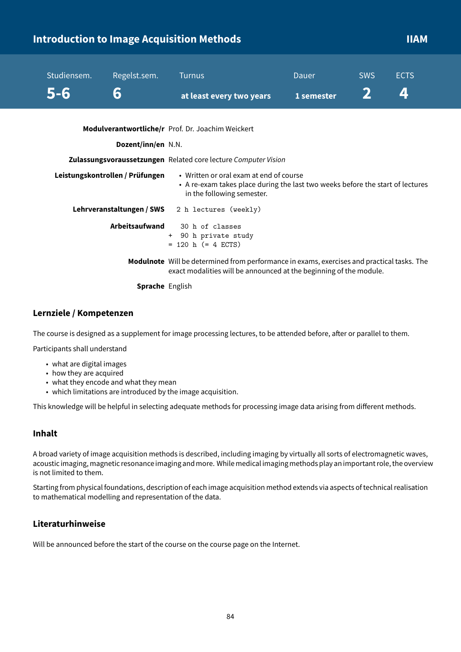# **Introduction to Image Acquisition Methods IIAM**

| Studiensem.<br>5-6 | Regelst.sem.<br>6               | <b>Turnus</b><br>at least every two years                                                                                                                        | Dauer<br>1 semester | <b>SWS</b> | <b>ECTS</b><br>4! |  |  |
|--------------------|---------------------------------|------------------------------------------------------------------------------------------------------------------------------------------------------------------|---------------------|------------|-------------------|--|--|
|                    | Dozent/inn/en N.N.              | Modulverantwortliche/r Prof. Dr. Joachim Weickert                                                                                                                |                     |            |                   |  |  |
|                    |                                 | Zulassungsvoraussetzungen Related core lecture Computer Vision                                                                                                   |                     |            |                   |  |  |
|                    | Leistungskontrollen / Prüfungen | • Written or oral exam at end of course<br>• A re-exam takes place during the last two weeks before the start of lectures<br>in the following semester.          |                     |            |                   |  |  |
|                    | Lehrveranstaltungen / SWS       | 2 h lectures (weekly)                                                                                                                                            |                     |            |                   |  |  |
|                    | Arbeitsaufwand                  | 30 h of classes<br>+ 90 h private study<br>$= 120$ h (= 4 ECTS)                                                                                                  |                     |            |                   |  |  |
|                    |                                 | Modulnote Will be determined from performance in exams, exercises and practical tasks. The<br>exact modalities will be announced at the beginning of the module. |                     |            |                   |  |  |
|                    |                                 | .                                                                                                                                                                |                     |            |                   |  |  |

**Sprache** English

### **Lernziele / Kompetenzen**

The course is designed as a supplement for image processing lectures, to be attended before, after or parallel to them.

Participants shall understand

- what are digital images
- how they are acquired
- what they encode and what they mean
- which limitations are introduced by the image acquisition.

This knowledge will be helpful in selecting adequate methods for processing image data arising from different methods.

#### **Inhalt**

A broad variety of image acquisition methods is described, including imaging by virtually all sorts of electromagnetic waves, acoustic imaging, magnetic resonance imaging and more. While medical imaging methods play an important role, the overview is not limited to them.

Starting from physical foundations, description of each image acquisition method extends via aspects of technical realisation to mathematical modelling and representation of the data.

### **Literaturhinweise**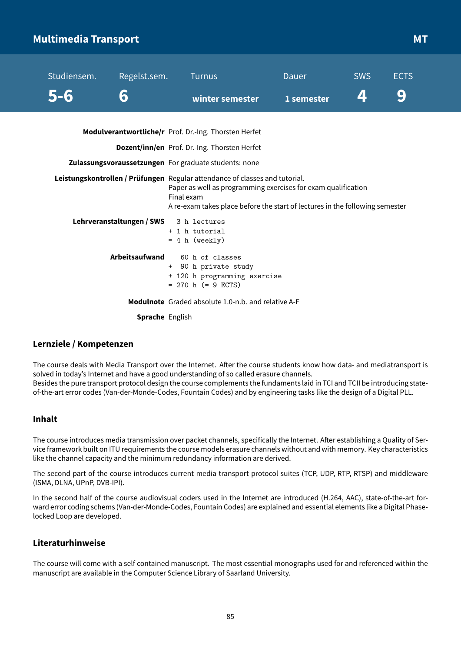# **Multimedia Transport MT**

| Studiensem. | Regelst.sem.                           | <b>Turnus</b>                                                                                                                                                                                                                              | Dauer      | <b>SWS</b> | <b>ECTS</b> |
|-------------|----------------------------------------|--------------------------------------------------------------------------------------------------------------------------------------------------------------------------------------------------------------------------------------------|------------|------------|-------------|
| 5-6         | 6                                      | winter semester                                                                                                                                                                                                                            | 1 semester | 4          | 9           |
|             |                                        | Modulverantwortliche/r Prof. Dr.-Ing. Thorsten Herfet                                                                                                                                                                                      |            |            |             |
|             |                                        | Dozent/inn/en Prof. Dr.-Ing. Thorsten Herfet                                                                                                                                                                                               |            |            |             |
|             |                                        | Zulassungsvoraussetzungen For graduate students: none                                                                                                                                                                                      |            |            |             |
|             |                                        | Leistungskontrollen / Prüfungen Regular attendance of classes and tutorial.<br>Paper as well as programming exercises for exam qualification<br>Final exam<br>A re-exam takes place before the start of lectures in the following semester |            |            |             |
|             | Lehrveranstaltungen / SWS 3 h lectures | + 1 h tutorial<br>$= 4 h$ (weekly)                                                                                                                                                                                                         |            |            |             |
|             | Arbeitsaufwand<br>$+$                  | 60 h of classes<br>90 h private study                                                                                                                                                                                                      |            |            |             |

+ 120 h programming exercise  $= 270$  h ( $= 9$  ECTS)

**Modulnote** Graded absolute 1.0-n.b. and relative A-F

**Sprache** English

### **Lernziele / Kompetenzen**

The course deals with Media Transport over the Internet. After the course students know how data- and mediatransport is solved in today's Internet and have a good understanding of so called erasure channels. Besides the pure transport protocol design the course complements the fundaments laid in TCI and TCII be introducing stateof-the-art error codes (Van-der-Monde-Codes, Fountain Codes) and by engineering tasks like the design of a Digital PLL.

### **Inhalt**

The course introduces media transmission over packet channels, specifically the Internet. After establishing a Quality of Service framework built on ITU requirements the course models erasure channels without and with memory. Key characteristics like the channel capacity and the minimum redundancy information are derived.

The second part of the course introduces current media transport protocol suites (TCP, UDP, RTP, RTSP) and middleware (ISMA, DLNA, UPnP, DVB-IPI).

In the second half of the course audiovisual coders used in the Internet are introduced (H.264, AAC), state-of-the-art forward error coding schems (Van-der-Monde-Codes, Fountain Codes) are explained and essential elements like a Digital Phaselocked Loop are developed.

## **Literaturhinweise**

The course will come with a self contained manuscript. The most essential monographs used for and referenced within the manuscript are available in the Computer Science Library of Saarland University.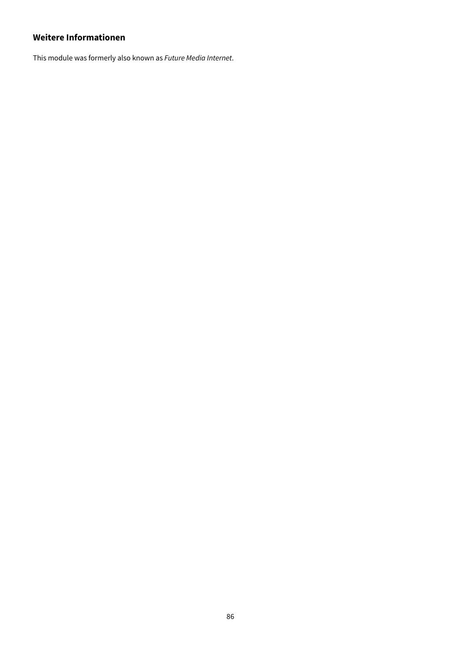# **Weitere Informationen**

This module was formerly also known as Future Media Internet.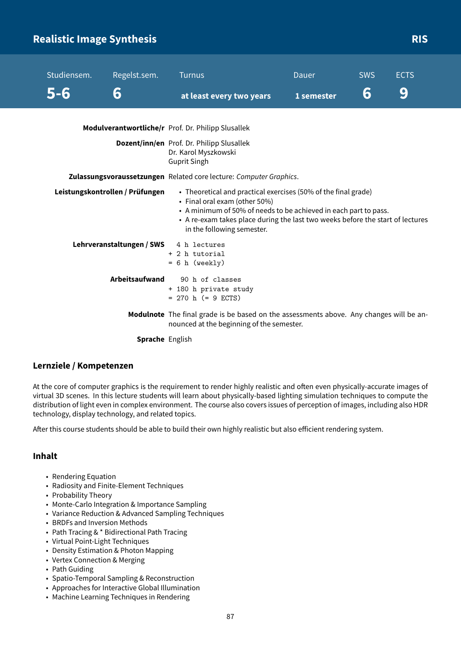# **Realistic Image Synthesis Risk and Synthesis RIS**

| Studiensem.<br>5-6 | Regelst.sem.<br>6               | <b>Turnus</b><br>at least every two years                                                                                                                                                                                                                                           | Dauer<br>1 semester | <b>SWS</b><br>6 | <b>ECTS</b><br>9 |
|--------------------|---------------------------------|-------------------------------------------------------------------------------------------------------------------------------------------------------------------------------------------------------------------------------------------------------------------------------------|---------------------|-----------------|------------------|
|                    |                                 | Modulverantwortliche/r Prof. Dr. Philipp Slusallek                                                                                                                                                                                                                                  |                     |                 |                  |
|                    |                                 | Dozent/inn/en Prof. Dr. Philipp Slusallek<br>Dr. Karol Myszkowski<br><b>Guprit Singh</b>                                                                                                                                                                                            |                     |                 |                  |
|                    |                                 | Zulassungsvoraussetzungen Related core lecture: Computer Graphics.                                                                                                                                                                                                                  |                     |                 |                  |
|                    | Leistungskontrollen / Prüfungen | • Theoretical and practical exercises (50% of the final grade)<br>• Final oral exam (other 50%)<br>• A minimum of 50% of needs to be achieved in each part to pass.<br>• A re-exam takes place during the last two weeks before the start of lectures<br>in the following semester. |                     |                 |                  |
|                    | Lehrveranstaltungen / SWS       | 4 h lectures<br>+ 2 h tutorial<br>$= 6 h$ (weekly)                                                                                                                                                                                                                                  |                     |                 |                  |
|                    | Arbeitsaufwand                  | 90 h of classes<br>+ 180 h private study<br>$= 270$ h (= 9 ECTS)                                                                                                                                                                                                                    |                     |                 |                  |
|                    |                                 | <b>Modulnote</b> The final grade is be based on the assessments above. Any changes will be an-<br>nounced at the beginning of the semester.                                                                                                                                         |                     |                 |                  |

**Sprache** English

## **Lernziele / Kompetenzen**

At the core of computer graphics is the requirement to render highly realistic and often even physically-accurate images of virtual 3D scenes. In this lecture students will learn about physically-based lighting simulation techniques to compute the distribution of light even in complex environment. The course also covers issues of perception of images, including also HDR technology, display technology, and related topics.

After this course students should be able to build their own highly realistic but also efficient rendering system.

### **Inhalt**

- Rendering Equation
- Radiosity and Finite-Element Techniques
- Probability Theory
- Monte-Carlo Integration & Importance Sampling
- Variance Reduction & Advanced Sampling Techniques
- BRDFs and Inversion Methods
- Path Tracing & \* Bidirectional Path Tracing
- Virtual Point-Light Techniques
- Density Estimation & Photon Mapping
- Vertex Connection & Merging
- Path Guiding
- Spatio-Temporal Sampling & Reconstruction
- Approaches for Interactive Global Illumination
- Machine Learning Techniques in Rendering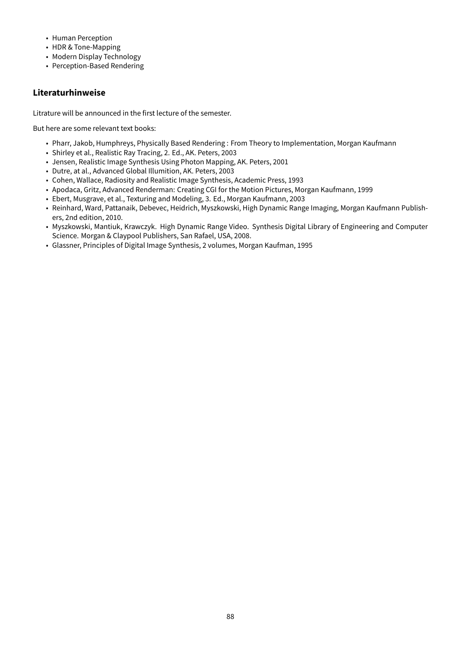- Human Perception
- HDR & Tone-Mapping
- Modern Display Technology
- Perception-Based Rendering

## **Literaturhinweise**

Litrature will be announced in the first lecture of the semester.

But here are some relevant text books:

- Pharr, Jakob, Humphreys, Physically Based Rendering : From Theory to Implementation, Morgan Kaufmann
- Shirley et al., Realistic Ray Tracing, 2. Ed., AK. Peters, 2003
- Jensen, Realistic Image Synthesis Using Photon Mapping, AK. Peters, 2001
- Dutre, at al., Advanced Global Illumition, AK. Peters, 2003
- Cohen, Wallace, Radiosity and Realistic Image Synthesis, Academic Press, 1993
- Apodaca, Gritz, Advanced Renderman: Creating CGI for the Motion Pictures, Morgan Kaufmann, 1999
- Ebert, Musgrave, et al., Texturing and Modeling, 3. Ed., Morgan Kaufmann, 2003
- Reinhard, Ward, Pattanaik, Debevec, Heidrich, Myszkowski, High Dynamic Range Imaging, Morgan Kaufmann Publishers, 2nd edition, 2010.
- Myszkowski, Mantiuk, Krawczyk. High Dynamic Range Video. Synthesis Digital Library of Engineering and Computer Science. Morgan & Claypool Publishers, San Rafael, USA, 2008.
- Glassner, Principles of Digital Image Synthesis, 2 volumes, Morgan Kaufman, 1995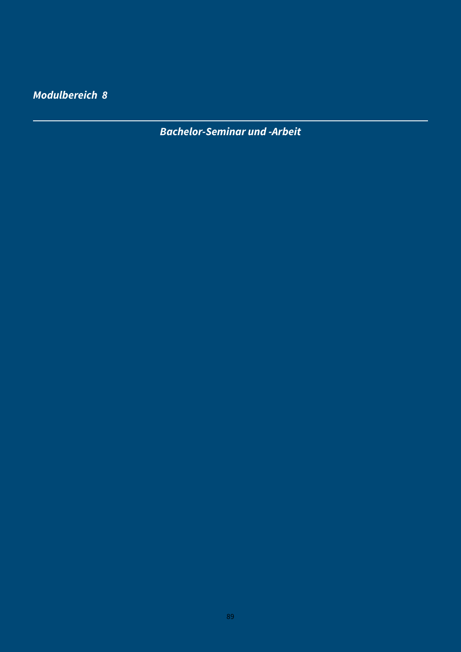**Modulbereich 8**

**Bachelor-Seminar und -Arbeit**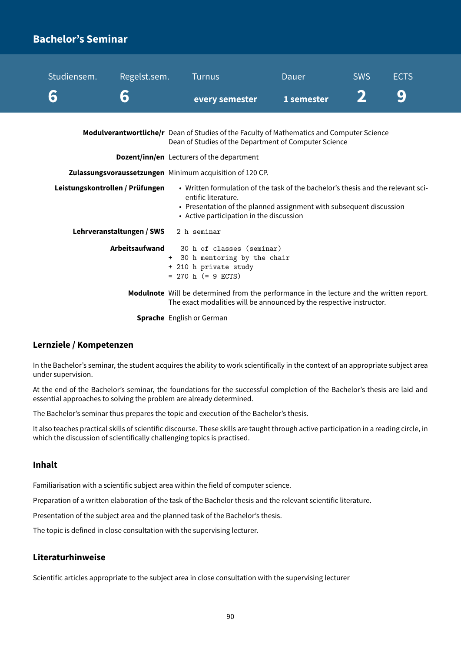# **Bachelor's Seminar**

| Studiensem. | Regelst.sem.<br>6                                                                                                                                                                                                                                             | <b>Turnus</b><br>every semester                                                                                                                                         | Dauer<br>1 semester | <b>SWS</b> | <b>ECTS</b><br>9 |  |
|-------------|---------------------------------------------------------------------------------------------------------------------------------------------------------------------------------------------------------------------------------------------------------------|-------------------------------------------------------------------------------------------------------------------------------------------------------------------------|---------------------|------------|------------------|--|
|             |                                                                                                                                                                                                                                                               | Modulverantwortliche/r Dean of Studies of the Faculty of Mathematics and Computer Science<br>Dean of Studies of the Department of Computer Science                      |                     |            |                  |  |
|             |                                                                                                                                                                                                                                                               | <b>Dozent/inn/en</b> Lecturers of the department                                                                                                                        |                     |            |                  |  |
|             |                                                                                                                                                                                                                                                               | Zulassungsvoraussetzungen Minimum acquisition of 120 CP.                                                                                                                |                     |            |                  |  |
|             | • Written formulation of the task of the bachelor's thesis and the relevant sci-<br>Leistungskontrollen / Prüfungen<br>entific literature.<br>• Presentation of the planned assignment with subsequent discussion<br>• Active participation in the discussion |                                                                                                                                                                         |                     |            |                  |  |
|             | Lehrveranstaltungen / SWS                                                                                                                                                                                                                                     | 2 h seminar                                                                                                                                                             |                     |            |                  |  |
|             | Arbeitsaufwand                                                                                                                                                                                                                                                | 30 h of classes (seminar)<br>+ 30 h mentoring by the chair<br>+ 210 h private study<br>$= 270$ h (= 9 ECTS)                                                             |                     |            |                  |  |
|             |                                                                                                                                                                                                                                                               | <b>Modulnote</b> Will be determined from the performance in the lecture and the written report.<br>The exact modalities will be announced by the respective instructor. |                     |            |                  |  |

**Sprache** English or German

### **Lernziele / Kompetenzen**

In the Bachelor's seminar, the student acquires the ability to work scientifically in the context of an appropriate subject area under supervision.

At the end of the Bachelor's seminar, the foundations for the successful completion of the Bachelor's thesis are laid and essential approaches to solving the problem are already determined.

The Bachelor's seminar thus prepares the topic and execution of the Bachelor's thesis.

It also teaches practical skills of scientific discourse. These skills are taught through active participation in a reading circle, in which the discussion of scientifically challenging topics is practised.

### **Inhalt**

Familiarisation with a scientific subject area within the field of computer science.

Preparation of a written elaboration of the task of the Bachelor thesis and the relevant scientific literature.

Presentation of the subject area and the planned task of the Bachelor's thesis.

The topic is defined in close consultation with the supervising lecturer.

## **Literaturhinweise**

Scientific articles appropriate to the subject area in close consultation with the supervising lecturer